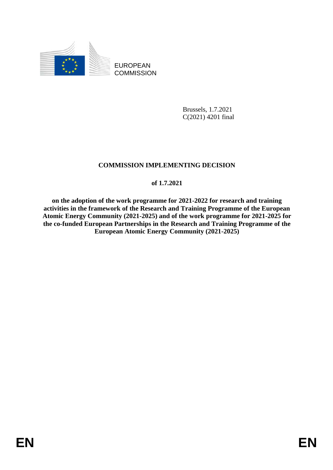

EUROPEAN **COMMISSION** 

> Brussels, 1.7.2021 C(2021) 4201 final

## **COMMISSION IMPLEMENTING DECISION**

#### **of 1.7.2021**

**on the adoption of the work programme for 2021-2022 for research and training activities in the framework of the Research and Training Programme of the European Atomic Energy Community (2021-2025) and of the work programme for 2021-2025 for the co-funded European Partnerships in the Research and Training Programme of the European Atomic Energy Community (2021-2025)**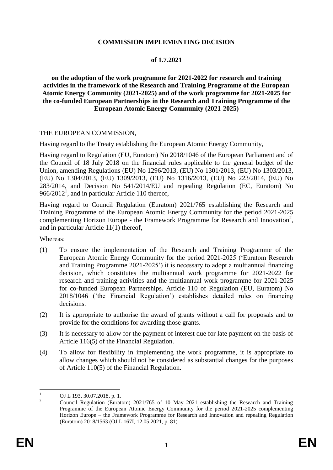#### **COMMISSION IMPLEMENTING DECISION**

#### **of 1.7.2021**

**on the adoption of the work programme for 2021-2022 for research and training activities in the framework of the Research and Training Programme of the European Atomic Energy Community (2021-2025) and of the work programme for 2021-2025 for the co-funded European Partnerships in the Research and Training Programme of the European Atomic Energy Community (2021-2025)**

#### THE EUROPEAN COMMISSION,

Having regard to the Treaty establishing the European Atomic Energy Community,

Having regard to Regulation (EU, Euratom) No 2018/1046 of the European Parliament and of the Council of 18 July 2018 on the financial rules applicable to the general budget of the Union, amending Regulations (EU) No 1296/2013, (EU) No 1301/2013, (EU) No 1303/2013, (EU) No 1304/2013, (EU) 1309/2013, (EU) No 1316/2013, (EU) No 223/2014, (EU) No 283/2014, and Decision No 541/2014/EU and repealing Regulation (EC, Euratom) No 966/2012<sup>1</sup>, and in particular Article 110 thereof,

Having regard to Council Regulation (Euratom) 2021/765 establishing the Research and Training Programme of the European Atomic Energy Community for the period 2021-2025 complementing Horizon Europe - the Framework Programme for Research and Innovation<sup>2</sup>, and in particular Article 11(1) thereof,

Whereas:

- (1) To ensure the implementation of the Research and Training Programme of the European Atomic Energy Community for the period 2021-2025 ('Euratom Research and Training Programme 2021-2025') it is necessary to adopt a multiannual financing decision, which constitutes the multiannual work programme for 2021-2022 for research and training activities and the multiannual work programme for 2021-2025 for co-funded European Partnerships. Article 110 of Regulation (EU, Euratom) No 2018/1046 ('the Financial Regulation') establishes detailed rules on financing decisions.
- (2) It is appropriate to authorise the award of grants without a call for proposals and to provide for the conditions for awarding those grants.
- (3) It is necessary to allow for the payment of interest due for late payment on the basis of Article 116(5) of the Financial Regulation.
- (4) To allow for flexibility in implementing the work programme, it is appropriate to allow changes which should not be considered as substantial changes for the purposes of Article 110(5) of the Financial Regulation.

 $\mathbf{1}$  $\frac{1}{2}$  OJ L 193, 30.07.2018, p. 1.

<sup>2</sup> Council Regulation (Euratom) 2021/765 of 10 May 2021 establishing the Research and Training Programme of the European Atomic Energy Community for the period 2021-2025 complementing Horizon Europe – the Framework Programme for Research and Innovation and repealing Regulation (Euratom) 2018/1563 (OJ L 167I, 12.05.2021, p. 81)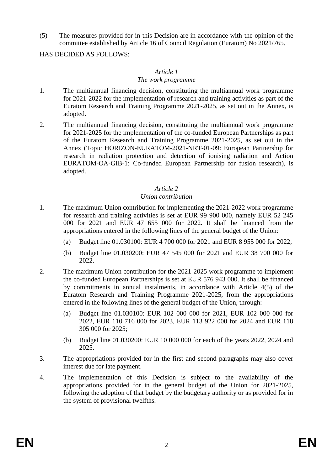(5) The measures provided for in this Decision are in accordance with the opinion of the committee established by Article 16 of Council Regulation (Euratom) No 2021/765.

HAS DECIDED AS FOLLOWS:

#### *Article 1*

#### *The work programme*

- 1. The multiannual financing decision, constituting the multiannual work programme for 2021-2022 for the implementation of research and training activities as part of the Euratom Research and Training Programme 2021-2025, as set out in the Annex, is adopted.
- 2. The multiannual financing decision, constituting the multiannual work programme for 2021-2025 for the implementation of the co-funded European Partnerships as part of the Euratom Research and Training Programme 2021-2025, as set out in the Annex (Topic HORIZON-EURATOM-2021-NRT-01-09: European Partnership for research in radiation protection and detection of ionising radiation and Action EURATOM-OA-GIB-1: Co-funded European Partnership for fusion research), is adopted.

#### *Article 2*

#### *Union contribution*

- 1. The maximum Union contribution for implementing the 2021-2022 work programme for research and training activities is set at EUR 99 900 000, namely EUR 52 245 000 for 2021 and EUR 47 655 000 for 2022. It shall be financed from the appropriations entered in the following lines of the general budget of the Union:
	- (a) Budget line 01.030100: EUR 4 700 000 for 2021 and EUR 8 955 000 for 2022;
	- (b) Budget line 01.030200: EUR 47 545 000 for 2021 and EUR 38 700 000 for 2022.
- 2. The maximum Union contribution for the 2021-2025 work programme to implement the co-funded European Partnerships is set at EUR 576 943 000. It shall be financed by commitments in annual instalments, in accordance with Article 4(5) of the Euratom Research and Training Programme 2021-2025, from the appropriations entered in the following lines of the general budget of the Union, through:
	- (a) Budget line 01.030100: EUR 102 000 000 for 2021, EUR 102 000 000 for 2022, EUR 110 716 000 for 2023, EUR 113 922 000 for 2024 and EUR 118 305 000 for 2025;
	- (b) Budget line 01.030200: EUR 10 000 000 for each of the years 2022, 2024 and 2025.
- 3. The appropriations provided for in the first and second paragraphs may also cover interest due for late payment.
- 4. The implementation of this Decision is subject to the availability of the appropriations provided for in the general budget of the Union for 2021-2025, following the adoption of that budget by the budgetary authority or as provided for in the system of provisional twelfths.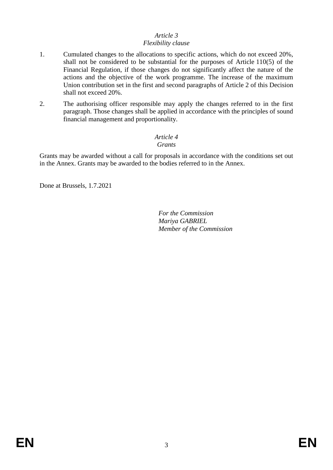# *Article 3*

#### *Flexibility clause*

- 1. Cumulated changes to the allocations to specific actions, which do not exceed 20%, shall not be considered to be substantial for the purposes of Article 110(5) of the Financial Regulation, if those changes do not significantly affect the nature of the actions and the objective of the work programme. The increase of the maximum Union contribution set in the first and second paragraphs of Article 2 of this Decision shall not exceed 20%.
- 2. The authorising officer responsible may apply the changes referred to in the first paragraph. Those changes shall be applied in accordance with the principles of sound financial management and proportionality.

#### *Article 4 Grants*

Grants may be awarded without a call for proposals in accordance with the conditions set out in the Annex. Grants may be awarded to the bodies referred to in the Annex.

Done at Brussels, 1.7.2021

*For the Commission Mariya GABRIEL Member of the Commission*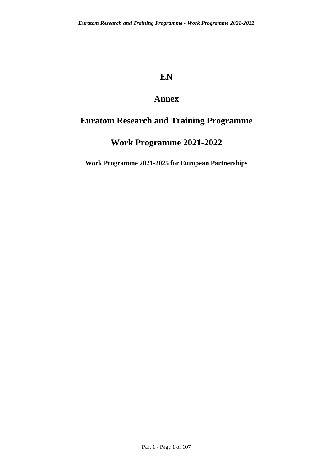# **EN**

# **Annex**

# **Euratom Research and Training Programme**

# **Work Programme 2021-2022**

**Work Programme 2021-2025 for European Partnerships**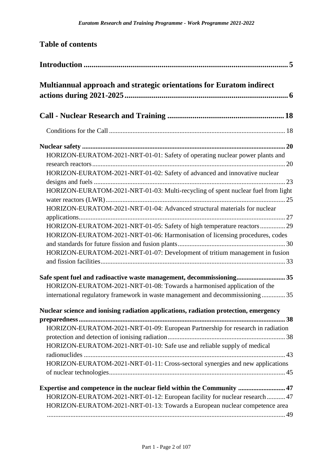| <b>Table of contents</b>                                                                                                                                                                                                                   |
|--------------------------------------------------------------------------------------------------------------------------------------------------------------------------------------------------------------------------------------------|
|                                                                                                                                                                                                                                            |
| Multiannual approach and strategic orientations for Euratom indirect                                                                                                                                                                       |
|                                                                                                                                                                                                                                            |
|                                                                                                                                                                                                                                            |
|                                                                                                                                                                                                                                            |
| HORIZON-EURATOM-2021-NRT-01-01: Safety of operating nuclear power plants and                                                                                                                                                               |
| HORIZON-EURATOM-2021-NRT-01-02: Safety of advanced and innovative nuclear                                                                                                                                                                  |
| HORIZON-EURATOM-2021-NRT-01-03: Multi-recycling of spent nuclear fuel from light                                                                                                                                                           |
| HORIZON-EURATOM-2021-NRT-01-04: Advanced structural materials for nuclear                                                                                                                                                                  |
| HORIZON-EURATOM-2021-NRT-01-05: Safety of high temperature reactors  29<br>HORIZON-EURATOM-2021-NRT-01-06: Harmonisation of licensing procedures, codes                                                                                    |
| HORIZON-EURATOM-2021-NRT-01-07: Development of tritium management in fusion                                                                                                                                                                |
| Safe spent fuel and radioactive waste management, decommissioning 35<br>HORIZON-EURATOM-2021-NRT-01-08: Towards a harmonised application of the                                                                                            |
| international regulatory framework in waste management and decommissioning35                                                                                                                                                               |
| Nuclear science and ionising radiation applications, radiation protection, emergency                                                                                                                                                       |
| HORIZON-EURATOM-2021-NRT-01-09: European Partnership for research in radiation<br>HORIZON-EURATOM-2021-NRT-01-10: Safe use and reliable supply of medical<br>HORIZON-EURATOM-2021-NRT-01-11: Cross-sectoral synergies and new applications |
| Expertise and competence in the nuclear field within the Community  47<br>HORIZON-EURATOM-2021-NRT-01-12: European facility for nuclear research  47<br>HORIZON-EURATOM-2021-NRT-01-13: Towards a European nuclear competence area         |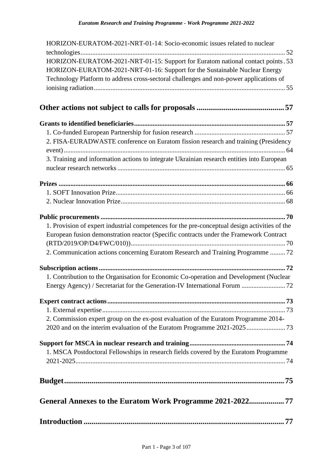| HORIZON-EURATOM-2021-NRT-01-14: Socio-economic issues related to nuclear                      |
|-----------------------------------------------------------------------------------------------|
|                                                                                               |
| HORIZON-EURATOM-2021-NRT-01-15: Support for Euratom national contact points . 53              |
| HORIZON-EURATOM-2021-NRT-01-16: Support for the Sustainable Nuclear Energy                    |
| Technology Platform to address cross-sectoral challenges and non-power applications of        |
|                                                                                               |
|                                                                                               |
|                                                                                               |
|                                                                                               |
|                                                                                               |
| 2. FISA-EURADWASTE conference on Euratom fission research and training (Presidency            |
|                                                                                               |
| 3. Training and information actions to integrate Ukrainian research entities into European    |
|                                                                                               |
|                                                                                               |
|                                                                                               |
|                                                                                               |
|                                                                                               |
|                                                                                               |
|                                                                                               |
| 1. Provision of expert industrial competences for the pre-conceptual design activities of the |
| European fusion demonstration reactor (Specific contracts under the Framework Contract        |
|                                                                                               |
| 2. Communication actions concerning Euratom Research and Training Programme  72               |
|                                                                                               |
| 1. Contribution to the Organisation for Economic Co-operation and Development (Nuclear        |
| Energy Agency) / Secretariat for the Generation-IV International Forum  72                    |
|                                                                                               |
|                                                                                               |
|                                                                                               |
| 2. Commission expert group on the ex-post evaluation of the Euratom Programme 2014-           |
| 2020 and on the interim evaluation of the Euratom Programme 2021-2025  73                     |
|                                                                                               |
|                                                                                               |
| 1. MSCA Postdoctoral Fellowships in research fields covered by the Euratom Programme          |
|                                                                                               |
|                                                                                               |
|                                                                                               |
|                                                                                               |
|                                                                                               |
|                                                                                               |
|                                                                                               |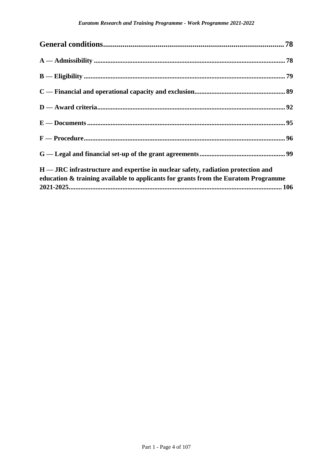| H — JRC infrastructure and expertise in nuclear safety, radiation protection and<br>education & training available to applicants for grants from the Euratom Programme |  |
|------------------------------------------------------------------------------------------------------------------------------------------------------------------------|--|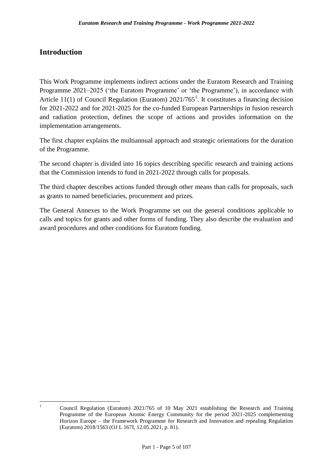## <span id="page-8-0"></span>**Introduction**

This Work Programme implements indirect actions under the Euratom Research and Training Programme 2021–2025 ('the Euratom Programme' or 'the Programme'), in accordance with Article 11(1) of Council Regulation (Euratom)  $2021/765<sup>1</sup>$ . It constitutes a financing decision for 2021-2022 and for 2021-2025 for the co-funded European Partnerships in fusion research and radiation protection, defines the scope of actions and provides information on the implementation arrangements.

The first chapter explains the multiannual approach and strategic orientations for the duration of the Programme.

The second chapter is divided into 16 topics describing specific research and training actions that the Commission intends to fund in 2021-2022 through calls for proposals.

The third chapter describes actions funded through other means than calls for proposals, such as grants to named beneficiaries, procurement and prizes.

The General Annexes to the Work Programme set out the general conditions applicable to calls and topics for grants and other forms of funding. They also describe the evaluation and award procedures and other conditions for Euratom funding.

 $\mathbf{1}$ 

<sup>1</sup> Council Regulation (Euratom) 2021/765 of 10 May 2021 establishing the Research and Training Programme of the European Atomic Energy Community for the period 2021-2025 complementing Horizon Europe – the Framework Programme for Research and Innovation and repealing Regulation (Euratom) 2018/1563 (OJ L 167I, 12.05.2021, p. 81).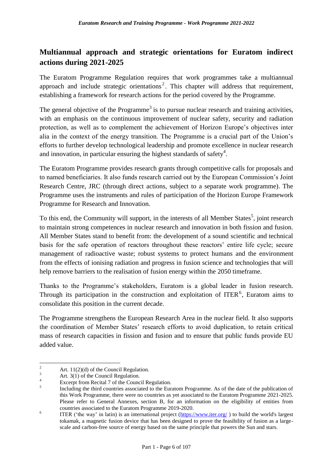## <span id="page-9-0"></span>**Multiannual approach and strategic orientations for Euratom indirect actions during 2021-2025**

The Euratom Programme Regulation requires that work programmes take a multiannual approach and include strategic orientations<sup>2</sup>. This chapter will address that requirement, establishing a framework for research actions for the period covered by the Programme.

The general objective of the Programme<sup>3</sup> is to pursue nuclear research and training activities, with an emphasis on the continuous improvement of nuclear safety, security and radiation protection, as well as to complement the achievement of Horizon Europe's objectives inter alia in the context of the energy transition. The Programme is a crucial part of the Union's efforts to further develop technological leadership and promote excellence in nuclear research and innovation, in particular ensuring the highest standards of safety<sup>4</sup>.

The Euratom Programme provides research grants through competitive calls for proposals and to named beneficiaries. It also funds research carried out by the European Commission's Joint Research Centre, JRC (through direct actions, subject to a separate work programme). The Programme uses the instruments and rules of participation of the Horizon Europe Framework Programme for Research and Innovation.

To this end, the Community will support, in the interests of all Member States<sup>5</sup>, joint research to maintain strong competences in nuclear research and innovation in both fission and fusion. All Member States stand to benefit from: the development of a sound scientific and technical basis for the safe operation of reactors throughout these reactors' entire life cycle; secure management of radioactive waste; robust systems to protect humans and the environment from the effects of ionising radiation and progress in fusion science and technologies that will help remove barriers to the realisation of fusion energy within the 2050 timeframe.

Thanks to the Programme's stakeholders, Euratom is a global leader in fusion research. Through its participation in the construction and exploitation of ITER<sup>6</sup>, Euratom aims to consolidate this position in the current decade.

The Programme strengthens the European Research Area in the nuclear field. It also supports the coordination of Member States' research efforts to avoid duplication, to retain critical mass of research capacities in fission and fusion and to ensure that public funds provide EU added value.

 $\overline{2}$ <sup>2</sup> Art. 11(2)(d) of the Council Regulation.

 $\frac{3}{4}$  Art. 3(1) of the Council Regulation.

Excerpt from Recital 7 of the Council Regulation.

<sup>5</sup> Including the third countries associated to the Euratom Programme. As of the date of the publication of this Work Programme, there were no countries as yet associated to the Euratom Programme 2021-2025. Please refer to General Annexes, section B, for an information on the eligibility of entities from countries associated to the Euratom Programme 2019-2020.

<sup>6</sup> ITER ('the way' in latin) is an international project [\(https://www.iter.org/](https://www.iter.org/) ) to build the world's largest tokamak, a magnetic fusion device that has been designed to prove the feasibility of fusion as a largescale and carbon-free source of energy based on the same principle that powers the Sun and stars.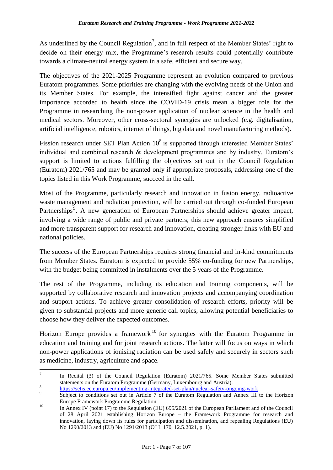As underlined by the Council Regulation<sup>7</sup>, and in full respect of the Member States' right to decide on their energy mix, the Programme's research results could potentially contribute towards a climate-neutral energy system in a safe, efficient and secure way.

The objectives of the 2021-2025 Programme represent an evolution compared to previous Euratom programmes. Some priorities are changing with the evolving needs of the Union and its Member States. For example, the intensified fight against cancer and the greater importance accorded to health since the COVID-19 crisis mean a bigger role for the Programme in researching the non-power application of nuclear science in the health and medical sectors. Moreover, other cross-sectoral synergies are unlocked (e.g. digitalisation, artificial intelligence, robotics, internet of things, big data and novel manufacturing methods).

Fission research under SET Plan Action  $10^8$  is supported through interested Member States' individual and combined research & development programmes and by industry. Euratom's support is limited to actions fulfilling the objectives set out in the Council Regulation (Euratom) 2021/765 and may be granted only if appropriate proposals, addressing one of the topics listed in this Work Programme, succeed in the call.

Most of the Programme, particularly research and innovation in fusion energy, radioactive waste management and radiation protection, will be carried out through co-funded European Partnerships<sup>9</sup>. A new generation of European Partnerships should achieve greater impact, involving a wide range of public and private partners; this new approach ensures simplified and more transparent support for research and innovation, creating stronger links with EU and national policies.

The success of the European Partnerships requires strong financial and in-kind commitments from Member States. Euratom is expected to provide 55% co-funding for new Partnerships, with the budget being committed in instalments over the 5 years of the Programme.

The rest of the Programme, including its education and training components, will be supported by collaborative research and innovation projects and accompanying coordination and support actions. To achieve greater consolidation of research efforts, priority will be given to substantial projects and more generic call topics, allowing potential beneficiaries to choose how they deliver the expected outcomes.

Horizon Europe provides a framework<sup>10</sup> for synergies with the Euratom Programme in education and training and for joint research actions. The latter will focus on ways in which non-power applications of ionising radiation can be used safely and securely in sectors such as medicine, industry, agriculture and space.

 $\frac{1}{7}$ In Recital (3) of the Council Regulation (Euratom) 2021/765. Some Member States submitted statements on the Euratom Programme (Germany, Luxembourg and Austria). 8

<https://setis.ec.europa.eu/implementing-integrated-set-plan/nuclear-safety-ongoing-work>

 $\alpha$ Subject to conditions set out in Article 7 of the Euratom Regulation and Annex III to the Horizon Europe Framework Programme Regulation.

<sup>&</sup>lt;sup>10</sup> In Annex IV (point 17) to the Regulation (EU) 695/2021 of the European Parliament and of the Council of 28 April 2021 establishing Horizon Europe – the Framework Programme for research and innovation, laying down its rules for participation and dissemination, and repealing Regulations (EU) No 1290/2013 and (EU) No 1291/2013 (OJ L 170, 12.5*.*2021, p. 1).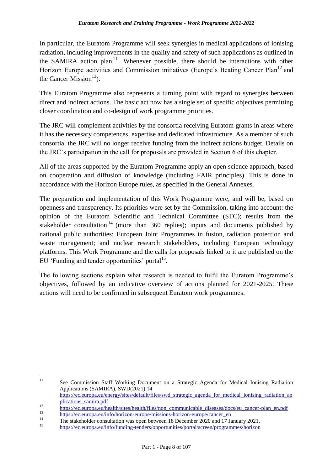In particular, the Euratom Programme will seek synergies in medical applications of ionising radiation, including improvements in the quality and safety of such applications as outlined in the SAMIRA action plan<sup>11</sup>. Whenever possible, there should be interactions with other Horizon Europe activities and Commission initiatives (Europe's Beating Cancer Plan<sup>12</sup> and the Cancer Mission $^{13}$ ).

This Euratom Programme also represents a turning point with regard to synergies between direct and indirect actions. The basic act now has a single set of specific objectives permitting closer coordination and co-design of work programme priorities.

The JRC will complement activities by the consortia receiving Euratom grants in areas where it has the necessary competences, expertise and dedicated infrastructure. As a member of such consortia, the JRC will no longer receive funding from the indirect actions budget. Details on the JRC's participation in the call for proposals are provided in Section 6 of this chapter.

All of the areas supported by the Euratom Programme apply an open science approach, based on cooperation and diffusion of knowledge (including FAIR principles). This is done in accordance with the Horizon Europe rules, as specified in the General Annexes.

The preparation and implementation of this Work Programme were, and will be, based on openness and transparency. Its priorities were set by the Commission, taking into account: the opinion of the Euratom Scientific and Technical Committee (STC); results from the stakeholder consultation<sup>14</sup> (more than 360 replies); inputs and documents published by national public authorities; European Joint Programmes in fusion, radiation protection and waste management; and nuclear research stakeholders, including European technology platforms. This Work Programme and the calls for proposals linked to it are published on the EU 'Funding and tender opportunities' portal<sup>15</sup>.

The following sections explain what research is needed to fulfil the Euratom Programme's objectives, followed by an indicative overview of actions planned for 2021-2025. These actions will need to be confirmed in subsequent Euratom work programmes.

 $11$ <sup>11</sup> See Commission Staff Working Document on a Strategic Agenda for Medical Ionising Radiation Applications (SAMIRA), SWD(2021) 14 [https://ec.europa.eu/energy/sites/default/files/swd\\_strategic\\_agenda\\_for\\_medical\\_ionising\\_radiation\\_ap](https://ec.europa.eu/energy/sites/default/files/swd_strategic_agenda_for_medical_ionising_radiation_applications_samira.pdf)

[plications\\_samira.pdf](https://ec.europa.eu/energy/sites/default/files/swd_strategic_agenda_for_medical_ionising_radiation_applications_samira.pdf)

<sup>12</sup> [https://ec.europa.eu/health/sites/health/files/non\\_communicable\\_diseases/docs/eu\\_cancer-plan\\_en.pdf](https://ec.europa.eu/health/sites/health/files/non_communicable_diseases/docs/eu_cancer-plan_en.pdf)

 $\frac{13}{14}$  [https://ec.europa.eu/info/horizon-europe/missions-horizon-europe/cancer\\_en](https://ec.europa.eu/info/horizon-europe/missions-horizon-europe/cancer_en)

<sup>&</sup>lt;sup>14</sup> The stakeholder consultation was open between 18 December 2020 and 17 January 2021.

<sup>15</sup> <https://ec.europa.eu/info/funding-tenders/opportunities/portal/screen/programmes/horizon>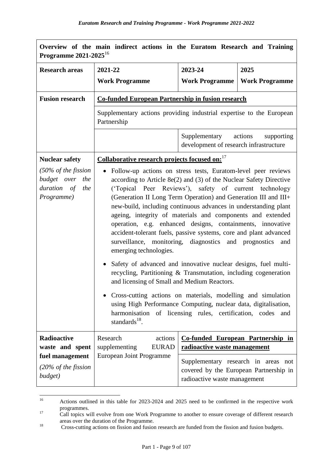| Overview of the main indirect actions in the Euratom Research and Training<br>Programme 2021-2025 <sup>16</sup> |                                                                                                                                                                                                                                                                                                                                                                                                                                                                                                                                                                                                                                                                                                                                                                                                                                                                                                                                                                                                                                                                                                                                                            |                              |                                                                               |
|-----------------------------------------------------------------------------------------------------------------|------------------------------------------------------------------------------------------------------------------------------------------------------------------------------------------------------------------------------------------------------------------------------------------------------------------------------------------------------------------------------------------------------------------------------------------------------------------------------------------------------------------------------------------------------------------------------------------------------------------------------------------------------------------------------------------------------------------------------------------------------------------------------------------------------------------------------------------------------------------------------------------------------------------------------------------------------------------------------------------------------------------------------------------------------------------------------------------------------------------------------------------------------------|------------------------------|-------------------------------------------------------------------------------|
| <b>Research areas</b>                                                                                           | 2021-22                                                                                                                                                                                                                                                                                                                                                                                                                                                                                                                                                                                                                                                                                                                                                                                                                                                                                                                                                                                                                                                                                                                                                    | 2023-24                      | 2025                                                                          |
|                                                                                                                 | <b>Work Programme</b>                                                                                                                                                                                                                                                                                                                                                                                                                                                                                                                                                                                                                                                                                                                                                                                                                                                                                                                                                                                                                                                                                                                                      | <b>Work Programme</b>        | <b>Work Programme</b>                                                         |
| <b>Fusion research</b>                                                                                          | <b>Co-funded European Partnership in fusion research</b>                                                                                                                                                                                                                                                                                                                                                                                                                                                                                                                                                                                                                                                                                                                                                                                                                                                                                                                                                                                                                                                                                                   |                              |                                                                               |
|                                                                                                                 | Supplementary actions providing industrial expertise to the European<br>Partnership                                                                                                                                                                                                                                                                                                                                                                                                                                                                                                                                                                                                                                                                                                                                                                                                                                                                                                                                                                                                                                                                        |                              |                                                                               |
|                                                                                                                 |                                                                                                                                                                                                                                                                                                                                                                                                                                                                                                                                                                                                                                                                                                                                                                                                                                                                                                                                                                                                                                                                                                                                                            | Supplementary actions        | supporting                                                                    |
| <b>Nuclear safety</b>                                                                                           |                                                                                                                                                                                                                                                                                                                                                                                                                                                                                                                                                                                                                                                                                                                                                                                                                                                                                                                                                                                                                                                                                                                                                            |                              |                                                                               |
| $(50\% \text{ of the fission})$<br>budget over the<br>duration of the<br>Programme)                             | development of research infrastructure<br>Collaborative research projects focused on: <sup>17</sup><br>• Follow-up actions on stress tests, Euratom-level peer reviews<br>according to Article $8e(2)$ and (3) of the Nuclear Safety Directive<br>('Topical Peer Reviews'), safety of current technology<br>(Generation II Long Term Operation) and Generation III and III+<br>new-build, including continuous advances in understanding plant<br>ageing, integrity of materials and components and extended<br>operation, e.g. enhanced designs, containments, innovative<br>accident-tolerant fuels, passive systems, core and plant advanced<br>surveillance, monitoring, diagnostics and prognostics<br>and<br>emerging technologies.<br>• Safety of advanced and innovative nuclear designs, fuel multi-<br>recycling, Partitioning & Transmutation, including cogeneration<br>and licensing of Small and Medium Reactors.<br>Cross-cutting actions on materials, modelling and simulation<br>using High Performance Computing, nuclear data, digitalisation,<br>harmonisation of licensing rules, certification, codes<br>and<br>standards $^{18}$ . |                              |                                                                               |
| Radioactive<br>waste and spent<br>fuel management                                                               | Research<br>actions<br><b>EURAD</b><br>supplementing<br><b>European Joint Programme</b>                                                                                                                                                                                                                                                                                                                                                                                                                                                                                                                                                                                                                                                                                                                                                                                                                                                                                                                                                                                                                                                                    | radioactive waste management | <b>Co-funded European Partnership in</b>                                      |
| $(20\% \text{ of the fission})$<br>budget)                                                                      |                                                                                                                                                                                                                                                                                                                                                                                                                                                                                                                                                                                                                                                                                                                                                                                                                                                                                                                                                                                                                                                                                                                                                            | radioactive waste management | Supplementary research in areas not<br>covered by the European Partnership in |

 $16\,$ Actions outlined in this table for 2023-2024 and 2025 need to be confirmed in the respective work programmes.

<sup>&</sup>lt;sup>17</sup> Call topics will evolve from one Work Programme to another to ensure coverage of different research areas over the duration of the Programme.

<sup>&</sup>lt;sup>18</sup> Cross-cutting actions on fission and fusion research are funded from the fission and fusion budgets.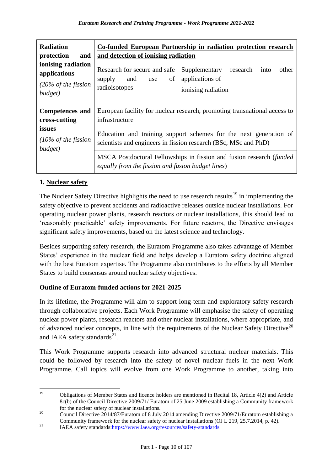| <b>Radiation</b><br>protection<br>and                                                                           | Co-funded European Partnership in radiation protection research<br>and detection of ionising radiation                               |                                                                                     |  |  |
|-----------------------------------------------------------------------------------------------------------------|--------------------------------------------------------------------------------------------------------------------------------------|-------------------------------------------------------------------------------------|--|--|
| ionising radiation<br>applications<br>supply and<br>$(20\% \text{ of the fission})$<br>radioisotopes<br>budget) | Research for secure and safe<br>of<br>use                                                                                            | Supplementary<br>research<br>other<br>into<br>applications of<br>ionising radiation |  |  |
| <b>Competences and</b><br>cross-cutting                                                                         | infrastructure                                                                                                                       | European facility for nuclear research, promoting transnational access to           |  |  |
| issues<br>$(10\% \text{ of the fission})$<br>budget)                                                            | Education and training support schemes for the next generation of<br>scientists and engineers in fission research (BSc, MSc and PhD) |                                                                                     |  |  |
|                                                                                                                 | MSCA Postdoctoral Fellowships in fission and fusion research (funded<br>equally from the fission and fusion budget lines)            |                                                                                     |  |  |

#### **1. Nuclear safety**

The Nuclear Safety Directive highlights the need to use research results<sup>19</sup> in implementing the safety objective to prevent accidents and radioactive releases outside nuclear installations. For operating nuclear power plants, research reactors or nuclear installations, this should lead to 'reasonably practicable' safety improvements. For future reactors, the Directive envisages significant safety improvements, based on the latest science and technology.

Besides supporting safety research, the Euratom Programme also takes advantage of Member States' experience in the nuclear field and helps develop a Euratom safety doctrine aligned with the best Euratom expertise. The Programme also contributes to the efforts by all Member States to build consensus around nuclear safety objectives.

#### **Outline of Euratom-funded actions for 2021-2025**

In its lifetime, the Programme will aim to support long-term and exploratory safety research through collaborative projects. Each Work Programme will emphasise the safety of operating nuclear power plants, research reactors and other nuclear installations, where appropriate, and of advanced nuclear concepts, in line with the requirements of the Nuclear Safety Directive<sup>20</sup> and IAEA safety standards $^{21}$ .

This Work Programme supports research into advanced structural nuclear materials. This could be followed by research into the safety of novel nuclear fuels in the next Work Programme. Call topics will evolve from one Work Programme to another, taking into

 $19$ <sup>19</sup> Obligations of Member States and licence holders are mentioned in Recital 18, Article 4(2) and Article 8c(b) of the Council Directive 2009/71/ Euratom of 25 June 2009 establishing a Community framework for the nuclear safety of nuclear installations.

<sup>&</sup>lt;sup>20</sup> Council Directive 2014/87/Euratom of 8 July 2014 amending Directive 2009/71/Euratom establishing a Community framework for the nuclear safety of nuclear installations (OJ L 219, 25.7.2014, p. 42).

<sup>&</sup>lt;sup>21</sup> IAEA safety standards[:https://www.iaea.org/resources/safety-standards](https://www.iaea.org/resources/safety-standards)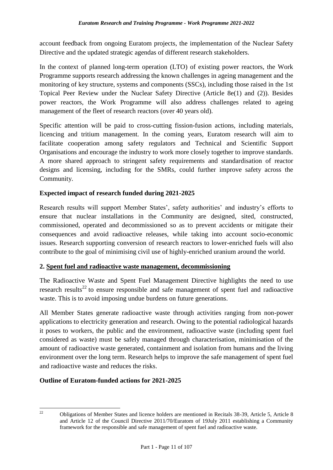account feedback from ongoing Euratom projects, the implementation of the Nuclear Safety Directive and the updated strategic agendas of different research stakeholders.

In the context of planned long-term operation (LTO) of existing power reactors, the Work Programme supports research addressing the known challenges in ageing management and the monitoring of key structure, systems and components (SSCs), including those raised in the 1st Topical Peer Review under the Nuclear Safety Directive (Article 8e(1) and (2)). Besides power reactors, the Work Programme will also address challenges related to ageing management of the fleet of research reactors (over 40 years old).

Specific attention will be paid to cross-cutting fission-fusion actions, including materials, licencing and tritium management. In the coming years, Euratom research will aim to facilitate cooperation among safety regulators and Technical and Scientific Support Organisations and encourage the industry to work more closely together to improve standards. A more shared approach to stringent safety requirements and standardisation of reactor designs and licensing, including for the SMRs, could further improve safety across the Community.

#### **Expected impact of research funded during 2021-2025**

Research results will support Member States', safety authorities' and industry's efforts to ensure that nuclear installations in the Community are designed, sited, constructed, commissioned, operated and decommissioned so as to prevent accidents or mitigate their consequences and avoid radioactive releases, while taking into account socio-economic issues. Research supporting conversion of research reactors to lower-enriched fuels will also contribute to the goal of minimising civil use of highly-enriched uranium around the world.

#### **2. Spent fuel and radioactive waste management, decommissioning**

The Radioactive Waste and Spent Fuel Management Directive highlights the need to use research results<sup>22</sup> to ensure responsible and safe management of spent fuel and radioactive waste. This is to avoid imposing undue burdens on future generations.

All Member States generate radioactive waste through activities ranging from non-power applications to electricity generation and research. Owing to the potential radiological hazards it poses to workers, the public and the environment, radioactive waste (including spent fuel considered as waste) must be safely managed through characterisation, minimisation of the amount of radioactive waste generated, containment and isolation from humans and the living environment over the long term. Research helps to improve the safe management of spent fuel and radioactive waste and reduces the risks.

#### **Outline of Euratom-funded actions for 2021-2025**

 $22$ 

<sup>22</sup> Obligations of Member States and licence holders are mentioned in Recitals 38-39, Article 5, Article 8 and Article 12 of the Council Directive 2011/70/Euratom of 19July 2011 establishing a Community framework for the responsible and safe management of spent fuel and radioactive waste.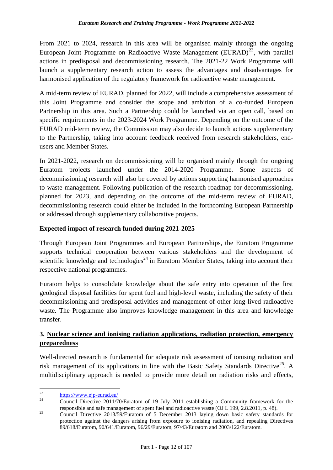From 2021 to 2024, research in this area will be organised mainly through the ongoing European Joint Programme on Radioactive Waste Management (EURAD)<sup>23</sup>, with parallel actions in predisposal and decommissioning research. The 2021-22 Work Programme will launch a supplementary research action to assess the advantages and disadvantages for harmonised application of the regulatory framework for radioactive waste management.

A mid-term review of EURAD, planned for 2022, will include a comprehensive assessment of this Joint Programme and consider the scope and ambition of a co-funded European Partnership in this area. Such a Partnership could be launched via an open call, based on specific requirements in the 2023-2024 Work Programme. Depending on the outcome of the EURAD mid-term review, the Commission may also decide to launch actions supplementary to the Partnership, taking into account feedback received from research stakeholders, endusers and Member States.

In 2021-2022, research on decommissioning will be organised mainly through the ongoing Euratom projects launched under the 2014-2020 Programme. Some aspects of decommissioning research will also be covered by actions supporting harmonised approaches to waste management. Following publication of the research roadmap for decommissioning, planned for 2023, and depending on the outcome of the mid-term review of EURAD, decommissioning research could either be included in the forthcoming European Partnership or addressed through supplementary collaborative projects.

#### **Expected impact of research funded during 2021-2025**

Through European Joint Programmes and European Partnerships, the Euratom Programme supports technical cooperation between various stakeholders and the development of scientific knowledge and technologies<sup>24</sup> in Euratom Member States, taking into account their respective national programmes.

Euratom helps to consolidate knowledge about the safe entry into operation of the first geological disposal facilities for spent fuel and high-level waste, including the safety of their decommissioning and predisposal activities and management of other long-lived radioactive waste. The Programme also improves knowledge management in this area and knowledge transfer.

#### **3. Nuclear science and ionising radiation applications, radiation protection, emergency preparedness**

Well-directed research is fundamental for adequate risk assessment of ionising radiation and risk management of its applications in line with the Basic Safety Standards Directive<sup>25</sup>. A multidisciplinary approach is needed to provide more detail on radiation risks and effects,

 $23$  $\frac{^{23}}{^{24}}$  <https://www.ejp-eurad.eu/>

<sup>24</sup> Council Directive 2011/70/Euratom of 19 July 2011 establishing a Community framework for the responsible and safe management of spent fuel and radioactive waste (OJ L 199, 2.8.2011, p. 48).

<sup>&</sup>lt;sup>25</sup> Council Directive 2013/59/Euratom of 5 December 2013 laying down basic safety standards for protection against the dangers arising from exposure to ionising radiation, and repealing Directives 89/618/Euratom, 90/641/Euratom, 96/29/Euratom, 97/43/Euratom and 2003/122/Euratom.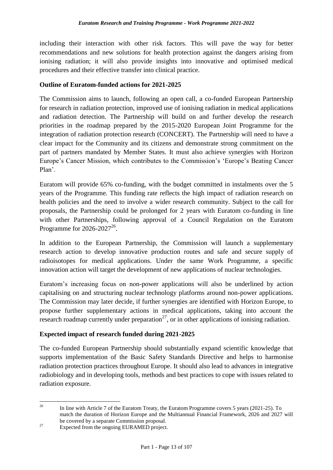including their interaction with other risk factors. This will pave the way for better recommendations and new solutions for health protection against the dangers arising from ionising radiation; it will also provide insights into innovative and optimised medical procedures and their effective transfer into clinical practice.

#### **Outline of Euratom-funded actions for 2021-2025**

The Commission aims to launch, following an open call, a co-funded European Partnership for research in radiation protection, improved use of ionising radiation in medical applications and radiation detection. The Partnership will build on and further develop the research priorities in the roadmap prepared by the 2015-2020 European Joint Programme for the integration of radiation protection research (CONCERT). The Partnership will need to have a clear impact for the Community and its citizens and demonstrate strong commitment on the part of partners mandated by Member States. It must also achieve synergies with Horizon Europe's Cancer Mission, which contributes to the Commission's 'Europe's Beating Cancer Plan'.

Euratom will provide 65% co-funding, with the budget committed in instalments over the 5 years of the Programme. This funding rate reflects the high impact of radiation research on health policies and the need to involve a wider research community. Subject to the call for proposals, the Partnership could be prolonged for 2 years with Euratom co-funding in line with other Partnerships, following approval of a Council Regulation on the Euratom Programme for  $2026 - 2027^{26}$ .

In addition to the European Partnership, the Commission will launch a supplementary research action to develop innovative production routes and safe and secure supply of radioisotopes for medical applications. Under the same Work Programme, a specific innovation action will target the development of new applications of nuclear technologies.

Euratom's increasing focus on non-power applications will also be underlined by action capitalising on and structuring nuclear technology platforms around non-power applications. The Commission may later decide, if further synergies are identified with Horizon Europe, to propose further supplementary actions in medical applications, taking into account the research roadmap currently under preparation<sup>27</sup>, or in other applications of ionising radiation.

#### **Expected impact of research funded during 2021-2025**

The co-funded European Partnership should substantially expand scientific knowledge that supports implementation of the Basic Safety Standards Directive and helps to harmonise radiation protection practices throughout Europe. It should also lead to advances in integrative radiobiology and in developing tools, methods and best practices to cope with issues related to radiation exposure.

 $26\overline{)}$ <sup>26</sup> In line with Article 7 of the Euratom Treaty, the Euratom Programme covers 5 years (2021-25). To match the duration of Horizon Europe and the Multiannual Financial Framework, 2026 and 2027 will be covered by a separate Commission proposal.

<sup>&</sup>lt;sup>27</sup> Expected from the ongoing EURAMED project.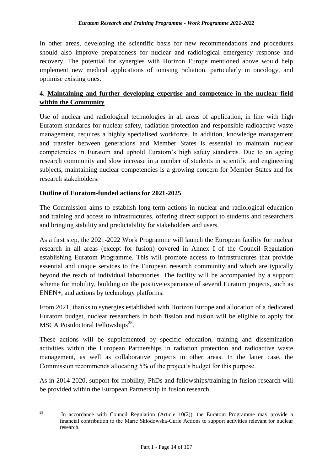In other areas, developing the scientific basis for new recommendations and procedures should also improve preparedness for nuclear and radiological emergency response and recovery. The potential for synergies with Horizon Europe mentioned above would help implement new medical applications of ionising radiation, particularly in oncology, and optimise existing ones.

#### **4. Maintaining and further developing expertise and competence in the nuclear field within the Community**

Use of nuclear and radiological technologies in all areas of application, in line with high Euratom standards for nuclear safety, radiation protection and responsible radioactive waste management, requires a highly specialised workforce. In addition, knowledge management and transfer between generations and Member States is essential to maintain nuclear competencies in Euratom and uphold Euratom's high safety standards. Due to an ageing research community and slow increase in a number of students in scientific and engineering subjects, maintaining nuclear competencies is a growing concern for Member States and for research stakeholders.

#### **Outline of Euratom-funded actions for 2021-2025**

The Commission aims to establish long-term actions in nuclear and radiological education and training and access to infrastructures, offering direct support to students and researchers and bringing stability and predictability for stakeholders and users.

As a first step, the 2021-2022 Work Programme will launch the European facility for nuclear research in all areas (except for fusion) covered in Annex I of the Council Regulation establishing Euratom Programme. This will promote access to infrastructures that provide essential and unique services to the European research community and which are typically beyond the reach of individual laboratories. The facility will be accompanied by a support scheme for mobility, building on the positive experience of several Euratom projects, such as ENEN+, and actions by technology platforms.

From 2021, thanks to synergies established with Horizon Europe and allocation of a dedicated Euratom budget, nuclear researchers in both fission and fusion will be eligible to apply for MSCA Postdoctoral Fellowships<sup>28</sup>.

These actions will be supplemented by specific education, training and dissemination activities within the European Partnerships in radiation protection and radioactive waste management, as well as collaborative projects in other areas. In the latter case, the Commission recommends allocating 5% of the project's budget for this purpose.

As in 2014-2020, support for mobility, PhDs and fellowships/training in fusion research will be provided within the European Partnership in fusion research.

<sup>28</sup> In accordance with Council Regulation (Article 10(2)), the Euratom Programme may provide a financial contribution to the Marie Skłodowska-Curie Actions to support activities relevant for nuclear research.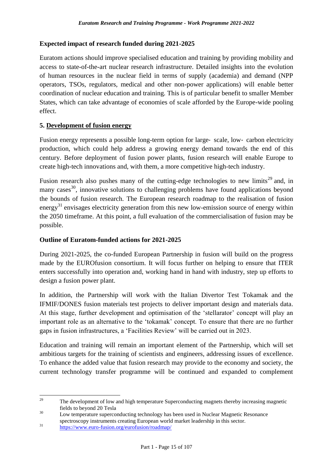#### **Expected impact of research funded during 2021-2025**

Euratom actions should improve specialised education and training by providing mobility and access to state-of-the-art nuclear research infrastructure. Detailed insights into the evolution of human resources in the nuclear field in terms of supply (academia) and demand (NPP operators, TSOs, regulators, medical and other non-power applications) will enable better coordination of nuclear education and training. This is of particular benefit to smaller Member States, which can take advantage of economies of scale afforded by the Europe-wide pooling effect.

#### **5. Development of fusion energy**

Fusion energy represents a possible long-term option for large-scale, low-carbon electricity production, which could help address a growing energy demand towards the end of this century. Before deployment of fusion power plants, fusion research will enable Europe to create high-tech innovations and, with them, a more competitive high-tech industry.

Fusion research also pushes many of the cutting-edge technologies to new limits<sup>29</sup> and, in many cases<sup>30</sup>, innovative solutions to challenging problems have found applications beyond the bounds of fusion research. The European research roadmap to the realisation of fusion energy<sup>31</sup> envisages electricity generation from this new low-emission source of energy within the 2050 timeframe. At this point, a full evaluation of the commercialisation of fusion may be possible.

#### **Outline of Euratom-funded actions for 2021-2025**

During 2021-2025, the co-funded European Partnership in fusion will build on the progress made by the EUROfusion consortium. It will focus further on helping to ensure that ITER enters successfully into operation and, working hand in hand with industry, step up efforts to design a fusion power plant.

In addition, the Partnership will work with the Italian Divertor Test Tokamak and the IFMIF/DONES fusion materials test projects to deliver important design and materials data. At this stage, further development and optimisation of the 'stellarator' concept will play an important role as an alternative to the 'tokamak' concept. To ensure that there are no further gaps in fusion infrastructures, a 'Facilities Review' will be carried out in 2023.

Education and training will remain an important element of the Partnership, which will set ambitious targets for the training of scientists and engineers, addressing issues of excellence. To enhance the added value that fusion research may provide to the economy and society, the current technology transfer programme will be continued and expanded to complement

<sup>29</sup> <sup>29</sup> The development of low and high temperature Superconducting magnets thereby increasing magnetic fields to beyond 20 Tesla

<sup>&</sup>lt;sup>30</sup> Low temperature superconducting technology has been used in Nuclear Magnetic Resonance spectroscopy instruments creating European world market leadership in this sector.

<sup>&</sup>lt;sup>31</sup> <https://www.euro-fusion.org/eurofusion/roadmap/>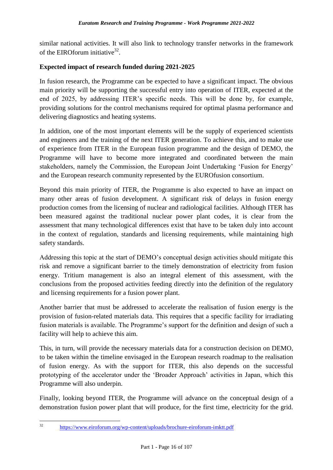similar national activities. It will also link to technology transfer networks in the framework of the EIROforum initiative $^{32}$ .

#### **Expected impact of research funded during 2021-2025**

In fusion research, the Programme can be expected to have a significant impact. The obvious main priority will be supporting the successful entry into operation of ITER, expected at the end of 2025, by addressing ITER's specific needs. This will be done by, for example, providing solutions for the control mechanisms required for optimal plasma performance and delivering diagnostics and heating systems.

In addition, one of the most important elements will be the supply of experienced scientists and engineers and the training of the next ITER generation. To achieve this, and to make use of experience from ITER in the European fusion programme and the design of DEMO, the Programme will have to become more integrated and coordinated between the main stakeholders, namely the Commission, the European Joint Undertaking 'Fusion for Energy' and the European research community represented by the EUROfusion consortium.

Beyond this main priority of ITER, the Programme is also expected to have an impact on many other areas of fusion development. A significant risk of delays in fusion energy production comes from the licensing of nuclear and radiological facilities. Although ITER has been measured against the traditional nuclear power plant codes, it is clear from the assessment that many technological differences exist that have to be taken duly into account in the context of regulation, standards and licensing requirements, while maintaining high safety standards.

Addressing this topic at the start of DEMO's conceptual design activities should mitigate this risk and remove a significant barrier to the timely demonstration of electricity from fusion energy. Tritium management is also an integral element of this assessment, with the conclusions from the proposed activities feeding directly into the definition of the regulatory and licensing requirements for a fusion power plant.

Another barrier that must be addressed to accelerate the realisation of fusion energy is the provision of fusion-related materials data. This requires that a specific facility for irradiating fusion materials is available. The Programme's support for the definition and design of such a facility will help to achieve this aim.

This, in turn, will provide the necessary materials data for a construction decision on DEMO, to be taken within the timeline envisaged in the European research roadmap to the realisation of fusion energy. As with the support for ITER, this also depends on the successful prototyping of the accelerator under the 'Broader Approach' activities in Japan, which this Programme will also underpin.

Finally, looking beyond ITER, the Programme will advance on the conceptual design of a demonstration fusion power plant that will produce, for the first time, electricity for the grid.

 $32$ <sup>32</sup> <https://www.eiroforum.org/wp-content/uploads/brochure-eiroforum-imktt.pdf>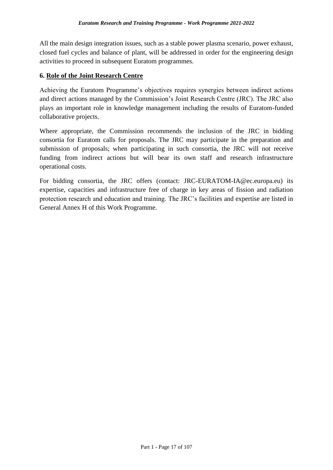All the main design integration issues, such as a stable power plasma scenario, power exhaust, closed fuel cycles and balance of plant, will be addressed in order for the engineering design activities to proceed in subsequent Euratom programmes.

#### **6. Role of the Joint Research Centre**

Achieving the Euratom Programme's objectives requires synergies between indirect actions and direct actions managed by the Commission's Joint Research Centre (JRC). The JRC also plays an important role in knowledge management including the results of Euratom-funded collaborative projects.

Where appropriate, the Commission recommends the inclusion of the JRC in bidding consortia for Euratom calls for proposals. The JRC may participate in the preparation and submission of proposals; when participating in such consortia, the JRC will not receive funding from indirect actions but will bear its own staff and research infrastructure operational costs.

For bidding consortia, the JRC offers (contact: JRC-EURATOM-IA@ec.europa.eu) its expertise, capacities and infrastructure free of charge in key areas of fission and radiation protection research and education and training. The JRC's facilities and expertise are listed in General Annex H of this Work Programme.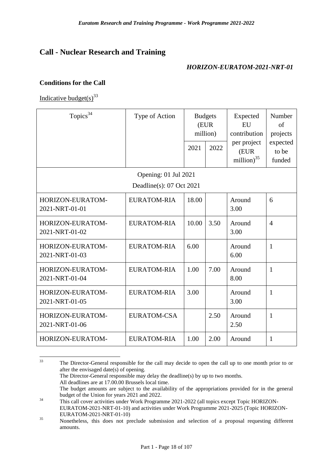## <span id="page-21-0"></span>**Call - Nuclear Research and Training**

#### *HORIZON-EURATOM-2021-NRT-01*

#### <span id="page-21-1"></span>**Conditions for the Call**

Indicative budget(s)<sup>33</sup>

| Topics <sup>34</sup>               | Type of Action           |       | <b>Budgets</b><br>(EUR<br>million) | Expected<br>EU<br>contribution       | Number<br>of<br>projects    |
|------------------------------------|--------------------------|-------|------------------------------------|--------------------------------------|-----------------------------|
|                                    |                          | 2021  | 2022                               | per project<br>(EUR<br>million) $35$ | expected<br>to be<br>funded |
|                                    | Opening: 01 Jul 2021     |       |                                    |                                      |                             |
|                                    | Deadline(s): 07 Oct 2021 |       |                                    |                                      |                             |
| HORIZON-EURATOM-<br>2021-NRT-01-01 | <b>EURATOM-RIA</b>       | 18.00 |                                    | Around<br>3.00                       | 6                           |
| HORIZON-EURATOM-<br>2021-NRT-01-02 | <b>EURATOM-RIA</b>       | 10.00 | 3.50                               | Around<br>3.00                       | $\overline{4}$              |
| HORIZON-EURATOM-<br>2021-NRT-01-03 | <b>EURATOM-RIA</b>       | 6.00  |                                    | Around<br>6.00                       | $\mathbf{1}$                |
| HORIZON-EURATOM-<br>2021-NRT-01-04 | EURATOM-RIA              | 1.00  | 7.00                               | Around<br>8.00                       | $\mathbf{1}$                |
| HORIZON-EURATOM-<br>2021-NRT-01-05 | <b>EURATOM-RIA</b>       | 3.00  |                                    | Around<br>3.00                       | $\mathbf{1}$                |
| HORIZON-EURATOM-<br>2021-NRT-01-06 | <b>EURATOM-CSA</b>       |       | 2.50                               | Around<br>2.50                       | 1                           |
| HORIZON-EURATOM-                   | <b>EURATOM-RIA</b>       | 1.00  | 2.00                               | Around                               | $\mathbf{1}$                |

 $33$ <sup>33</sup> The Director-General responsible for the call may decide to open the call up to one month prior to or after the envisaged date(s) of opening. The Director-General responsible may delay the deadline(s) by up to two months. All deadlines are at 17.00.00 Brussels local time. The budget amounts are subject to the availability of the appropriations provided for in the general budget of the Union for years 2021 and 2022. <sup>34</sup> This call cover activities under Work Programme 2021-2022 (all topics except Topic HORIZON-

EURATOM-2021-NRT-01-10) and activities under Work Programme 2021-2025 (Topic HORIZON-EURATOM-2021-NRT-01-10)

<sup>&</sup>lt;sup>35</sup> Nonetheless, this does not preclude submission and selection of a proposal requesting different amounts.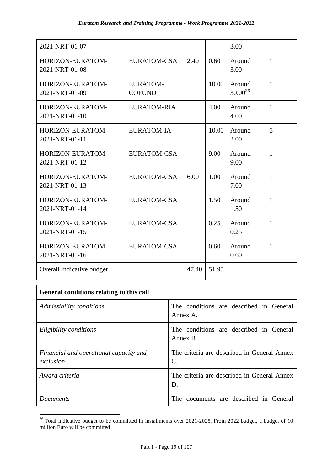| 2021-NRT-01-07                     |                                  |       |       | 3.00                   |              |
|------------------------------------|----------------------------------|-------|-------|------------------------|--------------|
| HORIZON-EURATOM-<br>2021-NRT-01-08 | <b>EURATOM-CSA</b>               | 2.40  | 0.60  | Around<br>3.00         | $\mathbf{1}$ |
| HORIZON-EURATOM-<br>2021-NRT-01-09 | <b>EURATOM-</b><br><b>COFUND</b> |       | 10.00 | Around<br>$30.00^{36}$ | $\mathbf{1}$ |
| HORIZON-EURATOM-<br>2021-NRT-01-10 | <b>EURATOM-RIA</b>               |       | 4.00  | Around<br>4.00         | $\mathbf{1}$ |
| HORIZON-EURATOM-<br>2021-NRT-01-11 | <b>EURATOM-IA</b>                |       | 10.00 | Around<br>2.00         | 5            |
| HORIZON-EURATOM-<br>2021-NRT-01-12 | <b>EURATOM-CSA</b>               |       | 9.00  | Around<br>9.00         | $\mathbf{1}$ |
| HORIZON-EURATOM-<br>2021-NRT-01-13 | EURATOM-CSA                      | 6.00  | 1.00  | Around<br>7.00         | $\mathbf{1}$ |
| HORIZON-EURATOM-<br>2021-NRT-01-14 | EURATOM-CSA                      |       | 1.50  | Around<br>1.50         | $\mathbf{1}$ |
| HORIZON-EURATOM-<br>2021-NRT-01-15 | <b>EURATOM-CSA</b>               |       | 0.25  | Around<br>0.25         | $\mathbf{1}$ |
| HORIZON-EURATOM-<br>2021-NRT-01-16 | <b>EURATOM-CSA</b>               |       | 0.60  | Around<br>0.60         | $\mathbf{1}$ |
| Overall indicative budget          |                                  | 47.40 | 51.95 |                        |              |

| General conditions relating to this call            |                                                     |
|-----------------------------------------------------|-----------------------------------------------------|
| Admissibility conditions                            | The conditions are described in General<br>Annex A. |
| Eligibility conditions                              | The conditions are described in General<br>Annex B. |
| Financial and operational capacity and<br>exclusion | The criteria are described in General Annex<br>C.   |
| Award criteria                                      | The criteria are described in General Annex<br>D.   |
| <i>Documents</i>                                    | The documents are described in General              |

<sup>&</sup>lt;u>.</u>  $36$  Total indicative budget to be committed in installments over 2021-2025. From 2022 budget, a budget of 10 million Euro will be committed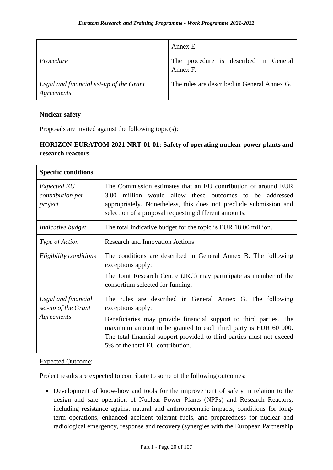|                                                       | Annex E.                                          |
|-------------------------------------------------------|---------------------------------------------------|
| Procedure                                             | The procedure is described in General<br>Annex F. |
| Legal and financial set-up of the Grant<br>Agreements | The rules are described in General Annex G.       |

#### <span id="page-23-0"></span>**Nuclear safety**

Proposals are invited against the following topic(s):

## <span id="page-23-1"></span>**HORIZON-EURATOM-2021-NRT-01-01: Safety of operating nuclear power plants and research reactors**

| <b>Specific conditions</b>                               |                                                                                                                                                                                                                                                                                                                                     |
|----------------------------------------------------------|-------------------------------------------------------------------------------------------------------------------------------------------------------------------------------------------------------------------------------------------------------------------------------------------------------------------------------------|
| <i>Expected EU</i><br>contribution per<br>project        | The Commission estimates that an EU contribution of around EUR<br>million would allow these outcomes to be addressed<br>3.00<br>appropriately. Nonetheless, this does not preclude submission and<br>selection of a proposal requesting different amounts.                                                                          |
| Indicative budget                                        | The total indicative budget for the topic is EUR 18.00 million.                                                                                                                                                                                                                                                                     |
| Type of Action                                           | <b>Research and Innovation Actions</b>                                                                                                                                                                                                                                                                                              |
| Eligibility conditions                                   | The conditions are described in General Annex B. The following<br>exceptions apply:<br>The Joint Research Centre (JRC) may participate as member of the<br>consortium selected for funding.                                                                                                                                         |
| Legal and financial<br>set-up of the Grant<br>Agreements | The rules are described in General Annex G. The following<br>exceptions apply:<br>Beneficiaries may provide financial support to third parties. The<br>maximum amount to be granted to each third party is EUR 60 000.<br>The total financial support provided to third parties must not exceed<br>5% of the total EU contribution. |

#### Expected Outcome:

Project results are expected to contribute to some of the following outcomes:

 Development of know-how and tools for the improvement of safety in relation to the design and safe operation of Nuclear Power Plants (NPPs) and Research Reactors, including resistance against natural and anthropocentric impacts, conditions for longterm operations, enhanced accident tolerant fuels, and preparedness for nuclear and radiological emergency, response and recovery (synergies with the European Partnership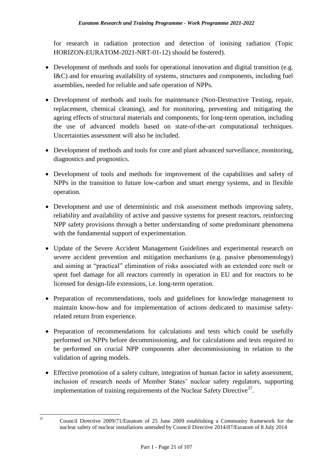for research in radiation protection and detection of ionising radiation (Topic HORIZON-EURATOM-2021-NRT-01-12) should be fostered).

- Development of methods and tools for operational innovation and digital transition (e.g. I&C) and for ensuring availability of systems, structures and components, including fuel assemblies, needed for reliable and safe operation of NPPs.
- Development of methods and tools for maintenance (Non-Destructive Testing, repair, replacement, chemical cleaning), and for monitoring, preventing and mitigating the ageing effects of structural materials and components, for long-term operation, including the use of advanced models based on state-of-the-art computational techniques. Uncertainties assessment will also be included.
- Development of methods and tools for core and plant advanced surveillance, monitoring, diagnostics and prognostics.
- Development of tools and methods for improvement of the capabilities and safety of NPPs in the transition to future low-carbon and smart energy systems, and in flexible operation.
- Development and use of deterministic and risk assessment methods improving safety, reliability and availability of active and passive systems for present reactors, reinforcing NPP safety provisions through a better understanding of some predominant phenomena with the fundamental support of experimentation.
- Update of the Severe Accident Management Guidelines and experimental research on severe accident prevention and mitigation mechanisms (e.g. passive phenomenology) and aiming at "practical" elimination of risks associated with an extended core melt or spent fuel damage for all reactors currently in operation in EU and for reactors to be licensed for design-life extensions, i.e. long-term operation.
- Preparation of recommendations, tools and guidelines for knowledge management to maintain know-how and for implementation of actions dedicated to maximise safetyrelated return from experience.
- Preparation of recommendations for calculations and tests which could be usefully performed on NPPs before decommissioning, and for calculations and tests required to be performed on crucial NPP components after decommissioning in relation to the validation of ageing models.
- Effective promotion of a safety culture, integration of human factor in safety assessment, inclusion of research needs of Member States' nuclear safety regulators, supporting implementation of training requirements of the Nuclear Safety Directive $37$ .

 $37$ 

<sup>37</sup> Council Directive 2009/71/Euratom of 25 June 2009 establishing a Community framework for the nuclear safety of nuclear installations amended by Council Directive 2014/87/Euratom of 8 July 2014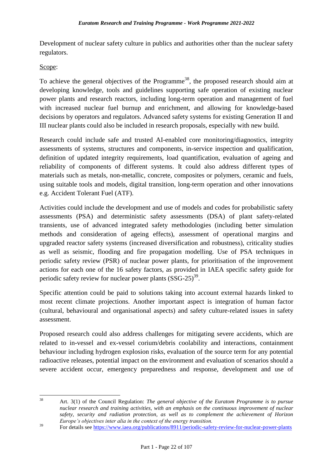Development of nuclear safety culture in publics and authorities other than the nuclear safety regulators.

#### Scope:

To achieve the general objectives of the Programme<sup>38</sup>, the proposed research should aim at developing knowledge, tools and guidelines supporting safe operation of existing nuclear power plants and research reactors, including long-term operation and management of fuel with increased nuclear fuel burnup and enrichment, and allowing for knowledge-based decisions by operators and regulators. Advanced safety systems for existing Generation II and III nuclear plants could also be included in research proposals, especially with new build.

Research could include safe and trusted AI-enabled core monitoring/diagnostics, integrity assessments of systems, structures and components, in-service inspection and qualification, definition of updated integrity requirements, load quantification, evaluation of ageing and reliability of components of different systems. It could also address different types of materials such as metals, non-metallic, concrete, composites or polymers, ceramic and fuels, using suitable tools and models, digital transition, long-term operation and other innovations e.g. Accident Tolerant Fuel (ATF).

Activities could include the development and use of models and codes for probabilistic safety assessments (PSA) and deterministic safety assessments (DSA) of plant safety-related transients, use of advanced integrated safety methodologies (including better simulation methods and consideration of ageing effects), assessment of operational margins and upgraded reactor safety systems (increased diversification and robustness), criticality studies as well as seismic, flooding and fire propagation modelling. Use of PSA techniques in periodic safety review (PSR) of nuclear power plants, for prioritisation of the improvement actions for each one of the 16 safety factors, as provided in IAEA specific safety guide for periodic safety review for nuclear power plants  $(SSG-25)^{39}$ .

Specific attention could be paid to solutions taking into account external hazards linked to most recent climate projections. Another important aspect is integration of human factor (cultural, behavioural and organisational aspects) and safety culture-related issues in safety assessment.

Proposed research could also address challenges for mitigating severe accidents, which are related to in-vessel and ex-vessel corium/debris coolability and interactions, containment behaviour including hydrogen explosion risks, evaluation of the source term for any potential radioactive releases, potential impact on the environment and evaluation of scenarios should a severe accident occur, emergency preparedness and response, development and use of

<sup>38</sup> <sup>38</sup> Art. 3(1) of the Council Regulation: *The general objective of the Euratom Programme is to pursue nuclear research and training activities, with an emphasis on the continuous improvement of nuclear safety, security and radiation protection, as well as to complement the achievement of Horizon Europe's objectives inter alia in the context of the energy transition.*

<sup>&</sup>lt;sup>39</sup> For details see<https://www.iaea.org/publications/8911/periodic-safety-review-for-nuclear-power-plants>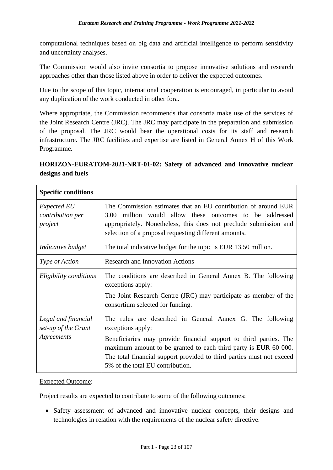computational techniques based on big data and artificial intelligence to perform sensitivity and uncertainty analyses.

The Commission would also invite consortia to propose innovative solutions and research approaches other than those listed above in order to deliver the expected outcomes.

Due to the scope of this topic, international cooperation is encouraged, in particular to avoid any duplication of the work conducted in other fora.

Where appropriate, the Commission recommends that consortia make use of the services of the Joint Research Centre (JRC). The JRC may participate in the preparation and submission of the proposal. The JRC would bear the operational costs for its staff and research infrastructure. The JRC facilities and expertise are listed in General Annex H of this Work Programme.

#### <span id="page-26-0"></span>**HORIZON-EURATOM-2021-NRT-01-02: Safety of advanced and innovative nuclear designs and fuels**

| <b>Specific conditions</b>                               |                                                                                                                                                                                                                                                                                                                                     |
|----------------------------------------------------------|-------------------------------------------------------------------------------------------------------------------------------------------------------------------------------------------------------------------------------------------------------------------------------------------------------------------------------------|
| <i>Expected EU</i><br>contribution per<br>project        | The Commission estimates that an EU contribution of around EUR<br>million would allow these outcomes to be addressed<br>3.00<br>appropriately. Nonetheless, this does not preclude submission and<br>selection of a proposal requesting different amounts.                                                                          |
| Indicative budget                                        | The total indicative budget for the topic is EUR 13.50 million.                                                                                                                                                                                                                                                                     |
| Type of Action                                           | <b>Research and Innovation Actions</b>                                                                                                                                                                                                                                                                                              |
| Eligibility conditions                                   | The conditions are described in General Annex B. The following<br>exceptions apply:<br>The Joint Research Centre (JRC) may participate as member of the<br>consortium selected for funding.                                                                                                                                         |
| Legal and financial<br>set-up of the Grant<br>Agreements | The rules are described in General Annex G. The following<br>exceptions apply:<br>Beneficiaries may provide financial support to third parties. The<br>maximum amount to be granted to each third party is EUR 60 000.<br>The total financial support provided to third parties must not exceed<br>5% of the total EU contribution. |

#### Expected Outcome:

Project results are expected to contribute to some of the following outcomes:

 Safety assessment of advanced and innovative nuclear concepts, their designs and technologies in relation with the requirements of the nuclear safety directive.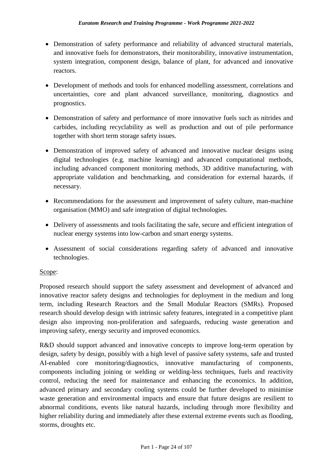- Demonstration of safety performance and reliability of advanced structural materials, and innovative fuels for demonstrators, their monitorability, innovative instrumentation, system integration, component design, balance of plant, for advanced and innovative reactors.
- Development of methods and tools for enhanced modelling assessment, correlations and uncertainties, core and plant advanced surveillance, monitoring, diagnostics and prognostics.
- Demonstration of safety and performance of more innovative fuels such as nitrides and carbides, including recyclability as well as production and out of pile performance together with short term storage safety issues.
- Demonstration of improved safety of advanced and innovative nuclear designs using digital technologies (e.g. machine learning) and advanced computational methods, including advanced component monitoring methods, 3D additive manufacturing, with appropriate validation and benchmarking, and consideration for external hazards, if necessary.
- Recommendations for the assessment and improvement of safety culture, man-machine organisation (MMO) and safe integration of digital technologies.
- Delivery of assessments and tools facilitating the safe, secure and efficient integration of nuclear energy systems into low-carbon and smart energy systems.
- Assessment of social considerations regarding safety of advanced and innovative technologies.

#### Scope:

Proposed research should support the safety assessment and development of advanced and innovative reactor safety designs and technologies for deployment in the medium and long term, including Research Reactors and the Small Modular Reactors (SMRs). Proposed research should develop design with intrinsic safety features, integrated in a competitive plant design also improving non-proliferation and safeguards, reducing waste generation and improving safety, energy security and improved economics.

R&D should support advanced and innovative concepts to improve long-term operation by design, safety by design, possibly with a high level of passive safety systems, safe and trusted AI-enabled core monitoring/diagnostics, innovative manufacturing of components, components including joining or welding or welding-less techniques, fuels and reactivity control, reducing the need for maintenance and enhancing the economics. In addition, advanced primary and secondary cooling systems could be further developed to minimise waste generation and environmental impacts and ensure that future designs are resilient to abnormal conditions, events like natural hazards, including through more flexibility and higher reliability during and immediately after these external extreme events such as flooding, storms, droughts etc.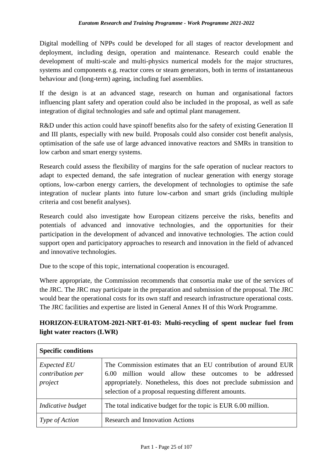Digital modelling of NPPs could be developed for all stages of reactor development and deployment, including design, operation and maintenance. Research could enable the development of multi-scale and multi-physics numerical models for the major structures, systems and components e.g. reactor cores or steam generators, both in terms of instantaneous behaviour and (long-term) ageing, including fuel assemblies.

If the design is at an advanced stage, research on human and organisational factors influencing plant safety and operation could also be included in the proposal, as well as safe integration of digital technologies and safe and optimal plant management.

R&D under this action could have spinoff benefits also for the safety of existing Generation II and III plants, especially with new build. Proposals could also consider cost benefit analysis, optimisation of the safe use of large advanced innovative reactors and SMRs in transition to low carbon and smart energy systems.

Research could assess the flexibility of margins for the safe operation of nuclear reactors to adapt to expected demand, the safe integration of nuclear generation with energy storage options, low-carbon energy carriers, the development of technologies to optimise the safe integration of nuclear plants into future low-carbon and smart grids (including multiple criteria and cost benefit analyses).

Research could also investigate how European citizens perceive the risks, benefits and potentials of advanced and innovative technologies, and the opportunities for their participation in the development of advanced and innovative technologies. The action could support open and participatory approaches to research and innovation in the field of advanced and innovative technologies.

Due to the scope of this topic, international cooperation is encouraged.

Where appropriate, the Commission recommends that consortia make use of the services of the JRC. The JRC may participate in the preparation and submission of the proposal. The JRC would bear the operational costs for its own staff and research infrastructure operational costs. The JRC facilities and expertise are listed in General Annex H of this Work Programme.

## <span id="page-28-0"></span>**HORIZON-EURATOM-2021-NRT-01-03: Multi-recycling of spent nuclear fuel from light water reactors (LWR)**

| <b>Specific conditions</b>                        |                                                                                                                                                                                                                                                         |
|---------------------------------------------------|---------------------------------------------------------------------------------------------------------------------------------------------------------------------------------------------------------------------------------------------------------|
| <i>Expected EU</i><br>contribution per<br>project | The Commission estimates that an EU contribution of around EUR<br>6.00 million would allow these outcomes to be addressed<br>appropriately. Nonetheless, this does not preclude submission and<br>selection of a proposal requesting different amounts. |
| Indicative budget                                 | The total indicative budget for the topic is EUR 6.00 million.                                                                                                                                                                                          |
| <i>Type of Action</i>                             | <b>Research and Innovation Actions</b>                                                                                                                                                                                                                  |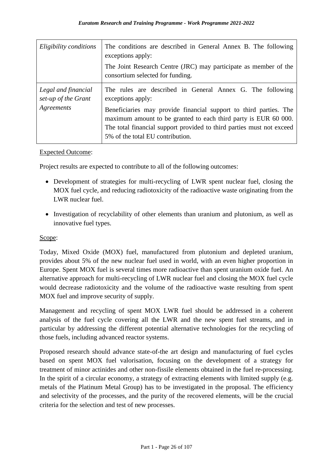| Eligibility conditions                                   | The conditions are described in General Annex B. The following<br>exceptions apply:                                                                                                                                                                                                                                                 |
|----------------------------------------------------------|-------------------------------------------------------------------------------------------------------------------------------------------------------------------------------------------------------------------------------------------------------------------------------------------------------------------------------------|
|                                                          | The Joint Research Centre (JRC) may participate as member of the<br>consortium selected for funding.                                                                                                                                                                                                                                |
| Legal and financial<br>set-up of the Grant<br>Agreements | The rules are described in General Annex G. The following<br>exceptions apply:<br>Beneficiaries may provide financial support to third parties. The<br>maximum amount to be granted to each third party is EUR 60 000.<br>The total financial support provided to third parties must not exceed<br>5% of the total EU contribution. |

#### Expected Outcome:

Project results are expected to contribute to all of the following outcomes:

- Development of strategies for multi-recycling of LWR spent nuclear fuel, closing the MOX fuel cycle, and reducing radiotoxicity of the radioactive waste originating from the LWR nuclear fuel.
- Investigation of recyclability of other elements than uranium and plutonium, as well as innovative fuel types.

#### Scope:

Today, Mixed Oxide (MOX) fuel, manufactured from plutonium and depleted uranium, provides about 5% of the new nuclear fuel used in world, with an even higher proportion in Europe. Spent MOX fuel is several times more radioactive than spent uranium oxide fuel. An alternative approach for multi-recycling of LWR nuclear fuel and closing the MOX fuel cycle would decrease radiotoxicity and the volume of the radioactive waste resulting from spent MOX fuel and improve security of supply.

Management and recycling of spent MOX LWR fuel should be addressed in a coherent analysis of the fuel cycle covering all the LWR and the new spent fuel streams, and in particular by addressing the different potential alternative technologies for the recycling of those fuels, including advanced reactor systems.

Proposed research should advance state-of-the art design and manufacturing of fuel cycles based on spent MOX fuel valorisation, focusing on the development of a strategy for treatment of minor actinides and other non-fissile elements obtained in the fuel re-processing. In the spirit of a circular economy, a strategy of extracting elements with limited supply (e.g. metals of the Platinum Metal Group) has to be investigated in the proposal. The efficiency and selectivity of the processes, and the purity of the recovered elements, will be the crucial criteria for the selection and test of new processes.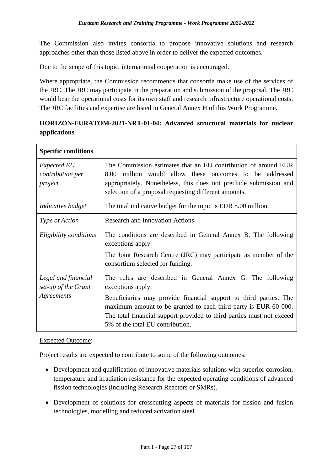The Commission also invites consortia to propose innovative solutions and research approaches other than those listed above in order to deliver the expected outcomes.

Due to the scope of this topic, international cooperation is encouraged.

Where appropriate, the Commission recommends that consortia make use of the services of the JRC. The JRC may participate in the preparation and submission of the proposal. The JRC would bear the operational costs for its own staff and research infrastructure operational costs. The JRC facilities and expertise are listed in General Annex H of this Work Programme.

#### <span id="page-30-0"></span>**HORIZON-EURATOM-2021-NRT-01-04: Advanced structural materials for nuclear applications**

| <b>Specific conditions</b>                               |                                                                                                                                                                                                                                                                                                                                     |
|----------------------------------------------------------|-------------------------------------------------------------------------------------------------------------------------------------------------------------------------------------------------------------------------------------------------------------------------------------------------------------------------------------|
| <i>Expected EU</i><br>contribution per<br>project        | The Commission estimates that an EU contribution of around EUR<br>million would allow these outcomes to be addressed<br>8.00<br>appropriately. Nonetheless, this does not preclude submission and<br>selection of a proposal requesting different amounts.                                                                          |
| Indicative budget                                        | The total indicative budget for the topic is EUR 8.00 million.                                                                                                                                                                                                                                                                      |
| Type of Action                                           | <b>Research and Innovation Actions</b>                                                                                                                                                                                                                                                                                              |
| Eligibility conditions                                   | The conditions are described in General Annex B. The following<br>exceptions apply:<br>The Joint Research Centre (JRC) may participate as member of the<br>consortium selected for funding.                                                                                                                                         |
| Legal and financial<br>set-up of the Grant<br>Agreements | The rules are described in General Annex G. The following<br>exceptions apply:<br>Beneficiaries may provide financial support to third parties. The<br>maximum amount to be granted to each third party is EUR 60 000.<br>The total financial support provided to third parties must not exceed<br>5% of the total EU contribution. |

#### Expected Outcome:

Project results are expected to contribute to some of the following outcomes:

- Development and qualification of innovative materials solutions with superior corrosion, temperature and irradiation resistance for the expected operating conditions of advanced fission technologies (including Research Reactors or SMRs).
- Development of solutions for crosscutting aspects of materials for fission and fusion technologies, modelling and reduced activation steel.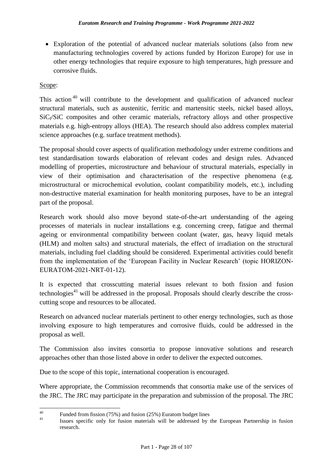Exploration of the potential of advanced nuclear materials solutions (also from new manufacturing technologies covered by actions funded by Horizon Europe) for use in other energy technologies that require exposure to high temperatures, high pressure and corrosive fluids.

#### Scope:

This action<sup>40</sup> will contribute to the development and qualification of advanced nuclear structural materials, such as austenitic, ferritic and martensitic steels, nickel based alloys,  $SiC_f/SiC$  composites and other ceramic materials, refractory alloys and other prospective materials e.g. high-entropy alloys (HEA). The research should also address complex material science approaches (e.g. surface treatment methods).

The proposal should cover aspects of qualification methodology under extreme conditions and test standardisation towards elaboration of relevant codes and design rules. Advanced modelling of properties, microstructure and behaviour of structural materials, especially in view of their optimisation and characterisation of the respective phenomena (e.g. microstructural or microchemical evolution, coolant compatibility models, etc.), including non-destructive material examination for health monitoring purposes, have to be an integral part of the proposal.

Research work should also move beyond state-of-the-art understanding of the ageing processes of materials in nuclear installations e.g. concerning creep, fatigue and thermal ageing or environmental compatibility between coolant (water, gas, heavy liquid metals (HLM) and molten salts) and structural materials, the effect of irradiation on the structural materials, including fuel cladding should be considered. Experimental activities could benefit from the implementation of the 'European Facility in Nuclear Research' (topic HORIZON-EURATOM-2021-NRT-01-12).

It is expected that crosscutting material issues relevant to both fission and fusion technologies<sup>41</sup> will be addressed in the proposal. Proposals should clearly describe the crosscutting scope and resources to be allocated.

Research on advanced nuclear materials pertinent to other energy technologies, such as those involving exposure to high temperatures and corrosive fluids, could be addressed in the proposal as well.

The Commission also invites consortia to propose innovative solutions and research approaches other than those listed above in order to deliver the expected outcomes.

Due to the scope of this topic, international cooperation is encouraged.

Where appropriate, the Commission recommends that consortia make use of the services of the JRC. The JRC may participate in the preparation and submission of the proposal. The JRC

 $40\,$ <sup>40</sup> Funded from fission (75%) and fusion (25%) Euratom budget lines

<sup>41</sup> Issues specific only for fusion materials will be addressed by the European Partnership in fusion research.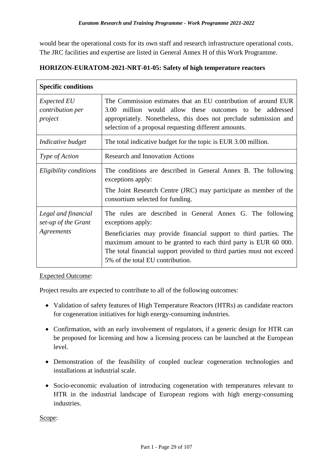would bear the operational costs for its own staff and research infrastructure operational costs. The JRC facilities and expertise are listed in General Annex H of this Work Programme.

| <b>Specific conditions</b>                               |                                                                                                                                                                                                                                                                                                                                     |
|----------------------------------------------------------|-------------------------------------------------------------------------------------------------------------------------------------------------------------------------------------------------------------------------------------------------------------------------------------------------------------------------------------|
| <i>Expected EU</i><br>contribution per<br>project        | The Commission estimates that an EU contribution of around EUR<br>million would allow these outcomes to be addressed<br>3.00<br>appropriately. Nonetheless, this does not preclude submission and<br>selection of a proposal requesting different amounts.                                                                          |
| Indicative budget                                        | The total indicative budget for the topic is EUR 3.00 million.                                                                                                                                                                                                                                                                      |
| <i>Type of Action</i>                                    | <b>Research and Innovation Actions</b>                                                                                                                                                                                                                                                                                              |
| Eligibility conditions                                   | The conditions are described in General Annex B. The following<br>exceptions apply:<br>The Joint Research Centre (JRC) may participate as member of the<br>consortium selected for funding.                                                                                                                                         |
| Legal and financial<br>set-up of the Grant<br>Agreements | The rules are described in General Annex G. The following<br>exceptions apply:<br>Beneficiaries may provide financial support to third parties. The<br>maximum amount to be granted to each third party is EUR 60 000.<br>The total financial support provided to third parties must not exceed<br>5% of the total EU contribution. |

#### <span id="page-32-0"></span>**HORIZON-EURATOM-2021-NRT-01-05: Safety of high temperature reactors**

#### Expected Outcome:

Project results are expected to contribute to all of the following outcomes:

- Validation of safety features of High Temperature Reactors (HTRs) as candidate reactors for cogeneration initiatives for high energy-consuming industries.
- Confirmation, with an early involvement of regulators, if a generic design for HTR can be proposed for licensing and how a licensing process can be launched at the European level.
- Demonstration of the feasibility of coupled nuclear cogeneration technologies and installations at industrial scale.
- Socio-economic evaluation of introducing cogeneration with temperatures relevant to HTR in the industrial landscape of European regions with high energy-consuming industries.

Scope: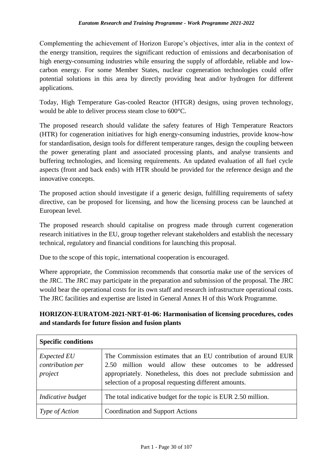Complementing the achievement of Horizon Europe's objectives, inter alia in the context of the energy transition, requires the significant reduction of emissions and decarbonisation of high energy-consuming industries while ensuring the supply of affordable, reliable and lowcarbon energy. For some Member States, nuclear cogeneration technologies could offer potential solutions in this area by directly providing heat and/or hydrogen for different applications.

Today, High Temperature Gas-cooled Reactor (HTGR) designs, using proven technology, would be able to deliver process steam close to 600°C.

The proposed research should validate the safety features of High Temperature Reactors (HTR) for cogeneration initiatives for high energy-consuming industries, provide know-how for standardisation, design tools for different temperature ranges, design the coupling between the power generating plant and associated processing plants, and analyse transients and buffering technologies, and licensing requirements. An updated evaluation of all fuel cycle aspects (front and back ends) with HTR should be provided for the reference design and the innovative concepts.

The proposed action should investigate if a generic design, fulfilling requirements of safety directive, can be proposed for licensing, and how the licensing process can be launched at European level.

The proposed research should capitalise on progress made through current cogeneration research initiatives in the EU, group together relevant stakeholders and establish the necessary technical, regulatory and financial conditions for launching this proposal.

Due to the scope of this topic, international cooperation is encouraged.

Where appropriate, the Commission recommends that consortia make use of the services of the JRC. The JRC may participate in the preparation and submission of the proposal. The JRC would bear the operational costs for its own staff and research infrastructure operational costs. The JRC facilities and expertise are listed in General Annex H of this Work Programme.

#### <span id="page-33-0"></span>**HORIZON-EURATOM-2021-NRT-01-06: Harmonisation of licensing procedures, codes and standards for future fission and fusion plants**

| <b>Specific conditions</b>                        |                                                                                                                                                                                                                                                            |
|---------------------------------------------------|------------------------------------------------------------------------------------------------------------------------------------------------------------------------------------------------------------------------------------------------------------|
| <b>Expected EU</b><br>contribution per<br>project | The Commission estimates that an EU contribution of around EUR<br>million would allow these outcomes to be addressed<br>2.50<br>appropriately. Nonetheless, this does not preclude submission and<br>selection of a proposal requesting different amounts. |
| Indicative budget                                 | The total indicative budget for the topic is EUR 2.50 million.                                                                                                                                                                                             |
| <i>Type of Action</i>                             | <b>Coordination and Support Actions</b>                                                                                                                                                                                                                    |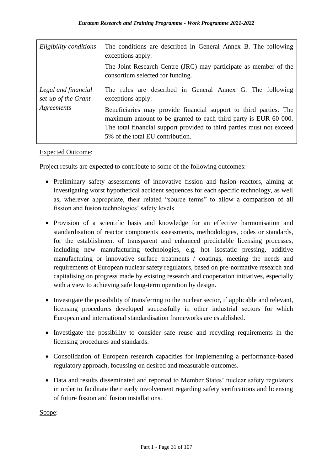| Eligibility conditions                                   | The conditions are described in General Annex B. The following<br>exceptions apply:                                                                                                                                                                                                                                                 |
|----------------------------------------------------------|-------------------------------------------------------------------------------------------------------------------------------------------------------------------------------------------------------------------------------------------------------------------------------------------------------------------------------------|
|                                                          | The Joint Research Centre (JRC) may participate as member of the<br>consortium selected for funding.                                                                                                                                                                                                                                |
| Legal and financial<br>set-up of the Grant<br>Agreements | The rules are described in General Annex G. The following<br>exceptions apply:<br>Beneficiaries may provide financial support to third parties. The<br>maximum amount to be granted to each third party is EUR 60 000.<br>The total financial support provided to third parties must not exceed<br>5% of the total EU contribution. |

#### Expected Outcome:

Project results are expected to contribute to some of the following outcomes:

- Preliminary safety assessments of innovative fission and fusion reactors, aiming at investigating worst hypothetical accident sequences for each specific technology, as well as, wherever appropriate, their related "source terms" to allow a comparison of all fission and fusion technologies' safety levels.
- Provision of a scientific basis and knowledge for an effective harmonisation and standardisation of reactor components assessments, methodologies, codes or standards, for the establishment of transparent and enhanced predictable licensing processes, including new manufacturing technologies, e.g. hot isostatic pressing, additive manufacturing or innovative surface treatments / coatings, meeting the needs and requirements of European nuclear safety regulators, based on pre-normative research and capitalising on progress made by existing research and cooperation initiatives, especially with a view to achieving safe long-term operation by design.
- Investigate the possibility of transferring to the nuclear sector, if applicable and relevant, licensing procedures developed successfully in other industrial sectors for which European and international standardisation frameworks are established.
- Investigate the possibility to consider safe reuse and recycling requirements in the licensing procedures and standards.
- Consolidation of European research capacities for implementing a performance-based regulatory approach, focussing on desired and measurable outcomes.
- Data and results disseminated and reported to Member States' nuclear safety regulators in order to facilitate their early involvement regarding safety verifications and licensing of future fission and fusion installations.

Scope: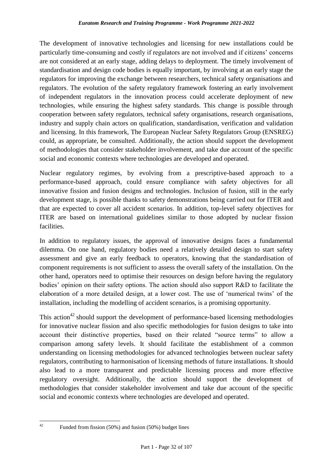The development of innovative technologies and licensing for new installations could be particularly time-consuming and costly if regulators are not involved and if citizens' concerns are not considered at an early stage, adding delays to deployment. The timely involvement of standardisation and design code bodies is equally important, by involving at an early stage the regulators for improving the exchange between researchers, technical safety organisations and regulators. The evolution of the safety regulatory framework fostering an early involvement of independent regulators in the innovation process could accelerate deployment of new technologies, while ensuring the highest safety standards. This change is possible through cooperation between safety regulators, technical safety organisations, research organisations, industry and supply chain actors on qualification, standardisation, verification and validation and licensing. In this framework, The European Nuclear Safety Regulators Group (ENSREG) could, as appropriate, be consulted. Additionally, the action should support the development of methodologies that consider stakeholder involvement, and take due account of the specific social and economic contexts where technologies are developed and operated.

Nuclear regulatory regimes, by evolving from a prescriptive-based approach to a performance-based approach, could ensure compliance with safety objectives for all innovative fission and fusion designs and technologies. Inclusion of fusion, still in the early development stage, is possible thanks to safety demonstrations being carried out for ITER and that are expected to cover all accident scenarios. In addition, top-level safety objectives for ITER are based on international guidelines similar to those adopted by nuclear fission facilities.

In addition to regulatory issues, the approval of innovative designs faces a fundamental dilemma. On one hand, regulatory bodies need a relatively detailed design to start safety assessment and give an early feedback to operators, knowing that the standardisation of component requirements is not sufficient to assess the overall safety of the installation. On the other hand, operators need to optimise their resources on design before having the regulatory bodies' opinion on their safety options. The action should also support R&D to facilitate the elaboration of a more detailed design, at a lower cost. The use of 'numerical twins' of the installation, including the modelling of accident scenarios, is a promising opportunity.

This action<sup>42</sup> should support the development of performance-based licensing methodologies for innovative nuclear fission and also specific methodologies for fusion designs to take into account their distinctive properties, based on their related "source terms" to allow a comparison among safety levels. It should facilitate the establishment of a common understanding on licensing methodologies for advanced technologies between nuclear safety regulators, contributing to harmonisation of licensing methods of future installations. It should also lead to a more transparent and predictable licensing process and more effective regulatory oversight. Additionally, the action should support the development of methodologies that consider stakeholder involvement and take due account of the specific social and economic contexts where technologies are developed and operated.

 $42$ 

Funded from fission  $(50\%)$  and fusion  $(50\%)$  budget lines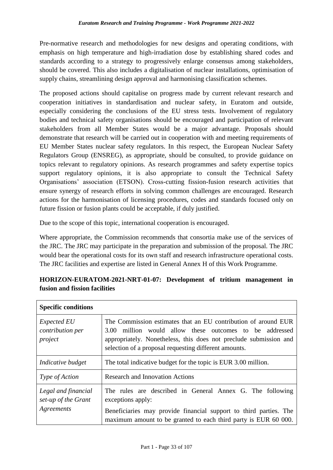Pre-normative research and methodologies for new designs and operating conditions, with emphasis on high temperature and high-irradiation dose by establishing shared codes and standards according to a strategy to progressively enlarge consensus among stakeholders, should be covered. This also includes a digitalisation of nuclear installations, optimisation of supply chains, streamlining design approval and harmonising classification schemes.

The proposed actions should capitalise on progress made by current relevant research and cooperation initiatives in standardisation and nuclear safety, in Euratom and outside, especially considering the conclusions of the EU stress tests. Involvement of regulatory bodies and technical safety organisations should be encouraged and participation of relevant stakeholders from all Member States would be a major advantage. Proposals should demonstrate that research will be carried out in cooperation with and meeting requirements of EU Member States nuclear safety regulators. In this respect, the European Nuclear Safety Regulators Group (ENSREG), as appropriate, should be consulted, to provide guidance on topics relevant to regulatory opinions. As research programmes and safety expertise topics support regulatory opinions, it is also appropriate to consult the Technical Safety Organisations' association (ETSON). Cross-cutting fission-fusion research activities that ensure synergy of research efforts in solving common challenges are encouraged. Research actions for the harmonisation of licensing procedures, codes and standards focused only on future fission or fusion plants could be acceptable, if duly justified.

Due to the scope of this topic, international cooperation is encouraged.

Where appropriate, the Commission recommends that consortia make use of the services of the JRC. The JRC may participate in the preparation and submission of the proposal. The JRC would bear the operational costs for its own staff and research infrastructure operational costs. The JRC facilities and expertise are listed in General Annex H of this Work Programme.

| <b>Specific conditions</b>                               |                                                                                                                                                                                                                                                         |
|----------------------------------------------------------|---------------------------------------------------------------------------------------------------------------------------------------------------------------------------------------------------------------------------------------------------------|
| <i>Expected EU</i><br>contribution per<br>project        | The Commission estimates that an EU contribution of around EUR<br>3.00 million would allow these outcomes to be addressed<br>appropriately. Nonetheless, this does not preclude submission and<br>selection of a proposal requesting different amounts. |
| Indicative budget                                        | The total indicative budget for the topic is EUR 3.00 million.                                                                                                                                                                                          |
| <i>Type of Action</i>                                    | <b>Research and Innovation Actions</b>                                                                                                                                                                                                                  |
| Legal and financial<br>set-up of the Grant<br>Agreements | The rules are described in General Annex G. The following<br>exceptions apply:<br>Beneficiaries may provide financial support to third parties. The<br>maximum amount to be granted to each third party is EUR 60 000.                                  |

## **HORIZON-EURATOM-2021-NRT-01-07: Development of tritium management in fusion and fission facilities**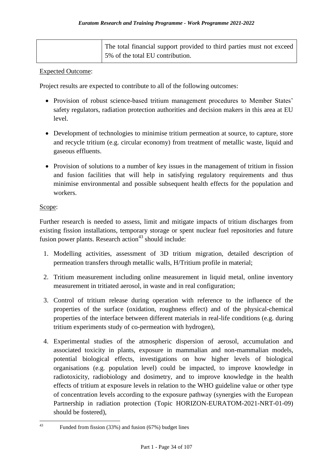| The total financial support provided to third parties must not exceed |
|-----------------------------------------------------------------------|
| $\frac{1}{2}$ 5% of the total EU contribution.                        |

#### Expected Outcome:

Project results are expected to contribute to all of the following outcomes:

- Provision of robust science-based tritium management procedures to Member States' safety regulators, radiation protection authorities and decision makers in this area at EU level.
- Development of technologies to minimise tritium permeation at source, to capture, store and recycle tritium (e.g. circular economy) from treatment of metallic waste, liquid and gaseous effluents.
- Provision of solutions to a number of key issues in the management of tritium in fission and fusion facilities that will help in satisfying regulatory requirements and thus minimise environmental and possible subsequent health effects for the population and workers.

#### Scope:

Further research is needed to assess, limit and mitigate impacts of tritium discharges from existing fission installations, temporary storage or spent nuclear fuel repositories and future fusion power plants. Research action<sup>43</sup> should include:

- 1. Modelling activities, assessment of 3D tritium migration, detailed description of permeation transfers through metallic walls, H/Tritium profile in material;
- 2. Tritium measurement including online measurement in liquid metal, online inventory measurement in tritiated aerosol, in waste and in real configuration;
- 3. Control of tritium release during operation with reference to the influence of the properties of the surface (oxidation, roughness effect) and of the physical-chemical properties of the interface between different materials in real-life conditions (e.g. during tritium experiments study of co-permeation with hydrogen),
- 4. Experimental studies of the atmospheric dispersion of aerosol, accumulation and associated toxicity in plants, exposure in mammalian and non-mammalian models, potential biological effects, investigations on how higher levels of biological organisations (e.g. population level) could be impacted, to improve knowledge in radiotoxicity, radiobiology and dosimetry, and to improve knowledge in the health effects of tritium at exposure levels in relation to the WHO guideline value or other type of concentration levels according to the exposure pathway (synergies with the European Partnership in radiation protection (Topic HORIZON-EURATOM-2021-NRT-01-09) should be fostered),

 $43$ <sup>43</sup> Funded from fission (33%) and fusion (67%) budget lines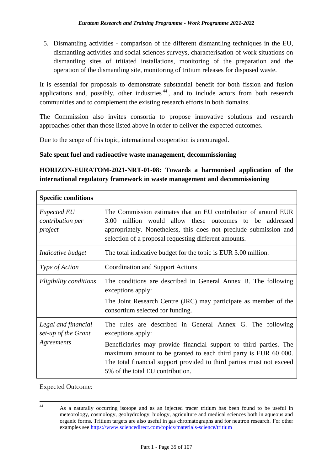5. Dismantling activities - comparison of the different dismantling techniques in the EU, dismantling activities and social sciences surveys, characterisation of work situations on dismantling sites of tritiated installations, monitoring of the preparation and the operation of the dismantling site, monitoring of tritium releases for disposed waste.

It is essential for proposals to demonstrate substantial benefit for both fission and fusion applications and, possibly, other industries  $44$ , and to include actors from both research communities and to complement the existing research efforts in both domains.

The Commission also invites consortia to propose innovative solutions and research approaches other than those listed above in order to deliver the expected outcomes.

Due to the scope of this topic, international cooperation is encouraged.

#### **Safe spent fuel and radioactive waste management, decommissioning**

## **HORIZON-EURATOM-2021-NRT-01-08: Towards a harmonised application of the international regulatory framework in waste management and decommissioning**

| <b>Specific conditions</b>                               |                                                                                                                                                                                                                                                                                                                                     |
|----------------------------------------------------------|-------------------------------------------------------------------------------------------------------------------------------------------------------------------------------------------------------------------------------------------------------------------------------------------------------------------------------------|
| <i>Expected EU</i><br>contribution per<br>project        | The Commission estimates that an EU contribution of around EUR<br>million would allow these outcomes to be addressed<br>3.00<br>appropriately. Nonetheless, this does not preclude submission and<br>selection of a proposal requesting different amounts.                                                                          |
| Indicative budget                                        | The total indicative budget for the topic is EUR 3.00 million.                                                                                                                                                                                                                                                                      |
| Type of Action                                           | <b>Coordination and Support Actions</b>                                                                                                                                                                                                                                                                                             |
| Eligibility conditions                                   | The conditions are described in General Annex B. The following<br>exceptions apply:<br>The Joint Research Centre (JRC) may participate as member of the<br>consortium selected for funding.                                                                                                                                         |
| Legal and financial<br>set-up of the Grant<br>Agreements | The rules are described in General Annex G. The following<br>exceptions apply:<br>Beneficiaries may provide financial support to third parties. The<br>maximum amount to be granted to each third party is EUR 60 000.<br>The total financial support provided to third parties must not exceed<br>5% of the total EU contribution. |

#### Expected Outcome:

 $\overline{44}$ <sup>44</sup> As a naturally occurring isotope and as an injected tracer tritium has been found to be useful in meteorology, cosmology, geohydrology, biology, agriculture and medical sciences both in aqueous and organic forms. Tritium targets are also useful in gas chromatographs and for neutron research. For other examples see<https://www.sciencedirect.com/topics/materials-science/tritium>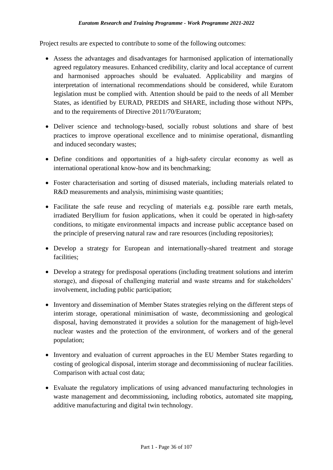Project results are expected to contribute to some of the following outcomes:

- Assess the advantages and disadvantages for harmonised application of internationally agreed regulatory measures. Enhanced credibility, clarity and local acceptance of current and harmonised approaches should be evaluated. Applicability and margins of interpretation of international recommendations should be considered, while Euratom legislation must be complied with. Attention should be paid to the needs of all Member States, as identified by EURAD, PREDIS and SHARE, including those without NPPs, and to the requirements of Directive 2011/70/Euratom;
- Deliver science and technology-based, socially robust solutions and share of best practices to improve operational excellence and to minimise operational, dismantling and induced secondary wastes;
- Define conditions and opportunities of a high-safety circular economy as well as international operational know-how and its benchmarking;
- Foster characterisation and sorting of disused materials, including materials related to R&D measurements and analysis, minimising waste quantities;
- Facilitate the safe reuse and recycling of materials e.g. possible rare earth metals, irradiated Beryllium for fusion applications, when it could be operated in high-safety conditions, to mitigate environmental impacts and increase public acceptance based on the principle of preserving natural raw and rare resources (including repositories);
- Develop a strategy for European and internationally-shared treatment and storage facilities;
- Develop a strategy for predisposal operations (including treatment solutions and interim storage), and disposal of challenging material and waste streams and for stakeholders' involvement, including public participation;
- Inventory and dissemination of Member States strategies relying on the different steps of interim storage, operational minimisation of waste, decommissioning and geological disposal, having demonstrated it provides a solution for the management of high-level nuclear wastes and the protection of the environment, of workers and of the general population;
- Inventory and evaluation of current approaches in the EU Member States regarding to costing of geological disposal, interim storage and decommissioning of nuclear facilities. Comparison with actual cost data;
- Evaluate the regulatory implications of using advanced manufacturing technologies in waste management and decommissioning, including robotics, automated site mapping, additive manufacturing and digital twin technology.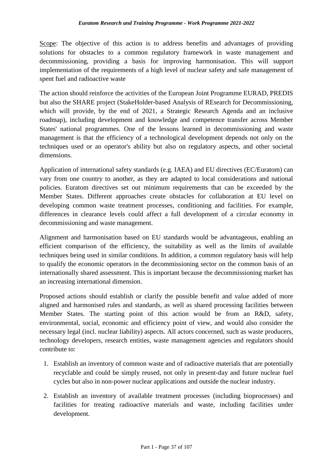Scope: The objective of this action is to address benefits and advantages of providing solutions for obstacles to a common regulatory framework in waste management and decommissioning, providing a basis for improving harmonisation. This will support implementation of the requirements of a high level of nuclear safety and safe management of spent fuel and radioactive waste

The action should reinforce the activities of the European Joint Programme EURAD, PREDIS but also the SHARE project (StakeHolder-based Analysis of REsearch for Decommissioning, which will provide, by the end of 2021, a Strategic Research Agenda and an inclusive roadmap), including development and knowledge and competence transfer across Member States' national programmes. One of the lessons learned in decommissioning and waste management is that the efficiency of a technological development depends not only on the techniques used or an operator's ability but also on regulatory aspects, and other societal dimensions.

Application of international safety standards (e.g. IAEA) and EU directives (EC/Euratom) can vary from one country to another, as they are adapted to local considerations and national policies. Euratom directives set out minimum requirements that can be exceeded by the Member States. Different approaches create obstacles for collaboration at EU level on developing common waste treatment processes, conditioning and facilities. For example, differences in clearance levels could affect a full development of a circular economy in decommissioning and waste management.

Alignment and harmonisation based on EU standards would be advantageous, enabling an efficient comparison of the efficiency, the suitability as well as the limits of available techniques being used in similar conditions. In addition, a common regulatory basis will help to qualify the economic operators in the decommissioning sector on the common basis of an internationally shared assessment. This is important because the decommissioning market has an increasing international dimension.

Proposed actions should establish or clarify the possible benefit and value added of more aligned and harmonised rules and standards, as well as shared processing facilities between Member States. The starting point of this action would be from an R&D, safety, environmental, social, economic and efficiency point of view, and would also consider the necessary legal (incl. nuclear liability) aspects. All actors concerned, such as waste producers, technology developers, research entities, waste management agencies and regulators should contribute to:

- 1. Establish an inventory of common waste and of radioactive materials that are potentially recyclable and could be simply reused, not only in present-day and future nuclear fuel cycles but also in non-power nuclear applications and outside the nuclear industry.
- 2. Establish an inventory of available treatment processes (including bioprocesses) and facilities for treating radioactive materials and waste, including facilities under development.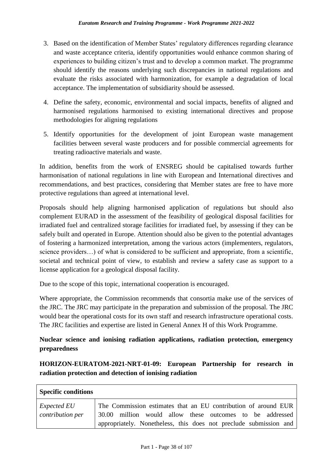- 3. Based on the identification of Member States' regulatory differences regarding clearance and waste acceptance criteria, identify opportunities would enhance common sharing of experiences to building citizen's trust and to develop a common market. The programme should identify the reasons underlying such discrepancies in national regulations and evaluate the risks associated with harmonization, for example a degradation of local acceptance. The implementation of subsidiarity should be assessed.
- 4. Define the safety, economic, environmental and social impacts, benefits of aligned and harmonised regulations harmonised to existing international directives and propose methodologies for aligning regulations
- 5. Identify opportunities for the development of joint European waste management facilities between several waste producers and for possible commercial agreements for treating radioactive materials and waste.

In addition, benefits from the work of ENSREG should be capitalised towards further harmonisation of national regulations in line with European and International directives and recommendations, and best practices, considering that Member states are free to have more protective regulations than agreed at international level.

Proposals should help aligning harmonised application of regulations but should also complement EURAD in the assessment of the feasibility of geological disposal facilities for irradiated fuel and centralized storage facilities for irradiated fuel, by assessing if they can be safely built and operated in Europe. Attention should also be given to the potential advantages of fostering a harmonized interpretation, among the various actors (implementers, regulators, science providers...) of what is considered to be sufficient and appropriate, from a scientific, societal and technical point of view, to establish and review a safety case as support to a license application for a geological disposal facility.

Due to the scope of this topic, international cooperation is encouraged.

Where appropriate, the Commission recommends that consortia make use of the services of the JRC. The JRC may participate in the preparation and submission of the proposal. The JRC would bear the operational costs for its own staff and research infrastructure operational costs. The JRC facilities and expertise are listed in General Annex H of this Work Programme.

## **Nuclear science and ionising radiation applications, radiation protection, emergency preparedness**

## **HORIZON-EURATOM-2021-NRT-01-09: European Partnership for research in radiation protection and detection of ionising radiation**

| <b>Specific conditions</b>                    |                                                                                                                                                                                                 |
|-----------------------------------------------|-------------------------------------------------------------------------------------------------------------------------------------------------------------------------------------------------|
| <i>Expected EU</i><br><i>contribution per</i> | The Commission estimates that an EU contribution of around EUR<br>30.00 million would allow these outcomes to be addressed<br>appropriately. Nonetheless, this does not preclude submission and |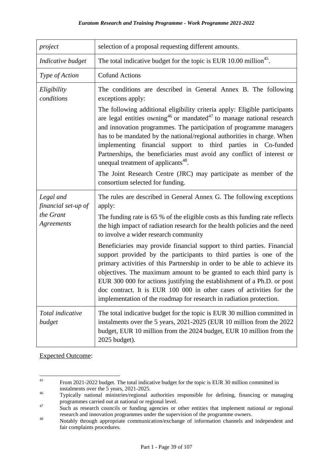| project                                                     | selection of a proposal requesting different amounts.                                                                                                                                                                                                                                                                                                                                                                                                                                                                                                                                                                                                                                                                                                                                                                 |
|-------------------------------------------------------------|-----------------------------------------------------------------------------------------------------------------------------------------------------------------------------------------------------------------------------------------------------------------------------------------------------------------------------------------------------------------------------------------------------------------------------------------------------------------------------------------------------------------------------------------------------------------------------------------------------------------------------------------------------------------------------------------------------------------------------------------------------------------------------------------------------------------------|
| Indicative budget                                           | The total indicative budget for the topic is EUR 10.00 million <sup>45</sup> .                                                                                                                                                                                                                                                                                                                                                                                                                                                                                                                                                                                                                                                                                                                                        |
| Type of Action                                              | <b>Cofund Actions</b>                                                                                                                                                                                                                                                                                                                                                                                                                                                                                                                                                                                                                                                                                                                                                                                                 |
| Eligibility<br>conditions                                   | The conditions are described in General Annex B. The following<br>exceptions apply:<br>The following additional eligibility criteria apply: Eligible participants<br>are legal entities owning <sup>46</sup> or mandated <sup>47</sup> to manage national research<br>and innovation programmes. The participation of programme managers<br>has to be mandated by the national/regional authorities in charge. When<br>implementing financial support to third parties in Co-funded<br>Partnerships, the beneficiaries must avoid any conflict of interest or<br>unequal treatment of applicants <sup>48</sup> .<br>The Joint Research Centre (JRC) may participate as member of the<br>consortium selected for funding.                                                                                              |
| Legal and<br>financial set-up of<br>the Grant<br>Agreements | The rules are described in General Annex G. The following exceptions<br>apply:<br>The funding rate is 65 % of the eligible costs as this funding rate reflects<br>the high impact of radiation research for the health policies and the need<br>to involve a wider research community<br>Beneficiaries may provide financial support to third parties. Financial<br>support provided by the participants to third parties is one of the<br>primary activities of this Partnership in order to be able to achieve its<br>objectives. The maximum amount to be granted to each third party is<br>EUR 300 000 for actions justifying the establishment of a Ph.D. or post<br>doc contract. It is EUR 100 000 in other cases of activities for the<br>implementation of the roadmap for research in radiation protection. |
| Total indicative<br>budget                                  | The total indicative budget for the topic is EUR 30 million committed in<br>instalments over the 5 years, 2021-2025 (EUR 10 million from the 2022<br>budget, EUR 10 million from the 2024 budget, EUR 10 million from the<br>2025 budget).                                                                                                                                                                                                                                                                                                                                                                                                                                                                                                                                                                            |

Expected Outcome:

<sup>45</sup> <sup>45</sup> From 2021-2022 budget. The total indicative budget for the topic is EUR 30 million committed in instalments over the 5 years, 2021-2025.

<sup>46</sup> Typically national ministries/regional authorities responsible for defining, financing or managing programmes carried out at national or regional level.

<sup>&</sup>lt;sup>47</sup> Such as research councils or funding agencies or other entities that implement national or regional research and innovation programmes under the supervision of the programme owners.

<sup>48</sup> Notably through appropriate communication/exchange of information channels and independent and fair complaints procedures.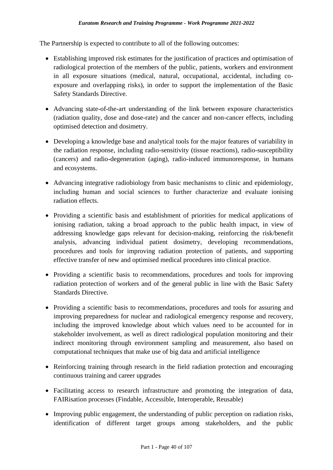The Partnership is expected to contribute to all of the following outcomes:

- Establishing improved risk estimates for the justification of practices and optimisation of radiological protection of the members of the public, patients, workers and environment in all exposure situations (medical, natural, occupational, accidental, including coexposure and overlapping risks), in order to support the implementation of the Basic Safety Standards Directive.
- Advancing state-of-the-art understanding of the link between exposure characteristics (radiation quality, dose and dose-rate) and the cancer and non-cancer effects, including optimised detection and dosimetry.
- Developing a knowledge base and analytical tools for the major features of variability in the radiation response, including radio-sensitivity (tissue reactions), radio-susceptibility (cancers) and radio-degeneration (aging), radio-induced immunoresponse, in humans and ecosystems.
- Advancing integrative radiobiology from basic mechanisms to clinic and epidemiology, including human and social sciences to further characterize and evaluate ionising radiation effects.
- Providing a scientific basis and establishment of priorities for medical applications of ionising radiation, taking a broad approach to the public health impact, in view of addressing knowledge gaps relevant for decision-making, reinforcing the risk/benefit analysis, advancing individual patient dosimetry, developing recommendations, procedures and tools for improving radiation protection of patients, and supporting effective transfer of new and optimised medical procedures into clinical practice.
- Providing a scientific basis to recommendations, procedures and tools for improving radiation protection of workers and of the general public in line with the Basic Safety Standards Directive.
- Providing a scientific basis to recommendations, procedures and tools for assuring and improving preparedness for nuclear and radiological emergency response and recovery, including the improved knowledge about which values need to be accounted for in stakeholder involvement, as well as direct radiological population monitoring and their indirect monitoring through environment sampling and measurement, also based on computational techniques that make use of big data and artificial intelligence
- Reinforcing training through research in the field radiation protection and encouraging continuous training and career upgrades
- Facilitating access to research infrastructure and promoting the integration of data, FAIRisation processes (Findable, Accessible, Interoperable, Reusable)
- Improving public engagement, the understanding of public perception on radiation risks, identification of different target groups among stakeholders, and the public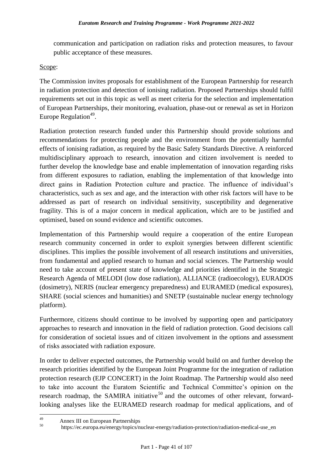communication and participation on radiation risks and protection measures, to favour public acceptance of these measures.

#### Scope:

The Commission invites proposals for establishment of the European Partnership for research in radiation protection and detection of ionising radiation. Proposed Partnerships should fulfil requirements set out in this topic as well as meet criteria for the selection and implementation of European Partnerships, their monitoring, evaluation, phase-out or renewal as set in Horizon Europe Regulation<sup>49</sup>.

Radiation protection research funded under this Partnership should provide solutions and recommendations for protecting people and the environment from the potentially harmful effects of ionising radiation, as required by the Basic Safety Standards Directive. A reinforced multidisciplinary approach to research, innovation and citizen involvement is needed to further develop the knowledge base and enable implementation of innovation regarding risks from different exposures to radiation, enabling the implementation of that knowledge into direct gains in Radiation Protection culture and practice. The influence of individual's characteristics, such as sex and age, and the interaction with other risk factors will have to be addressed as part of research on individual sensitivity, susceptibility and degenerative fragility. This is of a major concern in medical application, which are to be justified and optimised, based on sound evidence and scientific outcomes.

Implementation of this Partnership would require a cooperation of the entire European research community concerned in order to exploit synergies between different scientific disciplines. This implies the possible involvement of all research institutions and universities, from fundamental and applied research to human and social sciences. The Partnership would need to take account of present state of knowledge and priorities identified in the Strategic Research Agenda of MELODI (low dose radiation), ALLIANCE (radioecology), EURADOS (dosimetry), NERIS (nuclear emergency preparedness) and EURAMED (medical exposures), SHARE (social sciences and humanities) and SNETP (sustainable nuclear energy technology platform).

Furthermore, citizens should continue to be involved by supporting open and participatory approaches to research and innovation in the field of radiation protection. Good decisions call for consideration of societal issues and of citizen involvement in the options and assessment of risks associated with radiation exposure.

In order to deliver expected outcomes, the Partnership would build on and further develop the research priorities identified by the European Joint Programme for the integration of radiation protection research (EJP CONCERT) in the Joint Roadmap. The Partnership would also need to take into account the Euratom Scientific and Technical Committee's opinion on the research roadmap, the SAMIRA initiative<sup>50</sup> and the outcomes of other relevant, forwardlooking analyses like the EURAMED research roadmap for medical applications, and of

<sup>49</sup> 49 Annex III on European Partnerships

<sup>50</sup> https://ec.europa.eu/energy/topics/nuclear-energy/radiation-protection/radiation-medical-use\_en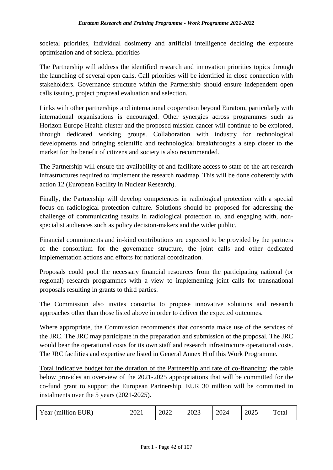societal priorities, individual dosimetry and artificial intelligence deciding the exposure optimisation and of societal priorities

The Partnership will address the identified research and innovation priorities topics through the launching of several open calls. Call priorities will be identified in close connection with stakeholders. Governance structure within the Partnership should ensure independent open calls issuing, project proposal evaluation and selection.

Links with other partnerships and international cooperation beyond Euratom, particularly with international organisations is encouraged. Other synergies across programmes such as Horizon Europe Health cluster and the proposed mission cancer will continue to be explored, through dedicated working groups. Collaboration with industry for technological developments and bringing scientific and technological breakthroughs a step closer to the market for the benefit of citizens and society is also recommended.

The Partnership will ensure the availability of and facilitate access to state of-the-art research infrastructures required to implement the research roadmap. This will be done coherently with action 12 (European Facility in Nuclear Research).

Finally, the Partnership will develop competences in radiological protection with a special focus on radiological protection culture. Solutions should be proposed for addressing the challenge of communicating results in radiological protection to, and engaging with, nonspecialist audiences such as policy decision-makers and the wider public.

Financial commitments and in-kind contributions are expected to be provided by the partners of the consortium for the governance structure, the joint calls and other dedicated implementation actions and efforts for national coordination.

Proposals could pool the necessary financial resources from the participating national (or regional) research programmes with a view to implementing joint calls for transnational proposals resulting in grants to third parties.

The Commission also invites consortia to propose innovative solutions and research approaches other than those listed above in order to deliver the expected outcomes.

Where appropriate, the Commission recommends that consortia make use of the services of the JRC. The JRC may participate in the preparation and submission of the proposal. The JRC would bear the operational costs for its own staff and research infrastructure operational costs. The JRC facilities and expertise are listed in General Annex H of this Work Programme.

Total indicative budget for the duration of the Partnership and rate of co-financing: the table below provides an overview of the 2021-2025 appropriations that will be committed for the co-fund grant to support the European Partnership. EUR 30 million will be committed in instalments over the 5 years (2021-2025).

| Year (million EUR) | 2021 | 2022 | 2023 | 2024 | 2025 | Total |
|--------------------|------|------|------|------|------|-------|
|--------------------|------|------|------|------|------|-------|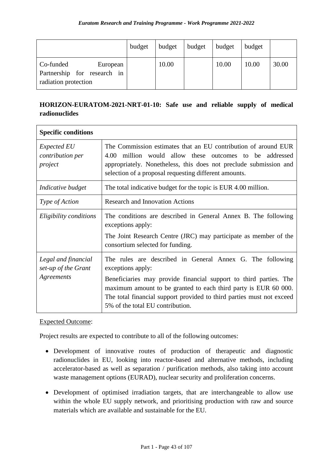|                                                                              | budget | budget | budget | budget | budget |       |
|------------------------------------------------------------------------------|--------|--------|--------|--------|--------|-------|
| Co-funded<br>European<br>Partnership for research in<br>radiation protection |        | 10.00  |        | 10.00  | 10.00  | 30.00 |

## **HORIZON-EURATOM-2021-NRT-01-10: Safe use and reliable supply of medical radionuclides**

| <b>Specific conditions</b>                               |                                                                                                                                                                                                                                                                                                                                     |
|----------------------------------------------------------|-------------------------------------------------------------------------------------------------------------------------------------------------------------------------------------------------------------------------------------------------------------------------------------------------------------------------------------|
| <i>Expected EU</i><br>contribution per<br>project        | The Commission estimates that an EU contribution of around EUR<br>million would allow these outcomes to be addressed<br>4.00<br>appropriately. Nonetheless, this does not preclude submission and<br>selection of a proposal requesting different amounts.                                                                          |
| Indicative budget                                        | The total indicative budget for the topic is EUR 4.00 million.                                                                                                                                                                                                                                                                      |
| Type of Action                                           | <b>Research and Innovation Actions</b>                                                                                                                                                                                                                                                                                              |
| Eligibility conditions                                   | The conditions are described in General Annex B. The following<br>exceptions apply:<br>The Joint Research Centre (JRC) may participate as member of the<br>consortium selected for funding.                                                                                                                                         |
| Legal and financial<br>set-up of the Grant<br>Agreements | The rules are described in General Annex G. The following<br>exceptions apply:<br>Beneficiaries may provide financial support to third parties. The<br>maximum amount to be granted to each third party is EUR 60 000.<br>The total financial support provided to third parties must not exceed<br>5% of the total EU contribution. |

#### Expected Outcome:

Project results are expected to contribute to all of the following outcomes:

- Development of innovative routes of production of therapeutic and diagnostic radionuclides in EU, looking into reactor-based and alternative methods, including accelerator-based as well as separation / purification methods, also taking into account waste management options (EURAD), nuclear security and proliferation concerns.
- Development of optimised irradiation targets, that are interchangeable to allow use within the whole EU supply network, and prioritising production with raw and source materials which are available and sustainable for the EU.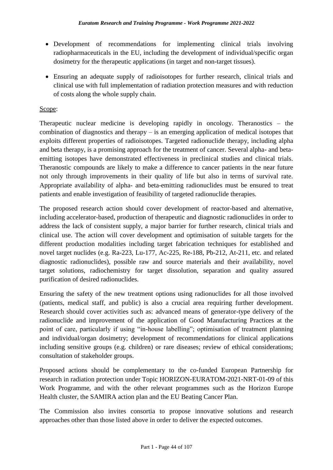- Development of recommendations for implementing clinical trials involving radiopharmaceuticals in the EU, including the development of individual/specific organ dosimetry for the therapeutic applications (in target and non-target tissues).
- Ensuring an adequate supply of radioisotopes for further research, clinical trials and clinical use with full implementation of radiation protection measures and with reduction of costs along the whole supply chain.

### Scope:

Therapeutic nuclear medicine is developing rapidly in oncology. Theranostics – the combination of diagnostics and therapy – is an emerging application of medical isotopes that exploits different properties of radioisotopes. Targeted radionuclide therapy, including alpha and beta therapy, is a promising approach for the treatment of cancer. Several alpha- and betaemitting isotopes have demonstrated effectiveness in preclinical studies and clinical trials. Theranostic compounds are likely to make a difference to cancer patients in the near future not only through improvements in their quality of life but also in terms of survival rate. Appropriate availability of alpha- and beta-emitting radionuclides must be ensured to treat patients and enable investigation of feasibility of targeted radionuclide therapies.

The proposed research action should cover development of reactor-based and alternative, including accelerator-based, production of therapeutic and diagnostic radionuclides in order to address the lack of consistent supply, a major barrier for further research, clinical trials and clinical use. The action will cover development and optimisation of suitable targets for the different production modalities including target fabrication techniques for established and novel target nuclides (e.g. Ra-223, Lu-177, Ac-225, Re-188, Pb-212, At-211, etc. and related diagnostic radionuclides), possible raw and source materials and their availability, novel target solutions, radiochemistry for target dissolution, separation and quality assured purification of desired radionuclides.

Ensuring the safety of the new treatment options using radionuclides for all those involved (patients, medical staff, and public) is also a crucial area requiring further development. Research should cover activities such as: advanced means of generator-type delivery of the radionuclide and improvement of the application of Good Manufacturing Practices at the point of care, particularly if using "in-house labelling"; optimisation of treatment planning and individual/organ dosimetry; development of recommendations for clinical applications including sensitive groups (e.g. children) or rare diseases; review of ethical considerations; consultation of stakeholder groups.

Proposed actions should be complementary to the co-funded European Partnership for research in radiation protection under Topic HORIZON-EURATOM-2021-NRT-01-09 of this Work Programme, and with the other relevant programmes such as the Horizon Europe Health cluster, the SAMIRA action plan and the EU Beating Cancer Plan.

The Commission also invites consortia to propose innovative solutions and research approaches other than those listed above in order to deliver the expected outcomes.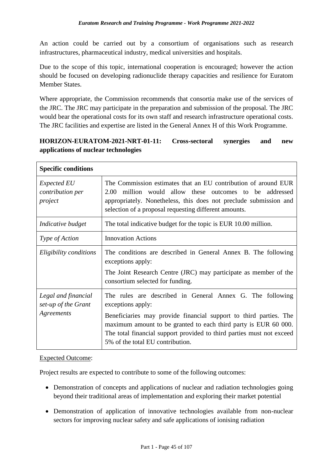An action could be carried out by a consortium of organisations such as research infrastructures, pharmaceutical industry, medical universities and hospitals.

Due to the scope of this topic, international cooperation is encouraged; however the action should be focused on developing radionuclide therapy capacities and resilience for Euratom Member States.

Where appropriate, the Commission recommends that consortia make use of the services of the JRC. The JRC may participate in the preparation and submission of the proposal. The JRC would bear the operational costs for its own staff and research infrastructure operational costs. The JRC facilities and expertise are listed in the General Annex H of this Work Programme.

## **HORIZON-EURATOM-2021-NRT-01-11: Cross-sectoral synergies and new applications of nuclear technologies**

| <b>Specific conditions</b>                               |                                                                                                                                                                                                                                                                                                                                     |
|----------------------------------------------------------|-------------------------------------------------------------------------------------------------------------------------------------------------------------------------------------------------------------------------------------------------------------------------------------------------------------------------------------|
| <i>Expected EU</i><br>contribution per<br>project        | The Commission estimates that an EU contribution of around EUR<br>million would allow these outcomes to be addressed<br>2.00<br>appropriately. Nonetheless, this does not preclude submission and<br>selection of a proposal requesting different amounts.                                                                          |
| Indicative budget                                        | The total indicative budget for the topic is EUR 10.00 million.                                                                                                                                                                                                                                                                     |
| Type of Action                                           | <b>Innovation Actions</b>                                                                                                                                                                                                                                                                                                           |
| Eligibility conditions                                   | The conditions are described in General Annex B. The following<br>exceptions apply:<br>The Joint Research Centre (JRC) may participate as member of the<br>consortium selected for funding.                                                                                                                                         |
| Legal and financial<br>set-up of the Grant<br>Agreements | The rules are described in General Annex G. The following<br>exceptions apply:<br>Beneficiaries may provide financial support to third parties. The<br>maximum amount to be granted to each third party is EUR 60 000.<br>The total financial support provided to third parties must not exceed<br>5% of the total EU contribution. |

#### Expected Outcome:

Project results are expected to contribute to some of the following outcomes:

- Demonstration of concepts and applications of nuclear and radiation technologies going beyond their traditional areas of implementation and exploring their market potential
- Demonstration of application of innovative technologies available from non-nuclear sectors for improving nuclear safety and safe applications of ionising radiation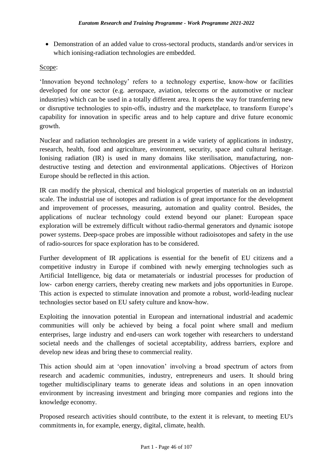• Demonstration of an added value to cross-sectoral products, standards and/or services in which ionising-radiation technologies are embedded.

### Scope:

'Innovation beyond technology' refers to a technology expertise, know-how or facilities developed for one sector (e.g. aerospace, aviation, telecoms or the automotive or nuclear industries) which can be used in a totally different area. It opens the way for transferring new or disruptive technologies to spin-offs, industry and the marketplace, to transform Europe's capability for innovation in specific areas and to help capture and drive future economic growth.

Nuclear and radiation technologies are present in a wide variety of applications in industry, research, health, food and agriculture, environment, security, space and cultural heritage. Ionising radiation (IR) is used in many domains like sterilisation, manufacturing, nondestructive testing and detection and environmental applications. Objectives of Horizon Europe should be reflected in this action.

IR can modify the physical, chemical and biological properties of materials on an industrial scale. The industrial use of isotopes and radiation is of great importance for the development and improvement of processes, measuring, automation and quality control. Besides, the applications of nuclear technology could extend beyond our planet: European space exploration will be extremely difficult without radio-thermal generators and dynamic isotope power systems. Deep-space probes are impossible without radioisotopes and safety in the use of radio-sources for space exploration has to be considered.

Further development of IR applications is essential for the benefit of EU citizens and a competitive industry in Europe if combined with newly emerging technologies such as Artificial Intelligence, big data or metamaterials or industrial processes for production of low‑ carbon energy carriers, thereby creating new markets and jobs opportunities in Europe. This action is expected to stimulate innovation and promote a robust, world-leading nuclear technologies sector based on EU safety culture and know-how.

Exploiting the innovation potential in European and international industrial and academic communities will only be achieved by being a focal point where small and medium enterprises, large industry and end-users can work together with researchers to understand societal needs and the challenges of societal acceptability, address barriers, explore and develop new ideas and bring these to commercial reality.

This action should aim at 'open innovation' involving a broad spectrum of actors from research and academic communities, industry, entrepreneurs and users. It should bring together multidisciplinary teams to generate ideas and solutions in an open innovation environment by increasing investment and bringing more companies and regions into the knowledge economy.

Proposed research activities should contribute, to the extent it is relevant, to meeting EU's commitments in, for example, energy, digital, climate, health.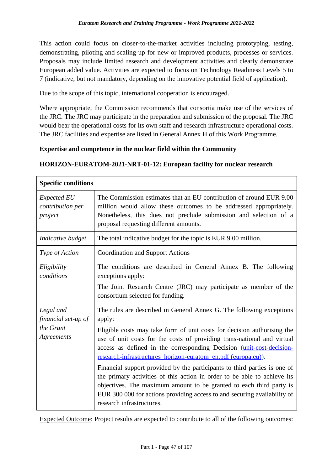This action could focus on closer-to-the-market activities including prototyping, testing, demonstrating, piloting and scaling-up for new or improved products, processes or services. Proposals may include limited research and development activities and clearly demonstrate European added value. Activities are expected to focus on Technology Readiness Levels 5 to 7 (indicative, but not mandatory, depending on the innovative potential field of application).

Due to the scope of this topic, international cooperation is encouraged.

Where appropriate, the Commission recommends that consortia make use of the services of the JRC. The JRC may participate in the preparation and submission of the proposal. The JRC would bear the operational costs for its own staff and research infrastructure operational costs. The JRC facilities and expertise are listed in General Annex H of this Work Programme.

#### **Expertise and competence in the nuclear field within the Community**

#### **HORIZON-EURATOM-2021-NRT-01-12: European facility for nuclear research**

| <b>Specific conditions</b>                                  |                                                                                                                                                                                                                                                                                                                                                                                                                                                                                                                                                                                                                                                                                                                        |  |  |
|-------------------------------------------------------------|------------------------------------------------------------------------------------------------------------------------------------------------------------------------------------------------------------------------------------------------------------------------------------------------------------------------------------------------------------------------------------------------------------------------------------------------------------------------------------------------------------------------------------------------------------------------------------------------------------------------------------------------------------------------------------------------------------------------|--|--|
| <b>Expected EU</b><br>contribution per<br>project           | The Commission estimates that an EU contribution of around EUR 9.00<br>million would allow these outcomes to be addressed appropriately.<br>Nonetheless, this does not preclude submission and selection of a<br>proposal requesting different amounts.                                                                                                                                                                                                                                                                                                                                                                                                                                                                |  |  |
| Indicative budget                                           | The total indicative budget for the topic is EUR 9.00 million.                                                                                                                                                                                                                                                                                                                                                                                                                                                                                                                                                                                                                                                         |  |  |
| Type of Action                                              | <b>Coordination and Support Actions</b>                                                                                                                                                                                                                                                                                                                                                                                                                                                                                                                                                                                                                                                                                |  |  |
| Eligibility<br>conditions                                   | The conditions are described in General Annex B. The following<br>exceptions apply:<br>The Joint Research Centre (JRC) may participate as member of the<br>consortium selected for funding.                                                                                                                                                                                                                                                                                                                                                                                                                                                                                                                            |  |  |
| Legal and<br>financial set-up of<br>the Grant<br>Agreements | The rules are described in General Annex G. The following exceptions<br>apply:<br>Eligible costs may take form of unit costs for decision authorising the<br>use of unit costs for the costs of providing trans-national and virtual<br>access as defined in the corresponding Decision (unit-cost-decision-<br>research-infrastructures_horizon-euratom_en.pdf (europa.eu)).<br>Financial support provided by the participants to third parties is one of<br>the primary activities of this action in order to be able to achieve its<br>objectives. The maximum amount to be granted to each third party is<br>EUR 300 000 for actions providing access to and securing availability of<br>research infrastructures. |  |  |

Expected Outcome: Project results are expected to contribute to all of the following outcomes: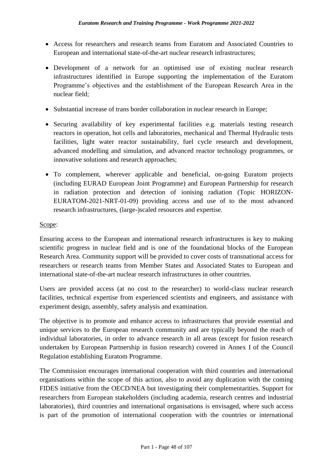- Access for researchers and research teams from Euratom and Associated Countries to European and international state-of-the-art nuclear research infrastructures;
- Development of a network for an optimised use of existing nuclear research infrastructures identified in Europe supporting the implementation of the Euratom Programme's objectives and the establishment of the European Research Area in the nuclear field;
- Substantial increase of trans border collaboration in nuclear research in Europe;
- Securing availability of key experimental facilities e.g. materials testing research reactors in operation, hot cells and laboratories, mechanical and Thermal Hydraulic tests facilities, light water reactor sustainability, fuel cycle research and development, advanced modelling and simulation, and advanced reactor technology programmes, or innovative solutions and research approaches;
- To complement, wherever applicable and beneficial, on-going Euratom projects (including EURAD European Joint Programme) and European Partnership for research in radiation protection and detection of ionising radiation (Topic HORIZON-EURATOM-2021-NRT-01-09) providing access and use of to the most advanced research infrastructures, (large-)scaled resources and expertise.

#### Scope:

Ensuring access to the European and international research infrastructures is key to making scientific progress in nuclear field and is one of the foundational blocks of the European Research Area. Community support will be provided to cover costs of transnational access for researchers or research teams from Member States and Associated States to European and international state-of-the-art nuclear research infrastructures in other countries.

Users are provided access (at no cost to the researcher) to world-class nuclear research facilities, technical expertise from experienced scientists and engineers, and assistance with experiment design, assembly, safety analysis and examination.

The objective is to promote and enhance access to infrastructures that provide essential and unique services to the European research community and are typically beyond the reach of individual laboratories, in order to advance research in all areas (except for fusion research undertaken by European Partnership in fusion research) covered in Annex I of the Council Regulation establishing Euratom Programme.

The Commission encourages international cooperation with third countries and international organisations within the scope of this action, also to avoid any duplication with the coming FIDES initiative from the OECD/NEA but investigating their complementarities. Support for researchers from European stakeholders (including academia, research centres and industrial laboratories), third countries and international organisations is envisaged, where such access is part of the promotion of international cooperation with the countries or international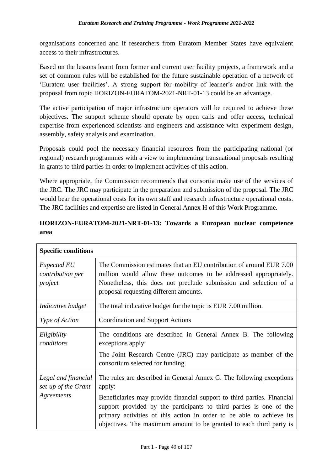organisations concerned and if researchers from Euratom Member States have equivalent access to their infrastructures.

Based on the lessons learnt from former and current user facility projects, a framework and a set of common rules will be established for the future sustainable operation of a network of 'Euratom user facilities'. A strong support for mobility of learner's and/or link with the proposal from topic HORIZON-EURATOM-2021-NRT-01-13 could be an advantage.

The active participation of major infrastructure operators will be required to achieve these objectives. The support scheme should operate by open calls and offer access, technical expertise from experienced scientists and engineers and assistance with experiment design, assembly, safety analysis and examination.

Proposals could pool the necessary financial resources from the participating national (or regional) research programmes with a view to implementing transnational proposals resulting in grants to third parties in order to implement activities of this action.

Where appropriate, the Commission recommends that consortia make use of the services of the JRC. The JRC may participate in the preparation and submission of the proposal. The JRC would bear the operational costs for its own staff and research infrastructure operational costs. The JRC facilities and expertise are listed in General Annex H of this Work Programme.

| <b>Specific conditions</b>                               |                                                                                                                                                                                                                                                         |
|----------------------------------------------------------|---------------------------------------------------------------------------------------------------------------------------------------------------------------------------------------------------------------------------------------------------------|
| <i>Expected EU</i><br>contribution per<br>project        | The Commission estimates that an EU contribution of around EUR 7.00<br>million would allow these outcomes to be addressed appropriately.<br>Nonetheless, this does not preclude submission and selection of a<br>proposal requesting different amounts. |
| Indicative budget                                        | The total indicative budget for the topic is EUR 7.00 million.                                                                                                                                                                                          |
| Type of Action                                           | <b>Coordination and Support Actions</b>                                                                                                                                                                                                                 |
| Eligibility<br>conditions                                | The conditions are described in General Annex B. The following<br>exceptions apply:<br>The Joint Research Centre (JRC) may participate as member of the<br>consortium selected for funding.                                                             |
| Legal and financial<br>set-up of the Grant<br>Agreements | The rules are described in General Annex G. The following exceptions<br>apply:<br>Beneficiaries may provide financial support to third parties. Financial<br>support provided by the participants to third parties is one of the                        |
|                                                          | primary activities of this action in order to be able to achieve its<br>objectives. The maximum amount to be granted to each third party is                                                                                                             |

## **HORIZON-EURATOM-2021-NRT-01-13: Towards a European nuclear competence area**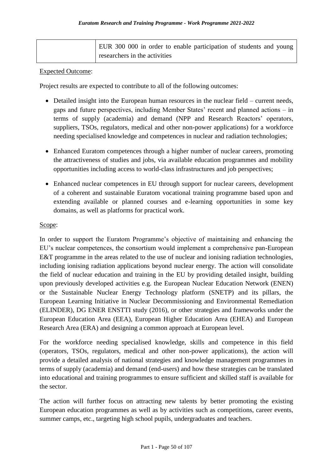| EUR 300 000 in order to enable participation of students and young |
|--------------------------------------------------------------------|
| researchers in the activities                                      |

#### Expected Outcome:

Project results are expected to contribute to all of the following outcomes:

- Detailed insight into the European human resources in the nuclear field current needs, gaps and future perspectives, including Member States' recent and planned actions – in terms of supply (academia) and demand (NPP and Research Reactors' operators, suppliers, TSOs, regulators, medical and other non-power applications) for a workforce needing specialised knowledge and competences in nuclear and radiation technologies;
- Enhanced Euratom competences through a higher number of nuclear careers, promoting the attractiveness of studies and jobs, via available education programmes and mobility opportunities including access to world-class infrastructures and job perspectives;
- Enhanced nuclear competences in EU through support for nuclear careers, development of a coherent and sustainable Euratom vocational training programme based upon and extending available or planned courses and e-learning opportunities in some key domains, as well as platforms for practical work.

#### Scope:

In order to support the Euratom Programme's objective of maintaining and enhancing the EU's nuclear competences, the consortium would implement a comprehensive pan-European E&T programme in the areas related to the use of nuclear and ionising radiation technologies, including ionising radiation applications beyond nuclear energy. The action will consolidate the field of nuclear education and training in the EU by providing detailed insight, building upon previously developed activities e.g. the European Nuclear Education Network (ENEN) or the Sustainable Nuclear Energy Technology platform (SNETP) and its pillars, the European Learning Initiative in Nuclear Decommissioning and Environmental Remediation (ELINDER), DG ENER ENSTTI study (2016), or other strategies and frameworks under the European Education Area (EEA), European Higher Education Area (EHEA) and European Research Area (ERA) and designing a common approach at European level.

For the workforce needing specialised knowledge, skills and competence in this field (operators, TSOs, regulators, medical and other non-power applications), the action will provide a detailed analysis of national strategies and knowledge management programmes in terms of supply (academia) and demand (end-users) and how these strategies can be translated into educational and training programmes to ensure sufficient and skilled staff is available for the sector.

The action will further focus on attracting new talents by better promoting the existing European education programmes as well as by activities such as competitions, career events, summer camps, etc., targeting high school pupils, undergraduates and teachers.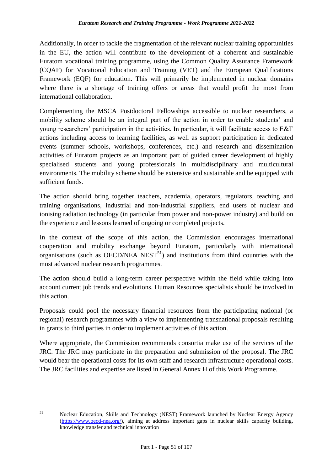Additionally, in order to tackle the fragmentation of the relevant nuclear training opportunities in the EU, the action will contribute to the development of a coherent and sustainable Euratom vocational training programme, using the Common Quality Assurance Framework (CQAF) for Vocational Education and Training (VET) and the European Qualifications Framework (EQF) for education. This will primarily be implemented in nuclear domains where there is a shortage of training offers or areas that would profit the most from international collaboration.

Complementing the MSCA Postdoctoral Fellowships accessible to nuclear researchers, a mobility scheme should be an integral part of the action in order to enable students' and young researchers' participation in the activities. In particular, it will facilitate access to E&T actions including access to learning facilities, as well as support participation in dedicated events (summer schools, workshops, conferences, etc.) and research and dissemination activities of Euratom projects as an important part of guided career development of highly specialised students and young professionals in multidisciplinary and multicultural environments. The mobility scheme should be extensive and sustainable and be equipped with sufficient funds.

The action should bring together teachers, academia, operators, regulators, teaching and training organisations, industrial and non-industrial suppliers, end users of nuclear and ionising radiation technology (in particular from power and non-power industry) and build on the experience and lessons learned of ongoing or completed projects.

In the context of the scope of this action, the Commission encourages international cooperation and mobility exchange beyond Euratom, particularly with international organisations (such as OECD/NEA  $NEST^{51}$ ) and institutions from third countries with the most advanced nuclear research programmes.

The action should build a long-term career perspective within the field while taking into account current job trends and evolutions. Human Resources specialists should be involved in this action.

Proposals could pool the necessary financial resources from the participating national (or regional) research programmes with a view to implementing transnational proposals resulting in grants to third parties in order to implement activities of this action.

Where appropriate, the Commission recommends consortia make use of the services of the JRC. The JRC may participate in the preparation and submission of the proposal. The JRC would bear the operational costs for its own staff and research infrastructure operational costs. The JRC facilities and expertise are listed in General Annex H of this Work Programme.

<sup>51</sup> 

Nuclear Education, Skills and Technology (NEST) Framework launched by Nuclear Energy Agency [\(https://www.oecd-nea.org/\)](https://www.oecd-nea.org/), aiming at address important gaps in nuclear skills capacity building, knowledge transfer and technical innovation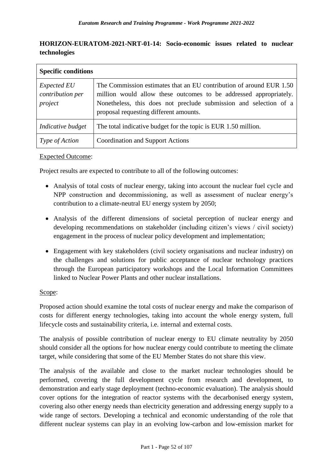## **HORIZON-EURATOM-2021-NRT-01-14: Socio-economic issues related to nuclear technologies**

| <b>Specific conditions</b>                        |                                                                                                                                                                                                                                                         |
|---------------------------------------------------|---------------------------------------------------------------------------------------------------------------------------------------------------------------------------------------------------------------------------------------------------------|
| <b>Expected EU</b><br>contribution per<br>project | The Commission estimates that an EU contribution of around EUR 1.50<br>million would allow these outcomes to be addressed appropriately.<br>Nonetheless, this does not preclude submission and selection of a<br>proposal requesting different amounts. |
| Indicative budget                                 | The total indicative budget for the topic is EUR 1.50 million.                                                                                                                                                                                          |
| <i>Type of Action</i>                             | <b>Coordination and Support Actions</b>                                                                                                                                                                                                                 |

#### Expected Outcome:

Project results are expected to contribute to all of the following outcomes:

- Analysis of total costs of nuclear energy, taking into account the nuclear fuel cycle and NPP construction and decommissioning, as well as assessment of nuclear energy's contribution to a climate-neutral EU energy system by 2050;
- Analysis of the different dimensions of societal perception of nuclear energy and developing recommendations on stakeholder (including citizen's views / civil society) engagement in the process of nuclear policy development and implementation;
- Engagement with key stakeholders (civil society organisations and nuclear industry) on the challenges and solutions for public acceptance of nuclear technology practices through the European participatory workshops and the Local Information Committees linked to Nuclear Power Plants and other nuclear installations.

#### Scope:

Proposed action should examine the total costs of nuclear energy and make the comparison of costs for different energy technologies, taking into account the whole energy system, full lifecycle costs and sustainability criteria, i.e. internal and external costs.

The analysis of possible contribution of nuclear energy to EU climate neutrality by 2050 should consider all the options for how nuclear energy could contribute to meeting the climate target, while considering that some of the EU Member States do not share this view.

The analysis of the available and close to the market nuclear technologies should be performed, covering the full development cycle from research and development, to demonstration and early stage deployment (techno-economic evaluation). The analysis should cover options for the integration of reactor systems with the decarbonised energy system, covering also other energy needs than electricity generation and addressing energy supply to a wide range of sectors. Developing a technical and economic understanding of the role that different nuclear systems can play in an evolving low-carbon and low-emission market for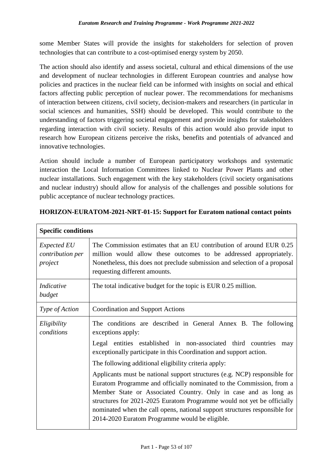some Member States will provide the insights for stakeholders for selection of proven technologies that can contribute to a cost-optimised energy system by 2050.

The action should also identify and assess societal, cultural and ethical dimensions of the use and development of nuclear technologies in different European countries and analyse how policies and practices in the nuclear field can be informed with insights on social and ethical factors affecting public perception of nuclear power. The recommendations for mechanisms of interaction between citizens, civil society, decision-makers and researchers (in particular in social sciences and humanities, SSH) should be developed. This would contribute to the understanding of factors triggering societal engagement and provide insights for stakeholders regarding interaction with civil society. Results of this action would also provide input to research how European citizens perceive the risks, benefits and potentials of advanced and innovative technologies.

Action should include a number of European participatory workshops and systematic interaction the Local Information Committees linked to Nuclear Power Plants and other nuclear installations. Such engagement with the key stakeholders (civil society organisations and nuclear industry) should allow for analysis of the challenges and possible solutions for public acceptance of nuclear technology practices.

| <b>Specific conditions</b>                        |                                                                                                                                                                                                                                                                                                                                                                                                                                |  |  |
|---------------------------------------------------|--------------------------------------------------------------------------------------------------------------------------------------------------------------------------------------------------------------------------------------------------------------------------------------------------------------------------------------------------------------------------------------------------------------------------------|--|--|
| <i>Expected EU</i><br>contribution per<br>project | The Commission estimates that an EU contribution of around EUR 0.25<br>million would allow these outcomes to be addressed appropriately.<br>Nonetheless, this does not preclude submission and selection of a proposal<br>requesting different amounts.                                                                                                                                                                        |  |  |
| Indicative<br>budget                              | The total indicative budget for the topic is EUR 0.25 million.                                                                                                                                                                                                                                                                                                                                                                 |  |  |
| Type of Action                                    | <b>Coordination and Support Actions</b>                                                                                                                                                                                                                                                                                                                                                                                        |  |  |
| Eligibility<br>conditions                         | The conditions are described in General Annex B. The following<br>exceptions apply:<br>Legal entities established in non-associated third countries<br>may                                                                                                                                                                                                                                                                     |  |  |
|                                                   | exceptionally participate in this Coordination and support action.                                                                                                                                                                                                                                                                                                                                                             |  |  |
|                                                   | The following additional eligibility criteria apply:                                                                                                                                                                                                                                                                                                                                                                           |  |  |
|                                                   | Applicants must be national support structures (e.g. NCP) responsible for<br>Euratom Programme and officially nominated to the Commission, from a<br>Member State or Associated Country. Only in case and as long as<br>structures for 2021-2025 Euratom Programme would not yet be officially<br>nominated when the call opens, national support structures responsible for<br>2014-2020 Euratom Programme would be eligible. |  |  |

#### **HORIZON-EURATOM-2021-NRT-01-15: Support for Euratom national contact points**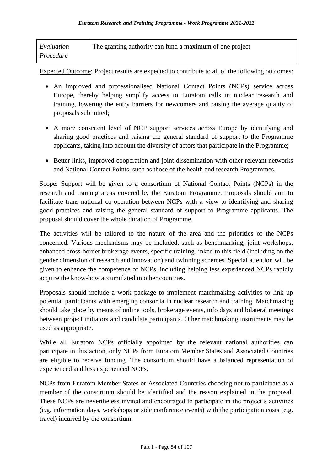| Evaluation | The granting authority can fund a maximum of one project |
|------------|----------------------------------------------------------|
| Procedure  |                                                          |

Expected Outcome: Project results are expected to contribute to all of the following outcomes:

- An improved and professionalised National Contact Points (NCPs) service across Europe, thereby helping simplify access to Euratom calls in nuclear research and training, lowering the entry barriers for newcomers and raising the average quality of proposals submitted;
- A more consistent level of NCP support services across Europe by identifying and sharing good practices and raising the general standard of support to the Programme applicants, taking into account the diversity of actors that participate in the Programme;
- Better links, improved cooperation and joint dissemination with other relevant networks and National Contact Points, such as those of the health and research Programmes.

Scope: Support will be given to a consortium of National Contact Points (NCPs) in the research and training areas covered by the Euratom Programme. Proposals should aim to facilitate trans-national co-operation between NCPs with a view to identifying and sharing good practices and raising the general standard of support to Programme applicants. The proposal should cover the whole duration of Programme.

The activities will be tailored to the nature of the area and the priorities of the NCPs concerned. Various mechanisms may be included, such as benchmarking, joint workshops, enhanced cross-border brokerage events, specific training linked to this field (including on the gender dimension of research and innovation) and twinning schemes. Special attention will be given to enhance the competence of NCPs, including helping less experienced NCPs rapidly acquire the know-how accumulated in other countries.

Proposals should include a work package to implement matchmaking activities to link up potential participants with emerging consortia in nuclear research and training. Matchmaking should take place by means of online tools, brokerage events, info days and bilateral meetings between project initiators and candidate participants. Other matchmaking instruments may be used as appropriate.

While all Euratom NCPs officially appointed by the relevant national authorities can participate in this action, only NCPs from Euratom Member States and Associated Countries are eligible to receive funding. The consortium should have a balanced representation of experienced and less experienced NCPs.

NCPs from Euratom Member States or Associated Countries choosing not to participate as a member of the consortium should be identified and the reason explained in the proposal. These NCPs are nevertheless invited and encouraged to participate in the project's activities (e.g. information days, workshops or side conference events) with the participation costs (e.g. travel) incurred by the consortium.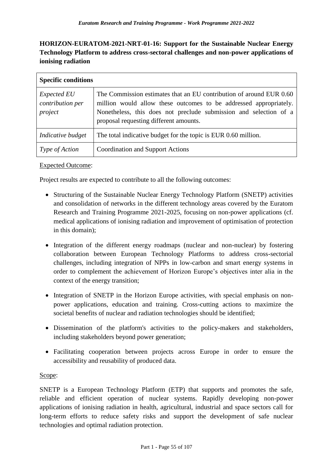# **HORIZON-EURATOM-2021-NRT-01-16: Support for the Sustainable Nuclear Energy Technology Platform to address cross-sectoral challenges and non-power applications of ionising radiation**

| <b>Specific conditions</b>                        |                                                                                                                                                                                                                                                         |
|---------------------------------------------------|---------------------------------------------------------------------------------------------------------------------------------------------------------------------------------------------------------------------------------------------------------|
| <b>Expected EU</b><br>contribution per<br>project | The Commission estimates that an EU contribution of around EUR 0.60<br>million would allow these outcomes to be addressed appropriately.<br>Nonetheless, this does not preclude submission and selection of a<br>proposal requesting different amounts. |
| Indicative budget                                 | The total indicative budget for the topic is EUR 0.60 million.                                                                                                                                                                                          |
| <i>Type of Action</i>                             | Coordination and Support Actions                                                                                                                                                                                                                        |

### Expected Outcome:

Project results are expected to contribute to all the following outcomes:

- Structuring of the Sustainable Nuclear Energy Technology Platform (SNETP) activities and consolidation of networks in the different technology areas covered by the Euratom Research and Training Programme 2021-2025, focusing on non-power applications (cf. medical applications of ionising radiation and improvement of optimisation of protection in this domain);
- Integration of the different energy roadmaps (nuclear and non-nuclear) by fostering collaboration between European Technology Platforms to address cross-sectorial challenges, including integration of NPPs in low-carbon and smart energy systems in order to complement the achievement of Horizon Europe's objectives inter alia in the context of the energy transition;
- Integration of SNETP in the Horizon Europe activities, with special emphasis on nonpower applications, education and training. Cross-cutting actions to maximize the societal benefits of nuclear and radiation technologies should be identified;
- Dissemination of the platform's activities to the policy-makers and stakeholders, including stakeholders beyond power generation;
- Facilitating cooperation between projects across Europe in order to ensure the accessibility and reusability of produced data.

#### Scope:

SNETP is a European Technology Platform (ETP) that supports and promotes the safe, reliable and efficient operation of nuclear systems. Rapidly developing non-power applications of ionising radiation in health, agricultural, industrial and space sectors call for long-term efforts to reduce safety risks and support the development of safe nuclear technologies and optimal radiation protection.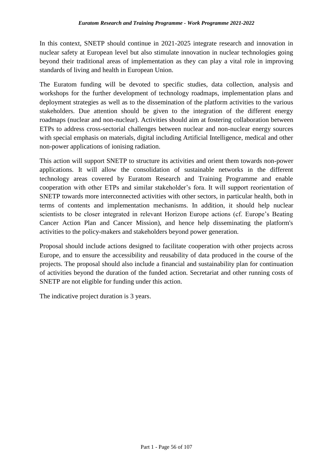In this context, SNETP should continue in 2021-2025 integrate research and innovation in nuclear safety at European level but also stimulate innovation in nuclear technologies going beyond their traditional areas of implementation as they can play a vital role in improving standards of living and health in European Union.

The Euratom funding will be devoted to specific studies, data collection, analysis and workshops for the further development of technology roadmaps, implementation plans and deployment strategies as well as to the dissemination of the platform activities to the various stakeholders. Due attention should be given to the integration of the different energy roadmaps (nuclear and non-nuclear). Activities should aim at fostering collaboration between ETPs to address cross-sectorial challenges between nuclear and non-nuclear energy sources with special emphasis on materials, digital including Artificial Intelligence, medical and other non-power applications of ionising radiation.

This action will support SNETP to structure its activities and orient them towards non-power applications. It will allow the consolidation of sustainable networks in the different technology areas covered by Euratom Research and Training Programme and enable cooperation with other ETPs and similar stakeholder's fora. It will support reorientation of SNETP towards more interconnected activities with other sectors, in particular health, both in terms of contents and implementation mechanisms. In addition, it should help nuclear scientists to be closer integrated in relevant Horizon Europe actions (cf. Europe's Beating Cancer Action Plan and Cancer Mission), and hence help disseminating the platform's activities to the policy-makers and stakeholders beyond power generation.

Proposal should include actions designed to facilitate cooperation with other projects across Europe, and to ensure the accessibility and reusability of data produced in the course of the projects. The proposal should also include a financial and sustainability plan for continuation of activities beyond the duration of the funded action. Secretariat and other running costs of SNETP are not eligible for funding under this action.

The indicative project duration is 3 years.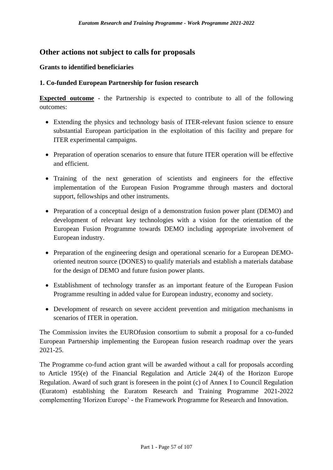## **Other actions not subject to calls for proposals**

#### **Grants to identified beneficiaries**

#### **1. Co-funded European Partnership for fusion research**

**Expected outcome** - the Partnership is expected to contribute to all of the following outcomes:

- Extending the physics and technology basis of ITER-relevant fusion science to ensure substantial European participation in the exploitation of this facility and prepare for ITER experimental campaigns.
- Preparation of operation scenarios to ensure that future ITER operation will be effective and efficient.
- Training of the next generation of scientists and engineers for the effective implementation of the European Fusion Programme through masters and doctoral support, fellowships and other instruments.
- Preparation of a conceptual design of a demonstration fusion power plant (DEMO) and development of relevant key technologies with a vision for the orientation of the European Fusion Programme towards DEMO including appropriate involvement of European industry.
- Preparation of the engineering design and operational scenario for a European DEMOoriented neutron source (DONES) to qualify materials and establish a materials database for the design of DEMO and future fusion power plants.
- Establishment of technology transfer as an important feature of the European Fusion Programme resulting in added value for European industry, economy and society.
- Development of research on severe accident prevention and mitigation mechanisms in scenarios of ITER in operation.

The Commission invites the EUROfusion consortium to submit a proposal for a co-funded European Partnership implementing the European fusion research roadmap over the years 2021-25.

The Programme co-fund action grant will be awarded without a call for proposals according to Article 195(e) of the Financial Regulation and Article 24(4) of the Horizon Europe Regulation. Award of such grant is foreseen in the point (c) of Annex I to Council Regulation (Euratom) establishing the Euratom Research and Training Programme 2021-2022 complementing 'Horizon Europe' - the Framework Programme for Research and Innovation.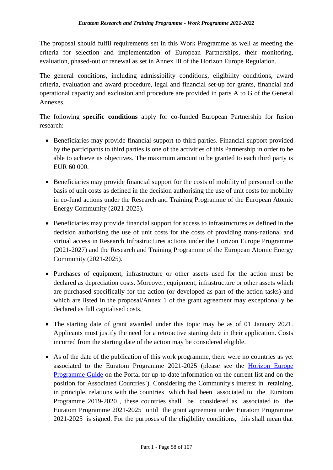The proposal should fulfil requirements set in this Work Programme as well as meeting the criteria for selection and implementation of European Partnerships, their monitoring, evaluation, phased-out or renewal as set in Annex III of the Horizon Europe Regulation.

The general conditions, including admissibility conditions, eligibility conditions, award criteria, evaluation and award procedure, legal and financial set-up for grants, financial and operational capacity and exclusion and procedure are provided in parts A to G of the General Annexes.

The following **specific conditions** apply for co-funded European Partnership for fusion research:

- Beneficiaries may provide financial support to third parties. Financial support provided by the participants to third parties is one of the activities of this Partnership in order to be able to achieve its objectives. The maximum amount to be granted to each third party is EUR 60 000.
- Beneficiaries may provide financial support for the costs of mobility of personnel on the basis of unit costs as defined in the decision authorising the use of unit costs for mobility in co-fund actions under the Research and Training Programme of the European Atomic Energy Community (2021-2025).
- Beneficiaries may provide financial support for access to infrastructures as defined in the decision authorising the use of unit costs for the costs of providing trans-national and virtual access in Research Infrastructures actions under the Horizon Europe Programme (2021-2027) and the Research and Training Programme of the European Atomic Energy Community (2021-2025).
- Purchases of equipment, infrastructure or other assets used for the action must be declared as depreciation costs. Moreover, equipment, infrastructure or other assets which are purchased specifically for the action (or developed as part of the action tasks) and which are listed in the proposal/Annex 1 of the grant agreement may exceptionally be declared as full capitalised costs.
- The starting date of grant awarded under this topic may be as of 01 January 2021. Applicants must justify the need for a retroactive starting date in their application. Costs incurred from the starting date of the action may be considered eligible.
- As of the date of the publication of this work programme, there were no countries as yet associated to the Euratom Programme 2021-2025 (please see the [Horizon Europe](https://ec.europa.eu/info/funding-tenders/opportunities/docs/2021-2027/horizon/guidance/programme-guide_horizon_en.pdf)  [Programme Guide](https://ec.europa.eu/info/funding-tenders/opportunities/docs/2021-2027/horizon/guidance/programme-guide_horizon_en.pdf) on the Portal for up-to-date information on the current list and on the position for Associated Countries*'*). Considering the Community's interest in retaining, in principle, relations with the countries which had been associated to the Euratom Programme 2019-2020 , these countries shall be considered as associated to the Euratom Programme 2021-2025 until the grant agreement under Euratom Programme 2021-2025 is signed. For the purposes of the eligibility conditions, this shall mean that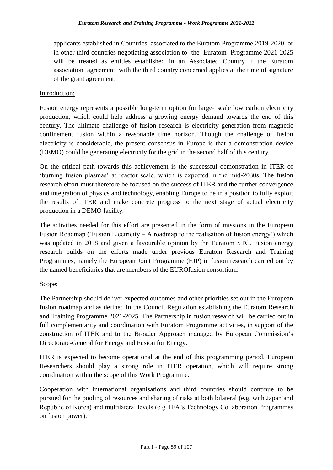applicants established in Countries associated to the Euratom Programme 2019-2020 or in other third countries negotiating association to the Euratom Programme 2021-2025 will be treated as entities established in an Associated Country if the Euratom association agreement with the third country concerned applies at the time of signature of the grant agreement.

#### Introduction:

Fusion energy represents a possible long-term option for large- scale low carbon electricity production, which could help address a growing energy demand towards the end of this century. The ultimate challenge of fusion research is electricity generation from magnetic confinement fusion within a reasonable time horizon. Though the challenge of fusion electricity is considerable, the present consensus in Europe is that a demonstration device (DEMO) could be generating electricity for the grid in the second half of this century.

On the critical path towards this achievement is the successful demonstration in ITER of 'burning fusion plasmas' at reactor scale, which is expected in the mid-2030s. The fusion research effort must therefore be focused on the success of ITER and the further convergence and integration of physics and technology, enabling Europe to be in a position to fully exploit the results of ITER and make concrete progress to the next stage of actual electricity production in a DEMO facility.

The activities needed for this effort are presented in the form of missions in the European Fusion Roadmap ('Fusion Electricity – A roadmap to the realisation of fusion energy') which was updated in 2018 and given a favourable opinion by the Euratom STC. Fusion energy research builds on the efforts made under previous Euratom Research and Training Programmes, namely the European Joint Programme (EJP) in fusion research carried out by the named beneficiaries that are members of the EUROfusion consortium.

#### Scope:

The Partnership should deliver expected outcomes and other priorities set out in the European fusion roadmap and as defined in the Council Regulation establishing the Euratom Research and Training Programme 2021-2025. The Partnership in fusion research will be carried out in full complementarity and coordination with Euratom Programme activities, in support of the construction of ITER and to the Broader Approach managed by European Commission's Directorate-General for Energy and Fusion for Energy.

ITER is expected to become operational at the end of this programming period. European Researchers should play a strong role in ITER operation, which will require strong coordination within the scope of this Work Programme.

Cooperation with international organisations and third countries should continue to be pursued for the pooling of resources and sharing of risks at both bilateral (e.g. with Japan and Republic of Korea) and multilateral levels (e.g. IEA's Technology Collaboration Programmes on fusion power).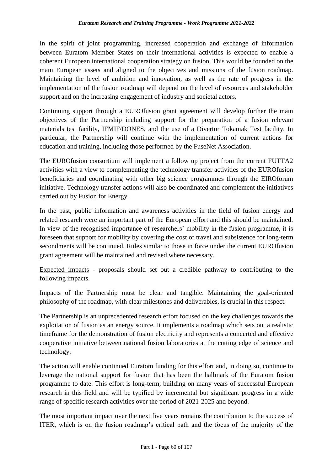In the spirit of joint programming, increased cooperation and exchange of information between Euratom Member States on their international activities is expected to enable a coherent European international cooperation strategy on fusion. This would be founded on the main European assets and aligned to the objectives and missions of the fusion roadmap. Maintaining the level of ambition and innovation, as well as the rate of progress in the implementation of the fusion roadmap will depend on the level of resources and stakeholder support and on the increasing engagement of industry and societal actors.

Continuing support through a EUROfusion grant agreement will develop further the main objectives of the Partnership including support for the preparation of a fusion relevant materials test facility, IFMIF/DONES, and the use of a Divertor Tokamak Test facility. In particular, the Partnership will continue with the implementation of current actions for education and training, including those performed by the FuseNet Association.

The EUROfusion consortium will implement a follow up project from the current FUTTA2 activities with a view to complementing the technology transfer activities of the EUROfusion beneficiaries and coordinating with other big science programmes through the EIROforum initiative. Technology transfer actions will also be coordinated and complement the initiatives carried out by Fusion for Energy.

In the past, public information and awareness activities in the field of fusion energy and related research were an important part of the European effort and this should be maintained. In view of the recognised importance of researchers' mobility in the fusion programme, it is foreseen that support for mobility by covering the cost of travel and subsistence for long-term secondments will be continued. Rules similar to those in force under the current EUROfusion grant agreement will be maintained and revised where necessary.

Expected impacts - proposals should set out a credible pathway to contributing to the following impacts.

Impacts of the Partnership must be clear and tangible. Maintaining the goal-oriented philosophy of the roadmap, with clear milestones and deliverables, is crucial in this respect.

The Partnership is an unprecedented research effort focused on the key challenges towards the exploitation of fusion as an energy source. It implements a roadmap which sets out a realistic timeframe for the demonstration of fusion electricity and represents a concerted and effective cooperative initiative between national fusion laboratories at the cutting edge of science and technology.

The action will enable continued Euratom funding for this effort and, in doing so, continue to leverage the national support for fusion that has been the hallmark of the Euratom fusion programme to date. This effort is long-term, building on many years of successful European research in this field and will be typified by incremental but significant progress in a wide range of specific research activities over the period of 2021-2025 and beyond.

The most important impact over the next five years remains the contribution to the success of ITER, which is on the fusion roadmap's critical path and the focus of the majority of the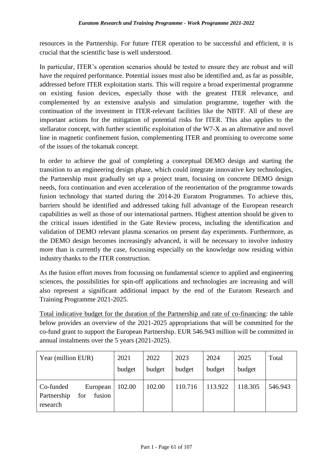resources in the Partnership. For future ITER operation to be successful and efficient, it is crucial that the scientific base is well understood.

In particular, ITER's operation scenarios should be tested to ensure they are robust and will have the required performance. Potential issues must also be identified and, as far as possible, addressed before ITER exploitation starts. This will require a broad experimental programme on existing fusion devices, especially those with the greatest ITER relevance, and complemented by an extensive analysis and simulation programme, together with the continuation of the investment in ITER-relevant facilities like the NBTF. All of these are important actions for the mitigation of potential risks for ITER. This also applies to the stellarator concept, with further scientific exploitation of the W7-X as an alternative and novel line in magnetic confinement fusion, complementing ITER and promising to overcome some of the issues of the tokamak concept.

In order to achieve the goal of completing a conceptual DEMO design and starting the transition to an engineering design phase, which could integrate innovative key technologies, the Partnership must gradually set up a project team, focusing on concrete DEMO design needs, fora continuation and even acceleration of the reorientation of the programme towards fusion technology that started during the 2014-20 Euratom Programmes. To achieve this, barriers should be identified and addressed taking full advantage of the European research capabilities as well as those of our international partners. Highest attention should be given to the critical issues identified in the Gate Review process, including the identification and validation of DEMO relevant plasma scenarios on present day experiments. Furthermore, as the DEMO design becomes increasingly advanced, it will be necessary to involve industry more than is currently the case, focussing especially on the knowledge now residing within industry thanks to the ITER construction.

As the fusion effort moves from focussing on fundamental science to applied and engineering sciences, the possibilities for spin-off applications and technologies are increasing and will also represent a significant additional impact by the end of the Euratom Research and Training Programme 2021-2025.

Total indicative budget for the duration of the Partnership and rate of co-financing: the table below provides an overview of the 2021-2025 appropriations that will be committed for the co-fund grant to support the European Partnership. EUR 546.943 million will be committed in annual instalments over the 5 years (2021-2025).

| Year (million EUR)                                                | 2021   | 2022   | 2023    | 2024    | 2025    | Total   |
|-------------------------------------------------------------------|--------|--------|---------|---------|---------|---------|
|                                                                   | budget | budget | budget  | budget  | budget  |         |
| Co-funded<br>European<br>fusion<br>Partnership<br>for<br>research | 102.00 | 102.00 | 110.716 | 113.922 | 118.305 | 546.943 |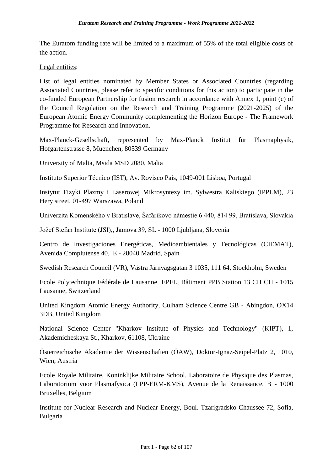The Euratom funding rate will be limited to a maximum of 55% of the total eligible costs of the action.

#### Legal entities:

List of legal entities nominated by Member States or Associated Countries (regarding Associated Countries, please refer to specific conditions for this action) to participate in the co-funded European Partnership for fusion research in accordance with Annex 1, point (c) of the Council Regulation on the Research and Training Programme (2021-2025) of the European Atomic Energy Community complementing the Horizon Europe - The Framework Programme for Research and Innovation.

Max-Planck-Gesellschaft, represented by Max-Planck Institut für Plasmaphysik, Hofgartenstrasse 8, Muenchen, 80539 Germany

University of Malta, Msida MSD 2080, Malta

Instituto Superior Técnico (IST), Av. Rovisco Pais, 1049-001 Lisboa, Portugal

Instytut Fizyki Plazmy i Laserowej Mikrosyntezy im. Sylwestra Kaliskiego (IPPLM), 23 Hery street, 01-497 Warszawa, Poland

Univerzita Komenského v Bratislave, Šafárikovo námestie 6 440, 814 99, Bratislava, Slovakia

Jožef Stefan Institute (JSI),, Jamova 39, SL - 1000 Ljubljana, Slovenia

Centro de Investigaciones Energéticas, Medioambientales y Tecnológicas (CIEMAT), Avenida Complutense 40, E - 28040 Madrid, Spain

Swedish Research Council (VR), Västra Järnvägsgatan 3 1035, 111 64, Stockholm, Sweden

Ecole Polytechnique Fédérale de Lausanne EPFL, Bâtiment PPB Station 13 CH CH - 1015 Lausanne, Switzerland

United Kingdom Atomic Energy Authority, Culham Science Centre GB - Abingdon, OX14 3DB, United Kingdom

National Science Center "Kharkov Institute of Physics and Technology" (KIPT), 1, Akademicheskaya St., Kharkov, 61108, Ukraine

Österreichische Akademie der Wissenschaften (ÖAW), Doktor-Ignaz-Seipel-Platz 2, 1010, Wien, Austria

Ecole Royale Militaire, Koninklijke Militaire School. Laboratoire de Physique des Plasmas, Laboratorium voor Plasmafysica (LPP-ERM-KMS), Avenue de la Renaissance, B - 1000 Bruxelles, Belgium

Institute for Nuclear Research and Nuclear Energy, Boul. Tzarigradsko Chaussee 72, Sofia, Bulgaria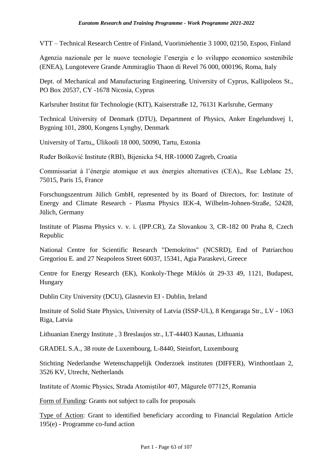VTT – Technical Research Centre of Finland, Vuorimiehentie 3 1000, 02150, Espoo, Finland

Agenzia nazionale per le nuove tecnologie l'energia e lo sviluppo economico sostenibile (ENEA), Lungotevere Grande Ammiraglio Thaon di Revel 76 000, 000196, Roma, Italy

Dept. of Mechanical and Manufacturing Engineering, University of Cyprus, Kallipoleos St., PO Box 20537, CY -1678 Nicosia, Cyprus

Karlsruher Institut für Technologie (KIT), Kaiserstraße 12, 76131 Karlsruhe, Germany

Technical University of Denmark (DTU), Department of Physics, Anker Engelundsvej 1, Bygning 101, 2800, Kongens Lyngby, Denmark

University of Tartu,, Ülikooli 18 000, 50090, Tartu, Estonia

Ruđer Bošković Institute (RBI), Bijenicka 54, HR-10000 Zagreb, Croatia

Commissariat à l'énergie atomique et aux énergies alternatives (CEA),, Rue Leblanc 25, 75015, Paris 15, France

Forschungszentrum Jülich GmbH, represented by its Board of Directors, for: Institute of Energy and Climate Research - Plasma Physics IEK-4, Wilhelm-Johnen-Straße, 52428, Jülich, Germany

Institute of Plasma Physics v. v. i. (IPP.CR), Za Slovankou 3, CR-182 00 Praha 8, Czech Republic

National Centre for Scientific Research "Demokritos" (NCSRD), End of Patriarchou Gregoriou E. and 27 Neapoleos Street 60037, 15341, Agia Paraskevi, Greece

Centre for Energy Research (EK), Konkoly-Thege Miklós út 29-33 49, 1121, Budapest, Hungary

Dublin City University (DCU), Glasnevin EI - Dublin, Ireland

Institute of Solid State Physics, University of Latvia (ISSP-UL), 8 Kengaraga Str., LV - 1063 Riga, Latvia

Lithuanian Energy Institute , 3 Breslaujos str., LT-44403 Kaunas, Lithuania

GRADEL S.A., 38 route de Luxembourg, L-8440, Steinfort, Luxembourg

Stichting Nederlandse Wetenschappelijk Onderzoek instituten (DIFFER), Winthontlaan 2, 3526 KV, Utrecht, Netherlands

Institute of Atomic Physics, Strada Atomiștilor 407, Măgurele 077125, Romania

Form of Funding: Grants not subject to calls for proposals

Type of Action: Grant to identified beneficiary according to Financial Regulation Article 195(e) - Programme co-fund action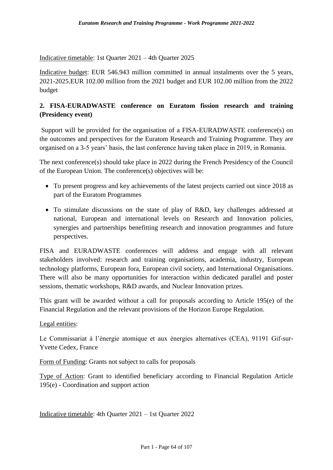Indicative timetable: 1st Quarter 2021 – 4th Quarter 2025

Indicative budget: EUR 546.943 million committed in annual instalments over the 5 years, 2021-2025.EUR 102.00 million from the 2021 budget and EUR 102.00 million from the 2022 budget

## **2. FISA-EURADWASTE conference on Euratom fission research and training (Presidency event)**

Support will be provided for the organisation of a FISA-EURADWASTE conference(s) on the outcomes and perspectives for the Euratom Research and Training Programme. They are organised on a 3-5 years' basis, the last conference having taken place in 2019, in Romania.

The next conference(s) should take place in 2022 during the French Presidency of the Council of the European Union. The conference(s) objectives will be:

- To present progress and key achievements of the latest projects carried out since 2018 as part of the Euratom Programmes
- To stimulate discussions on the state of play of R&D, key challenges addressed at national, European and international levels on Research and Innovation policies, synergies and partnerships benefitting research and innovation programmes and future perspectives.

FISA and EURADWASTE conferences will address and engage with all relevant stakeholders involved: research and training organisations, academia, industry, European technology platforms, European fora, European civil society, and International Organisations. There will also be many opportunities for interaction within dedicated parallel and poster sessions, thematic workshops, R&D awards, and Nuclear Innovation prizes.

This grant will be awarded without a call for proposals according to Article 195(e) of the Financial Regulation and the relevant provisions of the Horizon Europe Regulation.

#### Legal entities:

Le Commissariat à l'énergie atomique et aux énergies alternatives (CEA), 91191 Gif-sur-Yvette Cedex, France

Form of Funding: Grants not subject to calls for proposals

Type of Action: Grant to identified beneficiary according to Financial Regulation Article 195(e) - Coordination and support action

Indicative timetable: 4th Quarter 2021 – 1st Quarter 2022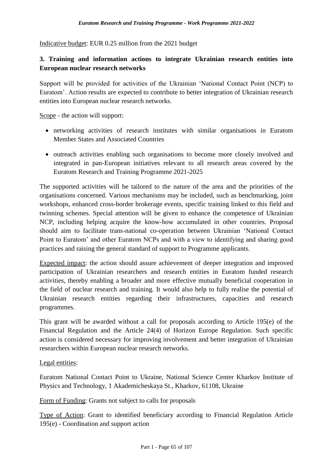Indicative budget: EUR 0.25 million from the 2021 budget

## **3. Training and information actions to integrate Ukrainian research entities into European nuclear research networks**

Support will be provided for activities of the Ukrainian 'National Contact Point (NCP) to Euratom'. Action results are expected to contribute to better integration of Ukrainian research entities into European nuclear research networks.

Scope - the action will support:

- networking activities of research institutes with similar organisations in Euratom Member States and Associated Countries
- outreach activities enabling such organisations to become more closely involved and integrated in pan-European initiatives relevant to all research areas covered by the Euratom Research and Training Programme 2021-2025

The supported activities will be tailored to the nature of the area and the priorities of the organisations concerned. Various mechanisms may be included, such as benchmarking, joint workshops, enhanced cross-border brokerage events, specific training linked to this field and twinning schemes. Special attention will be given to enhance the competence of Ukrainian NCP, including helping acquire the know-how accumulated in other countries. Proposal should aim to facilitate trans-national co-operation between Ukrainian 'National Contact Point to Euratom' and other Euratom NCPs and with a view to identifying and sharing good practices and raising the general standard of support to Programme applicants.

Expected impact: the action should assure achievement of deeper integration and improved participation of Ukrainian researchers and research entities in Euratom funded research activities, thereby enabling a broader and more effective mutually beneficial cooperation in the field of nuclear research and training. It would also help to fully realise the potential of Ukrainian research entities regarding their infrastructures, capacities and research programmes.

This grant will be awarded without a call for proposals according to Article 195(e) of the Financial Regulation and the Article 24(4) of Horizon Europe Regulation. Such specific action is considered necessary for improving involvement and better integration of Ukrainian researchers within European nuclear research networks.

Legal entities:

Euratom National Contact Point to Ukraine, National Science Center Kharkov Institute of Physics and Technology, 1 Akademicheskaya St., Kharkov, 61108, Ukraine

Form of Funding: Grants not subject to calls for proposals

Type of Action: Grant to identified beneficiary according to Financial Regulation Article 195(e) - Coordination and support action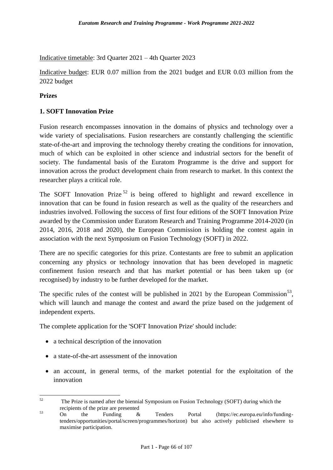Indicative timetable: 3rd Quarter 2021 – 4th Quarter 2023

Indicative budget: EUR 0.07 million from the 2021 budget and EUR 0.03 million from the 2022 budget

#### **Prizes**

#### **1. SOFT Innovation Prize**

Fusion research encompasses innovation in the domains of physics and technology over a wide variety of specialisations. Fusion researchers are constantly challenging the scientific state-of-the-art and improving the technology thereby creating the conditions for innovation, much of which can be exploited in other science and industrial sectors for the benefit of society. The fundamental basis of the Euratom Programme is the drive and support for innovation across the product development chain from research to market. In this context the researcher plays a critical role.

The SOFT Innovation Prize<sup>52</sup> is being offered to highlight and reward excellence in innovation that can be found in fusion research as well as the quality of the researchers and industries involved. Following the success of first four editions of the SOFT Innovation Prize awarded by the Commission under Euratom Research and Training Programme 2014-2020 (in 2014, 2016, 2018 and 2020), the European Commission is holding the contest again in association with the next Symposium on Fusion Technology (SOFT) in 2022.

There are no specific categories for this prize. Contestants are free to submit an application concerning any physics or technology innovation that has been developed in magnetic confinement fusion research and that has market potential or has been taken up (or recognised) by industry to be further developed for the market.

The specific rules of the contest will be published in 2021 by the European Commission<sup>53</sup>, which will launch and manage the contest and award the prize based on the judgement of independent experts.

The complete application for the 'SOFT Innovation Prize' should include:

- a technical description of the innovation
- a state-of-the-art assessment of the innovation
- an account, in general terms, of the market potential for the exploitation of the innovation

 $52$ <sup>52</sup> The Prize is named after the biennial Symposium on Fusion Technology (SOFT) during which the recipients of the prize are presented

 $\frac{53}{20}$  On the Funding & Tenders Portal (https://ec.europa.eu/info/fundingtenders/opportunities/portal/screen/programmes/horizon) but also actively publicised elsewhere to maximise participation.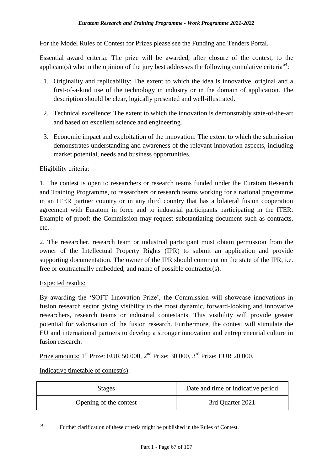For the Model Rules of Contest for Prizes please see the Funding and Tenders Portal.

Essential award criteria: The prize will be awarded, after closure of the contest, to the applicant(s) who in the opinion of the jury best addresses the following cumulative criteria<sup>54</sup>:

- 1. Originality and replicability: The extent to which the idea is innovative, original and a first-of-a-kind use of the technology in industry or in the domain of application. The description should be clear, logically presented and well-illustrated.
- 2. Technical excellence: The extent to which the innovation is demonstrably state-of-the-art and based on excellent science and engineering.
- 3. Economic impact and exploitation of the innovation: The extent to which the submission demonstrates understanding and awareness of the relevant innovation aspects, including market potential, needs and business opportunities.

#### Eligibility criteria:

1. The contest is open to researchers or research teams funded under the Euratom Research and Training Programme, to researchers or research teams working for a national programme in an ITER partner country or in any third country that has a bilateral fusion cooperation agreement with Euratom in force and to industrial participants participating in the ITER. Example of proof: the Commission may request substantiating document such as contracts, etc.

2. The researcher, research team or industrial participant must obtain permission from the owner of the Intellectual Property Rights (IPR) to submit an application and provide supporting documentation. The owner of the IPR should comment on the state of the IPR, i.e. free or contractually embedded, and name of possible contractor(s).

#### Expected results:

By awarding the 'SOFT Innovation Prize', the Commission will showcase innovations in fusion research sector giving visibility to the most dynamic, forward-looking and innovative researchers, research teams or industrial contestants. This visibility will provide greater potential for valorisation of the fusion research. Furthermore, the contest will stimulate the EU and international partners to develop a stronger innovation and entrepreneurial culture in fusion research.

<u>Prize amounts:</u> 1<sup>st</sup> Prize: EUR 50 000, 2<sup>nd</sup> Prize: 30 000, 3<sup>rd</sup> Prize: EUR 20 000.

Indicative timetable of contest(s):

| Stages                 | Date and time or indicative period |  |
|------------------------|------------------------------------|--|
| Opening of the contest | 3rd Quarter 2021                   |  |

54 Further clarification of these criteria might be published in the Rules of Contest.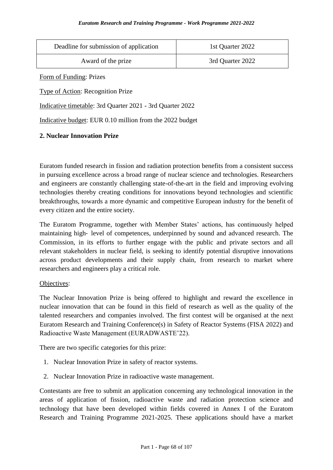| Deadline for submission of application | 1st Quarter 2022 |  |
|----------------------------------------|------------------|--|
| Award of the prize                     | 3rd Quarter 2022 |  |

Form of Funding: Prizes

Type of Action: Recognition Prize

Indicative timetable: 3rd Quarter 2021 - 3rd Quarter 2022

Indicative budget: EUR 0.10 million from the 2022 budget

#### **2. Nuclear Innovation Prize**

Euratom funded research in fission and radiation protection benefits from a consistent success in pursuing excellence across a broad range of nuclear science and technologies. Researchers and engineers are constantly challenging state-of-the-art in the field and improving evolving technologies thereby creating conditions for innovations beyond technologies and scientific breakthroughs, towards a more dynamic and competitive European industry for the benefit of every citizen and the entire society.

The Euratom Programme, together with Member States' actions, has continuously helped maintaining high‑ level of competences, underpinned by sound and advanced research. The Commission, in its efforts to further engage with the public and private sectors and all relevant stakeholders in nuclear field, is seeking to identify potential disruptive innovations across product developments and their supply chain, from research to market where researchers and engineers play a critical role.

#### Objectives:

The Nuclear Innovation Prize is being offered to highlight and reward the excellence in nuclear innovation that can be found in this field of research as well as the quality of the talented researchers and companies involved. The first contest will be organised at the next Euratom Research and Training Conference(s) in Safety of Reactor Systems (FISA 2022) and Radioactive Waste Management (EURADWASTE'22).

There are two specific categories for this prize:

- 1. Nuclear Innovation Prize in safety of reactor systems.
- 2. Nuclear Innovation Prize in radioactive waste management.

Contestants are free to submit an application concerning any technological innovation in the areas of application of fission, radioactive waste and radiation protection science and technology that have been developed within fields covered in Annex I of the Euratom Research and Training Programme 2021-2025. These applications should have a market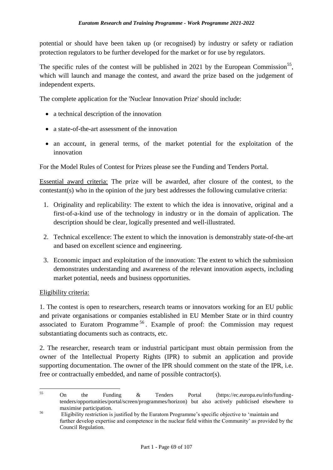potential or should have been taken up (or recognised) by industry or safety or radiation protection regulators to be further developed for the market or for use by regulators.

The specific rules of the contest will be published in 2021 by the European Commission<sup>55</sup>, which will launch and manage the contest, and award the prize based on the judgement of independent experts.

The complete application for the 'Nuclear Innovation Prize' should include:

- a technical description of the innovation
- a state-of-the-art assessment of the innovation
- an account, in general terms, of the market potential for the exploitation of the innovation

For the Model Rules of Contest for Prizes please see the Funding and Tenders Portal.

Essential award criteria: The prize will be awarded, after closure of the contest, to the contestant(s) who in the opinion of the jury best addresses the following cumulative criteria:

- 1. Originality and replicability: The extent to which the idea is innovative, original and a first-of-a-kind use of the technology in industry or in the domain of application. The description should be clear, logically presented and well-illustrated.
- 2. Technical excellence: The extent to which the innovation is demonstrably state-of-the-art and based on excellent science and engineering.
- 3. Economic impact and exploitation of the innovation: The extent to which the submission demonstrates understanding and awareness of the relevant innovation aspects, including market potential, needs and business opportunities.

#### Eligibility criteria:

1. The contest is open to researchers, research teams or innovators working for an EU public and private organisations or companies established in EU Member State or in third country associated to Euratom Programme<sup>56</sup>. Example of proof: the Commission may request substantiating documents such as contracts, etc.

2. The researcher, research team or industrial participant must obtain permission from the owner of the Intellectual Property Rights (IPR) to submit an application and provide supporting documentation. The owner of the IPR should comment on the state of the IPR, i.e. free or contractually embedded, and name of possible contractor(s).

 $55$ <sup>55</sup> On the Funding & Tenders Portal (https://ec.europa.eu/info/fundingtenders/opportunities/portal/screen/programmes/horizon) but also actively publicised elsewhere to maximise participation.

<sup>&</sup>lt;sup>56</sup> Eligibility restriction is justified by the Euratom Programme's specific objective to 'maintain and further develop expertise and competence in the nuclear field within the Community' as provided by the Council Regulation.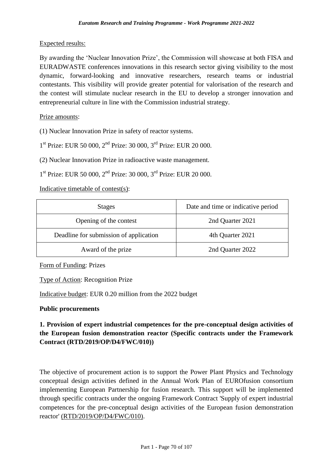### Expected results:

By awarding the 'Nuclear Innovation Prize', the Commission will showcase at both FISA and EURADWASTE conferences innovations in this research sector giving visibility to the most dynamic, forward-looking and innovative researchers, research teams or industrial contestants. This visibility will provide greater potential for valorisation of the research and the contest will stimulate nuclear research in the EU to develop a stronger innovation and entrepreneurial culture in line with the Commission industrial strategy.

### Prize amounts:

(1) Nuclear Innovation Prize in safety of reactor systems.

1<sup>st</sup> Prize: EUR 50 000, 2<sup>nd</sup> Prize: 30 000, 3<sup>rd</sup> Prize: EUR 20 000.

(2) Nuclear Innovation Prize in radioactive waste management.

1<sup>st</sup> Prize: EUR 50 000, 2<sup>nd</sup> Prize: 30 000, 3<sup>rd</sup> Prize: EUR 20 000.

Indicative timetable of contest(s):

| <b>Stages</b>                          | Date and time or indicative period |  |
|----------------------------------------|------------------------------------|--|
| Opening of the contest                 | 2nd Quarter 2021                   |  |
| Deadline for submission of application | 4th Quarter 2021                   |  |
| Award of the prize                     | 2nd Quarter 2022                   |  |

Form of Funding: Prizes

Type of Action: Recognition Prize

Indicative budget: EUR 0.20 million from the 2022 budget

#### **Public procurements**

# **1. Provision of expert industrial competences for the pre-conceptual design activities of the European fusion demonstration reactor (Specific contracts under the Framework Contract (RTD/2019/OP/D4/FWC/010))**

The objective of procurement action is to support the Power Plant Physics and Technology conceptual design activities defined in the Annual Work Plan of EUROfusion consortium implementing European Partnership for fusion research. This support will be implemented through specific contracts under the ongoing Framework Contract 'Supply of expert industrial competences for the pre-conceptual design activities of the European fusion demonstration reactor' (RTD/2019/OP/D4/FWC/010).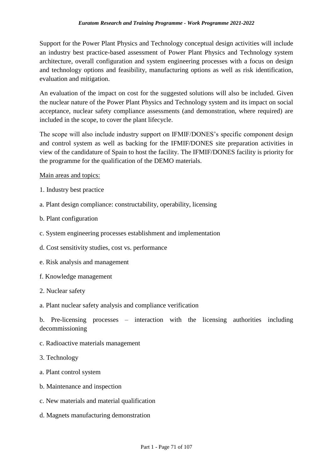Support for the Power Plant Physics and Technology conceptual design activities will include an industry best practice-based assessment of Power Plant Physics and Technology system architecture, overall configuration and system engineering processes with a focus on design and technology options and feasibility, manufacturing options as well as risk identification, evaluation and mitigation.

An evaluation of the impact on cost for the suggested solutions will also be included. Given the nuclear nature of the Power Plant Physics and Technology system and its impact on social acceptance, nuclear safety compliance assessments (and demonstration, where required) are included in the scope, to cover the plant lifecycle.

The scope will also include industry support on IFMIF/DONES's specific component design and control system as well as backing for the IFMIF/DONES site preparation activities in view of the candidature of Spain to host the facility. The IFMIF/DONES facility is priority for the programme for the qualification of the DEMO materials.

### Main areas and topics:

- 1. Industry best practice
- a. Plant design compliance: constructability, operability, licensing
- b. Plant configuration
- c. System engineering processes establishment and implementation
- d. Cost sensitivity studies, cost vs. performance
- e. Risk analysis and management
- f. Knowledge management
- 2. Nuclear safety

#### a. Plant nuclear safety analysis and compliance verification

b. Pre-licensing processes – interaction with the licensing authorities including decommissioning

- c. Radioactive materials management
- 3. Technology
- a. Plant control system
- b. Maintenance and inspection
- c. New materials and material qualification
- d. Magnets manufacturing demonstration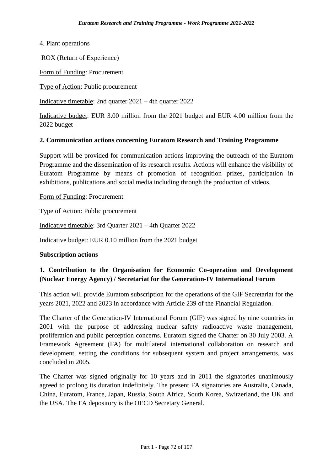4. Plant operations

ROX (Return of Experience)

Form of Funding: Procurement

Type of Action: Public procurement

Indicative timetable: 2nd quarter 2021 – 4th quarter 2022

Indicative budget: EUR 3.00 million from the 2021 budget and EUR 4.00 million from the 2022 budget

#### **2. Communication actions concerning Euratom Research and Training Programme**

Support will be provided for communication actions improving the outreach of the Euratom Programme and the dissemination of its research results. Actions will enhance the visibility of Euratom Programme by means of promotion of recognition prizes, participation in exhibitions, publications and social media including through the production of videos.

Form of Funding: Procurement

Type of Action: Public procurement

Indicative timetable: 3rd Quarter 2021 – 4th Quarter 2022

Indicative budget: EUR 0.10 million from the 2021 budget

#### **Subscription actions**

### **1. Contribution to the Organisation for Economic Co-operation and Development (Nuclear Energy Agency) / Secretariat for the Generation-IV International Forum**

This action will provide Euratom subscription for the operations of the GIF Secretariat for the years 2021, 2022 and 2023 in accordance with Article 239 of the Financial Regulation.

The Charter of the Generation-IV International Forum (GIF) was signed by nine countries in 2001 with the purpose of addressing nuclear safety radioactive waste management, proliferation and public perception concerns. Euratom signed the Charter on 30 July 2003. A Framework Agreement (FA) for multilateral international collaboration on research and development, setting the conditions for subsequent system and project arrangements, was concluded in 2005.

The Charter was signed originally for 10 years and in 2011 the signatories unanimously agreed to prolong its duration indefinitely. The present FA signatories are Australia, Canada, China, Euratom, France, Japan, Russia, South Africa, South Korea, Switzerland, the UK and the USA. The FA depository is the OECD Secretary General.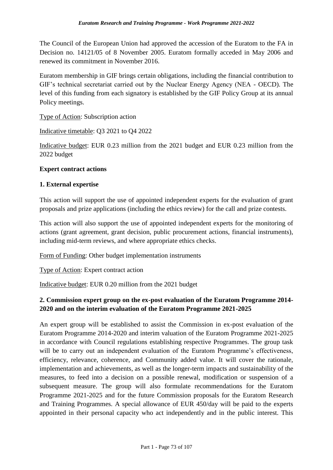The Council of the European Union had approved the accession of the Euratom to the FA in Decision no. 14121/05 of 8 November 2005. Euratom formally acceded in May 2006 and renewed its commitment in November 2016.

Euratom membership in GIF brings certain obligations, including the financial contribution to GIF's technical secretariat carried out by the Nuclear Energy Agency (NEA - OECD). The level of this funding from each signatory is established by the GIF Policy Group at its annual Policy meetings.

Type of Action: Subscription action

Indicative timetable: Q3 2021 to Q4 2022

Indicative budget: EUR 0.23 million from the 2021 budget and EUR 0.23 million from the 2022 budget

### **Expert contract actions**

### **1. External expertise**

This action will support the use of appointed independent experts for the evaluation of grant proposals and prize applications (including the ethics review) for the call and prize contests.

This action will also support the use of appointed independent experts for the monitoring of actions (grant agreement, grant decision, public procurement actions, financial instruments), including mid-term reviews, and where appropriate ethics checks.

Form of Funding: Other budget implementation instruments

Type of Action: Expert contract action

Indicative budget: EUR 0.20 million from the 2021 budget

# **2. Commission expert group on the ex-post evaluation of the Euratom Programme 2014- 2020 and on the interim evaluation of the Euratom Programme 2021-2025**

An expert group will be established to assist the Commission in ex-post evaluation of the Euratom Programme 2014-2020 and interim valuation of the Euratom Programme 2021-2025 in accordance with Council regulations establishing respective Programmes. The group task will be to carry out an independent evaluation of the Euratom Programme's effectiveness, efficiency, relevance, coherence, and Community added value. It will cover the rationale, implementation and achievements, as well as the longer-term impacts and sustainability of the measures, to feed into a decision on a possible renewal, modification or suspension of a subsequent measure. The group will also formulate recommendations for the Euratom Programme 2021-2025 and for the future Commission proposals for the Euratom Research and Training Programmes. A special allowance of EUR 450/day will be paid to the experts appointed in their personal capacity who act independently and in the public interest. This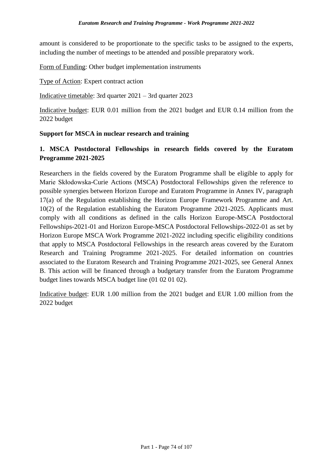amount is considered to be proportionate to the specific tasks to be assigned to the experts, including the number of meetings to be attended and possible preparatory work.

Form of Funding: Other budget implementation instruments

Type of Action: Expert contract action

Indicative timetable: 3rd quarter 2021 – 3rd quarter 2023

Indicative budget: EUR 0.01 million from the 2021 budget and EUR 0.14 million from the 2022 budget

### **Support for MSCA in nuclear research and training**

# **1. MSCA Postdoctoral Fellowships in research fields covered by the Euratom Programme 2021-2025**

Researchers in the fields covered by the Euratom Programme shall be eligible to apply for Marie Skłodowska-Curie Actions (MSCA) Postdoctoral Fellowships given the reference to possible synergies between Horizon Europe and Euratom Programme in Annex IV, paragraph 17(a) of the Regulation establishing the Horizon Europe Framework Programme and Art. 10(2) of the Regulation establishing the Euratom Programme 2021-2025. Applicants must comply with all conditions as defined in the calls Horizon Europe-MSCA Postdoctoral Fellowships-2021-01 and Horizon Europe-MSCA Postdoctoral Fellowships-2022-01 as set by Horizon Europe MSCA Work Programme 2021-2022 including specific eligibility conditions that apply to MSCA Postdoctoral Fellowships in the research areas covered by the Euratom Research and Training Programme 2021-2025. For detailed information on countries associated to the Euratom Research and Training Programme 2021-2025, see General Annex B. This action will be financed through a budgetary transfer from the Euratom Programme budget lines towards MSCA budget line (01 02 01 02).

Indicative budget: EUR 1.00 million from the 2021 budget and EUR 1.00 million from the 2022 budget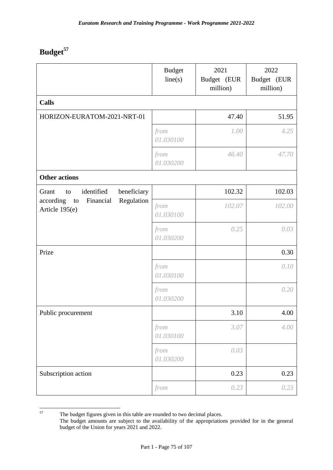# **Budget<sup>57</sup>**

|                                                              | <b>Budget</b><br>line(s) | 2021<br>Budget (EUR<br>million) | 2022<br>Budget (EUR<br>million) |
|--------------------------------------------------------------|--------------------------|---------------------------------|---------------------------------|
| <b>Calls</b>                                                 |                          |                                 |                                 |
| HORIZON-EURATOM-2021-NRT-01                                  |                          | 47.40                           | 51.95                           |
|                                                              | from<br>01.030100        | 1.00                            | 4.25                            |
|                                                              | from<br>01.030200        | 46.40                           | 47.70                           |
| <b>Other actions</b>                                         |                          |                                 |                                 |
| identified<br>beneficiary<br>Grant<br>to                     |                          | 102.32                          | 102.03                          |
| Regulation<br>Financial<br>according<br>to<br>Article 195(e) | from<br>01.030100        | 102.07                          | 102.00                          |
|                                                              | from<br>01.030200        | 0.25                            | 0.03                            |
| Prize                                                        |                          |                                 | 0.30                            |
|                                                              | from<br>01.030100        |                                 | 0.10                            |
|                                                              | from<br>01.030200        |                                 | 0.20                            |
| Public procurement                                           |                          | 3.10                            | 4.00                            |
|                                                              | from<br>01.030100        | 3.07                            | 4.00                            |
|                                                              | from<br>01.030200        | 0.03                            |                                 |
| Subscription action                                          |                          | 0.23                            | 0.23                            |
|                                                              | from                     | 0.23                            | 0.23                            |

<sup>57</sup> The budget figures given in this table are rounded to two decimal places. The budget amounts are subject to the availability of the appropriations provided for in the general budget of the Union for years 2021 and 2022.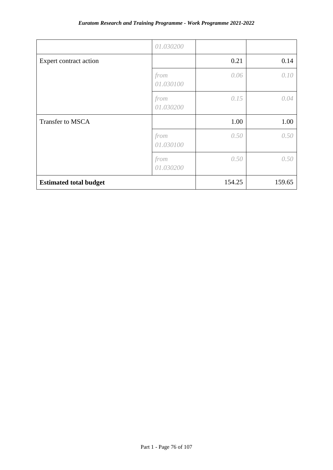|                               | 01.030200         |        |        |
|-------------------------------|-------------------|--------|--------|
| Expert contract action        |                   | 0.21   | 0.14   |
|                               | from<br>01.030100 | 0.06   | 0.10   |
|                               | from<br>01.030200 | 0.15   | 0.04   |
| Transfer to MSCA              |                   | 1.00   | 1.00   |
|                               | from<br>01.030100 | 0.50   | 0.50   |
|                               | from<br>01.030200 | 0.50   | 0.50   |
| <b>Estimated total budget</b> |                   | 154.25 | 159.65 |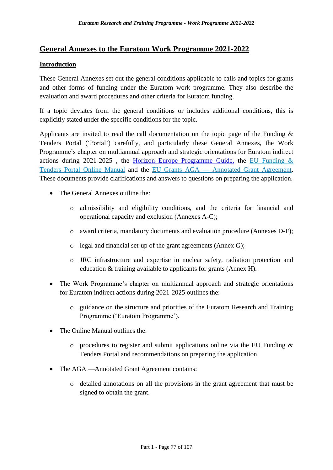# **General Annexes to the Euratom Work Programme 2021-2022**

### **Introduction**

These General Annexes set out the general conditions applicable to calls and topics for grants and other forms of funding under the Euratom work programme. They also describe the evaluation and award procedures and other criteria for Euratom funding.

If a topic deviates from the general conditions or includes additional conditions, this is explicitly stated under the specific conditions for the topic.

Applicants are invited to read the call documentation on the topic page of the Funding & Tenders Portal ('Portal') carefully, and particularly these General Annexes, the Work Programme's chapter on multiannual approach and strategic orientations for Euratom indirect actions during 2021-2025 , the [Horizon Europe Programme Guide,](https://ec.europa.eu/info/funding-tenders/opportunities/docs/2021-2027/horizon/guidance/programme-guide_horizon_en.pdf) the [EU Funding &](https://ec.europa.eu/info/funding-tenders/opportunities/docs/2021-2027/common/guidance/om_en.pdf)  [Tenders Portal Online Manual](https://ec.europa.eu/info/funding-tenders/opportunities/docs/2021-2027/common/guidance/om_en.pdf) and the EU Grants AGA — [Annotated Grant Agreement.](https://ec.europa.eu/info/funding-tenders/opportunities/docs/2021-2027/common/guidance/aga_en.pdf) These documents provide clarifications and answers to questions on preparing the application.

- The General Annexes outline the:
	- o admissibility and eligibility conditions, and the criteria for financial and operational capacity and exclusion (Annexes A-C);
	- o award criteria, mandatory documents and evaluation procedure (Annexes D-F);
	- o legal and financial set-up of the grant agreements (Annex G);
	- o JRC infrastructure and expertise in nuclear safety, radiation protection and education & training available to applicants for grants (Annex H).
- The Work Programme's chapter on multiannual approach and strategic orientations for Euratom indirect actions during 2021-2025 outlines the:
	- o guidance on the structure and priorities of the Euratom Research and Training Programme ('Euratom Programme').
- The Online Manual outlines the:
	- $\circ$  procedures to register and submit applications online via the EU Funding & Tenders Portal and recommendations on preparing the application.
- The AGA —Annotated Grant Agreement contains:
	- o detailed annotations on all the provisions in the grant agreement that must be signed to obtain the grant.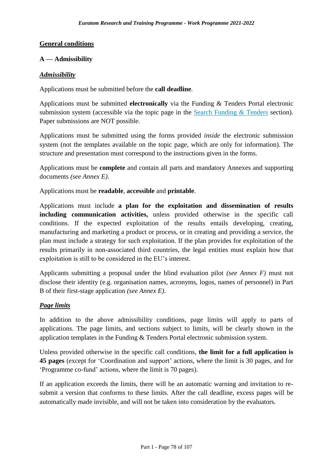### **General conditions**

### **A — Admissibility**

#### *Admissibility*

Applications must be submitted before the **call deadline**.

Applications must be submitted **electronically** via the Funding & Tenders Portal electronic submission system (accessible via the topic page in the Search Funding  $&$  Tenders section). Paper submissions are NOT possible.

Applications must be submitted using the forms provided *inside* the electronic submission system (not the templates available on the topic page, which are only for information). The structure and presentation must correspond to the instructions given in the forms.

Applications must be **complete** and contain all parts and mandatory Annexes and supporting documents *(see Annex E)*.

Applications must be **readable**, **accessible** and **printable**.

Applications must include **a plan for the exploitation and dissemination of results including communication activities,** unless provided otherwise in the specific call conditions. If the expected exploitation of the results entails developing, creating, manufacturing and marketing a product or process, or in creating and providing a service, the plan must include a strategy for such exploitation. If the plan provides for exploitation of the results primarily in non-associated third countries, the legal entities must explain how that exploitation is still to be considered in the EU's interest.

Applicants submitting a proposal under the blind evaluation pilot *(see Annex F)* must not disclose their identity (e.g. organisation names, acronyms, logos, names of personnel) in Part B of their first-stage application *(see Annex E)*.

### *Page limits*

In addition to the above admissibility conditions, page limits will apply to parts of applications. The page limits, and sections subject to limits, will be clearly shown in the application templates in the Funding & Tenders Portal electronic submission system.

Unless provided otherwise in the specific call conditions, **the limit for a full application is 45 pages** (except for 'Coordination and support' actions, where the limit is 30 pages, and for 'Programme co-fund' actions, where the limit is 70 pages).

If an application exceeds the limits, there will be an automatic warning and invitation to resubmit a version that conforms to these limits. After the call deadline, excess pages will be automatically made invisible, and will not be taken into consideration by the evaluators.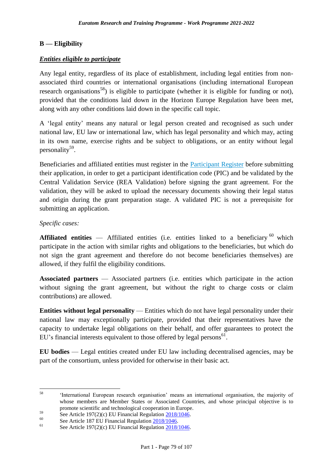### **B — Eligibility**

### *Entities eligible to participate*

Any legal entity, regardless of its place of establishment, including legal entities from nonassociated third countries or international organisations (including international European research organisations<sup>58</sup>) is eligible to participate (whether it is eligible for funding or not), provided that the conditions laid down in the Horizon Europe Regulation have been met, along with any other conditions laid down in the specific call topic.

A 'legal entity' means any natural or legal person created and recognised as such under national law, EU law or international law, which has legal personality and which may, acting in its own name, exercise rights and be subject to obligations, or an entity without legal personality<sup>59</sup>.

Beneficiaries and affiliated entities must register in the [Participant Register](https://ec.europa.eu/info/funding-tenders/opportunities/portal/screen/how-to-participate/participant-register) before submitting their application, in order to get a participant identification code (PIC) and be validated by the Central Validation Service (REA Validation) before signing the grant agreement. For the validation, they will be asked to upload the necessary documents showing their legal status and origin during the grant preparation stage. A validated PIC is not a prerequisite for submitting an application.

### *Specific cases:*

**Affiliated entities** — Affiliated entities (i.e. entities linked to a beneficiary  $^{60}$  which participate in the action with similar rights and obligations to the beneficiaries, but which do not sign the grant agreement and therefore do not become beneficiaries themselves) are allowed, if they fulfil the eligibility conditions.

**Associated partners** — Associated partners (i.e. entities which participate in the action without signing the grant agreement, but without the right to charge costs or claim contributions) are allowed.

**Entities without legal personality** — Entities which do not have legal personality under their national law may exceptionally participate, provided that their representatives have the capacity to undertake legal obligations on their behalf, and offer guarantees to protect the EU's financial interests equivalent to those offered by legal persons $<sup>61</sup>$ .</sup>

**EU bodies** — Legal entities created under EU law including decentralised agencies, may be part of the consortium, unless provided for otherwise in their basic act.

 $58$ 'International European research organisation' means an international organisation, the majority of whose members are Member States or Associated Countries, and whose principal objective is to promote scientific and technological cooperation in Europe.

 $59$  See Article 197(2)(c) EU Financial Regulation  $\frac{2018/1046}{2018/1046}$ .

<sup>&</sup>lt;sup>60</sup> See Article 187 EU Financial Regulation  $\frac{2018/1046}{8}$ .

See Article 197(2)(c) EU Financial Regulation  $2018/1046$ .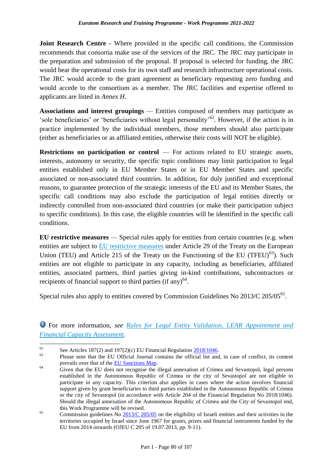**Joint Research Centre -** Where provided in the specific call conditions, the Commission recommends that consortia make use of the services of the JRC. The JRC may participate in the preparation and submission of the proposal. If proposal is selected for funding, the JRC would bear the operational costs for its own staff and research infrastructure operational costs. The JRC would accede to the grant agreement as beneficiary requesting zero funding and would accede to the consortium as a member. The JRC facilities and expertise offered to applicants are listed in *Annex H*.

**Associations and interest groupings** — Entities composed of members may participate as 'sole beneficiaries' or 'beneficiaries without legal personality'<sup>62</sup>. However, if the action is in practice implemented by the individual members, those members should also participate (either as beneficiaries or as affiliated entities, otherwise their costs will NOT be eligible).

**Restrictions on participation or control** — For actions related to EU strategic assets, interests, autonomy or security, the specific topic conditions may limit participation to legal entities established only in EU Member States or in EU Member States and specific associated or non-associated third countries. In addition, for duly justified and exceptional reasons, to guarantee protection of the strategic interests of the EU and its Member States, the specific call conditions may also exclude the participation of legal entities directly or indirectly controlled from non-associated third countries (or make their participation subject to specific conditions). In this case, the eligible countries will be identified in the specific call conditions.

**EU restrictive measures** — Special rules apply for entities from certain countries (e.g. when entities are subject to **EU** restrictive measures under Article 29 of the Treaty on the European Union (TEU) and Article 215 of the Treaty on the Functioning of the EU (TFEU)<sup>63</sup>). Such entities are not eligible to participate in any capacity, including as beneficiaries, affiliated entities, associated partners, third parties giving in-kind contributions, subcontractors or recipients of financial support to third parties (if any) $<sup>64</sup>$ .</sup>

Special rules also apply to entities covered by Commission Guidelines No 2013/C 205/05<sup>65</sup>.

For more information, *see [Rules for Legal Entity Validation, LEAR Appointment and](https://ec.europa.eu/info/funding-tenders/opportunities/docs/2021-2027/common/guidance/rules-lev-lear-fca_en.pdf)  [Financial Capacity Assessment](https://ec.europa.eu/info/funding-tenders/opportunities/docs/2021-2027/common/guidance/rules-lev-lear-fca_en.pdf)*.

62 <sup>62</sup> See Articles 187(2) and 197(2)(c) EU Financial Regulation  $\frac{2018/1046}{\text{m}}$ .

Please note that the EU Official Journal contains the official list and, in case of conflict, its content prevails over that of the [EU Sanctions Map.](http://www.sanctionsmap.eu/)

<sup>&</sup>lt;sup>64</sup> Given that the EU does not recognise the illegal annexation of Crimea and Sevastopol, legal persons established in the Autonomous Republic of Crimea or the city of Sevastopol are not eligible to participate in any capacity. This criterion also applies in cases where the action involves financial support given by grant beneficiaries to third parties established in the Autonomous Republic of Crimea or the city of Sevastopol (in accordance with Article 204 of the Financial Regulation No 2018/1046). Should the illegal annexation of the Autonomous Republic of Crimea and the City of Sevastopol end, this Work Programme will be revised.

 $\frac{65}{200}$  Commission guidelines No  $\frac{2013}{C}$  205/05 on the eligibility of Israeli entities and their activities in the territories occupied by Israel since June 1967 for grants, prizes and financial instruments funded by the EU from 2014 onwards (OJEU C 205 of 19.07.2013, pp. 9-11).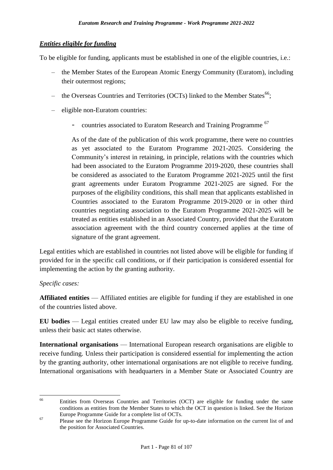### *Entities eligible for funding*

To be eligible for funding, applicants must be established in one of the eligible countries, i.e.:

- the Member States of the European Atomic Energy Community (Euratom), including their outermost regions;
- $-$  the Overseas Countries and Territories (OCTs) linked to the Member States<sup>66</sup>;
- eligible non-Euratom countries:
	- countries associated to Euratom Research and Training Programme<sup>67</sup>

As of the date of the publication of this work programme, there were no countries as yet associated to the Euratom Programme 2021-2025. Considering the Community's interest in retaining, in principle, relations with the countries which had been associated to the Euratom Programme 2019-2020, these countries shall be considered as associated to the Euratom Programme 2021-2025 until the first grant agreements under Euratom Programme 2021-2025 are signed. For the purposes of the eligibility conditions, this shall mean that applicants established in Countries associated to the Euratom Programme 2019-2020 or in other third countries negotiating association to the Euratom Programme 2021-2025 will be treated as entities established in an Associated Country, provided that the Euratom association agreement with the third country concerned applies at the time of signature of the grant agreement.

Legal entities which are established in countries not listed above will be eligible for funding if provided for in the specific call conditions, or if their participation is considered essential for implementing the action by the granting authority.

### *Specific cases:*

**Affiliated entities** — Affiliated entities are eligible for funding if they are established in one of the countries listed above.

**EU bodies** — Legal entities created under EU law may also be eligible to receive funding, unless their basic act states otherwise.

**International organisations** — International European research organisations are eligible to receive funding. Unless their participation is considered essential for implementing the action by the granting authority, other international organisations are not eligible to receive funding. International organisations with headquarters in a Member State or Associated Country are

<sup>66</sup> <sup>66</sup> Entities from Overseas Countries and Territories (OCT) are eligible for funding under the same conditions as entities from the Member States to which the OCT in question is linked. See the Horizon Europe Programme Guide for a complete list of OCTs.

<sup>&</sup>lt;sup>67</sup> Please see the Horizon Europe Programme Guide for up-to-date information on the current list of and the position for Associated Countries.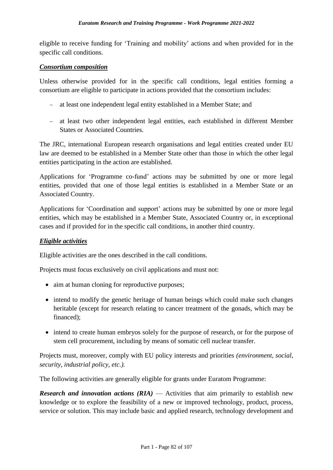eligible to receive funding for 'Training and mobility' actions and when provided for in the specific call conditions.

#### *Consortium composition*

Unless otherwise provided for in the specific call conditions, legal entities forming a consortium are eligible to participate in actions provided that the consortium includes:

- at least one independent legal entity established in a Member State; and
- at least two other independent legal entities, each established in different Member States or Associated Countries.

The JRC, international European research organisations and legal entities created under EU law are deemed to be established in a Member State other than those in which the other legal entities participating in the action are established.

Applications for 'Programme co-fund' actions may be submitted by one or more legal entities, provided that one of those legal entities is established in a Member State or an Associated Country.

Applications for 'Coordination and support' actions may be submitted by one or more legal entities, which may be established in a Member State, Associated Country or, in exceptional cases and if provided for in the specific call conditions, in another third country.

### *Eligible activities*

Eligible activities are the ones described in the call conditions.

Projects must focus exclusively on civil applications and must not:

- aim at human cloning for reproductive purposes:
- intend to modify the genetic heritage of human beings which could make such changes heritable (except for research relating to cancer treatment of the gonads, which may be financed);
- intend to create human embryos solely for the purpose of research, or for the purpose of stem cell procurement, including by means of somatic cell nuclear transfer.

Projects must, moreover, comply with EU policy interests and priorities *(environment, social, security, industrial policy, etc.).*

The following activities are generally eligible for grants under Euratom Programme:

*Research and innovation actions (RIA)* — Activities that aim primarily to establish new knowledge or to explore the feasibility of a new or improved technology, product, process, service or solution. This may include basic and applied research, technology development and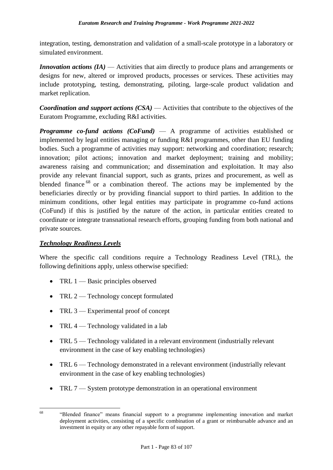integration, testing, demonstration and validation of a small-scale prototype in a laboratory or simulated environment.

*Innovation actions (IA)* — Activities that aim directly to produce plans and arrangements or designs for new, altered or improved products, processes or services. These activities may include prototyping, testing, demonstrating, piloting, large-scale product validation and market replication.

*Coordination and support actions (CSA)* — Activities that contribute to the objectives of the Euratom Programme, excluding R&I activities.

*Programme co-fund actions (CoFund)* — A programme of activities established or implemented by legal entities managing or funding R&I programmes, other than EU funding bodies. Such a programme of activities may support: networking and coordination; research; innovation; pilot actions; innovation and market deployment; training and mobility; awareness raising and communication; and dissemination and exploitation. It may also provide any relevant financial support, such as grants, prizes and procurement, as well as blended finance<sup>68</sup> or a combination thereof. The actions may be implemented by the beneficiaries directly or by providing financial support to third parties. In addition to the minimum conditions, other legal entities may participate in programme co-fund actions (CoFund) if this is justified by the nature of the action, in particular entities created to coordinate or integrate transnational research efforts, grouping funding from both national and private sources.

# *Technology Readiness Levels*

Where the specific call conditions require a Technology Readiness Level (TRL), the following definitions apply, unless otherwise specified:

- TRL  $1$  Basic principles observed
- TRL 2 Technology concept formulated
- $\bullet$  TRL 3 Experimental proof of concept
- TRL  $4$  Technology validated in a lab
- TRL 5 Technology validated in a relevant environment (industrially relevant environment in the case of key enabling technologies)
- TRL 6 Technology demonstrated in a relevant environment (industrially relevant environment in the case of key enabling technologies)
- TRL 7 System prototype demonstration in an operational environment

<sup>68</sup> "Blended finance" means financial support to a programme implementing innovation and market deployment activities, consisting of a specific combination of a grant or reimbursable advance and an investment in equity or any other repayable form of support.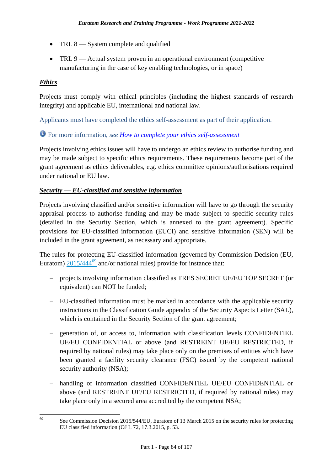- $\bullet$  TRL 8 System complete and qualified
- TRL 9 Actual system proven in an operational environment (competitive manufacturing in the case of key enabling technologies, or in space)

### *Ethics*

Projects must comply with ethical principles (including the highest standards of research integrity) and applicable EU, international and national law.

Applicants must have completed the ethics self-assessment as part of their application.

# For more information, *see [How to complete your ethics self-assessment](https://ec.europa.eu/info/funding-tenders/opportunities/docs/2021-2027/horizon/guidance/programme-guide_horizon_en.pdf)*

Projects involving ethics issues will have to undergo an ethics review to authorise funding and may be made subject to specific ethics requirements. These requirements become part of the grant agreement as ethics deliverables, e.g. ethics committee opinions/authorisations required under national or EU law.

### *Security* **—** *EU-classified and sensitive information*

Projects involving classified and/or sensitive information will have to go through the security appraisal process to authorise funding and may be made subject to specific security rules (detailed in the Security Section, which is annexed to the grant agreement). Specific provisions for EU-classified information (EUCI) and sensitive information (SEN) will be included in the grant agreement, as necessary and appropriate.

The rules for protecting EU-classified information (governed by Commission Decision (EU, Euratom)  $2015/444^{69}$  and/or national rules) provide for instance that:

- projects involving information classified as TRES SECRET UE/EU TOP SECRET (or equivalent) can NOT be funded;
- EU-classified information must be marked in accordance with the applicable security instructions in the Classification Guide appendix of the Security Aspects Letter (SAL), which is contained in the Security Section of the grant agreement;
- generation of, or access to, information with classification levels CONFIDENTIEL UE/EU CONFIDENTIAL or above (and RESTREINT UE/EU RESTRICTED, if required by national rules) may take place only on the premises of entities which have been granted a facility security clearance (FSC) issued by the competent national security authority (NSA);
- handling of information classified CONFIDENTIEL UE/EU CONFIDENTIAL or above (and RESTREINT UE/EU RESTRICTED, if required by national rules) may take place only in a secured area accredited by the competent NSA;

<sup>69</sup> <sup>69</sup> See Commission Decision 2015/544/EU, Euratom of 13 March 2015 on the security rules for protecting EU classified information (OJ L 72, 17.3.2015, p. 53.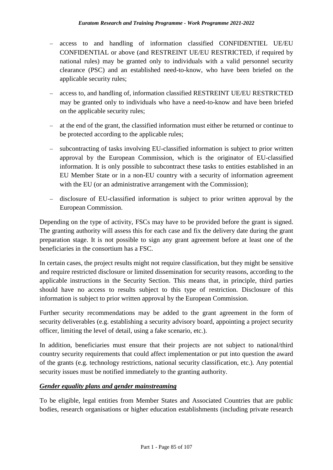- access to and handling of information classified CONFIDENTIEL UE/EU CONFIDENTIAL or above (and RESTREINT UE/EU RESTRICTED, if required by national rules) may be granted only to individuals with a valid personnel security clearance (PSC) and an established need-to-know, who have been briefed on the applicable security rules;
- access to, and handling of, information classified RESTREINT UE/EU RESTRICTED may be granted only to individuals who have a need-to-know and have been briefed on the applicable security rules;
- at the end of the grant, the classified information must either be returned or continue to be protected according to the applicable rules;
- subcontracting of tasks involving EU-classified information is subject to prior written approval by the European Commission, which is the originator of EU-classified information. It is only possible to subcontract these tasks to entities established in an EU Member State or in a non-EU country with a security of information agreement with the EU (or an administrative arrangement with the Commission);
- disclosure of EU-classified information is subject to prior written approval by the European Commission.

Depending on the type of activity, FSCs may have to be provided before the grant is signed. The granting authority will assess this for each case and fix the delivery date during the grant preparation stage. It is not possible to sign any grant agreement before at least one of the beneficiaries in the consortium has a FSC.

In certain cases, the project results might not require classification, but they might be sensitive and require restricted disclosure or limited dissemination for security reasons, according to the applicable instructions in the Security Section. This means that, in principle, third parties should have no access to results subject to this type of restriction. Disclosure of this information is subject to prior written approval by the European Commission.

Further security recommendations may be added to the grant agreement in the form of security deliverables (e.g. establishing a security advisory board, appointing a project security officer, limiting the level of detail, using a fake scenario, etc.).

In addition, beneficiaries must ensure that their projects are not subject to national/third country security requirements that could affect implementation or put into question the award of the grants (e.g. technology restrictions, national security classification, etc.). Any potential security issues must be notified immediately to the granting authority.

### *Gender equality plans and gender mainstreaming*

To be eligible, legal entities from Member States and Associated Countries that are public bodies, research organisations or higher education establishments (including private research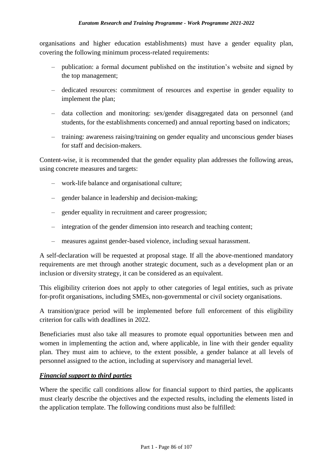organisations and higher education establishments) must have a gender equality plan, covering the following minimum process-related requirements:

- publication: a formal document published on the institution's website and signed by the top management;
- dedicated resources: commitment of resources and expertise in gender equality to implement the plan;
- data collection and monitoring: sex/gender disaggregated data on personnel (and students, for the establishments concerned) and annual reporting based on indicators;
- training: awareness raising/training on gender equality and unconscious gender biases for staff and decision-makers.

Content-wise, it is recommended that the gender equality plan addresses the following areas, using concrete measures and targets:

- work-life balance and organisational culture;
- gender balance in leadership and decision-making;
- gender equality in recruitment and career progression;
- integration of the gender dimension into research and teaching content;
- measures against gender-based violence, including sexual harassment.

A self-declaration will be requested at proposal stage. If all the above-mentioned mandatory requirements are met through another strategic document, such as a development plan or an inclusion or diversity strategy, it can be considered as an equivalent.

This eligibility criterion does not apply to other categories of legal entities, such as private for-profit organisations, including SMEs, non-governmental or civil society organisations.

A transition/grace period will be implemented before full enforcement of this eligibility criterion for calls with deadlines in 2022.

Beneficiaries must also take all measures to promote equal opportunities between men and women in implementing the action and, where applicable, in line with their gender equality plan. They must aim to achieve, to the extent possible, a gender balance at all levels of personnel assigned to the action, including at supervisory and managerial level.

### *Financial support to third parties*

Where the specific call conditions allow for financial support to third parties, the applicants must clearly describe the objectives and the expected results, including the elements listed in the application template. The following conditions must also be fulfilled: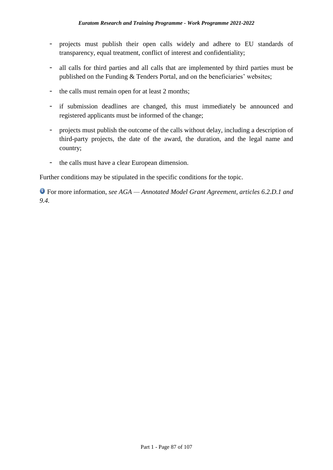- projects must publish their open calls widely and adhere to EU standards of transparency, equal treatment, conflict of interest and confidentiality;
- all calls for third parties and all calls that are implemented by third parties must be published on the Funding & Tenders Portal, and on the beneficiaries' websites;
- the calls must remain open for at least 2 months;
- if submission deadlines are changed, this must immediately be announced and registered applicants must be informed of the change;
- projects must publish the outcome of the calls without delay, including a description of third-party projects, the date of the award, the duration, and the legal name and country;
- the calls must have a clear European dimension.

Further conditions may be stipulated in the specific conditions for the topic.

For more information, *see AGA — Annotated Model Grant Agreement, articles 6.2.D.1 and 9.4.*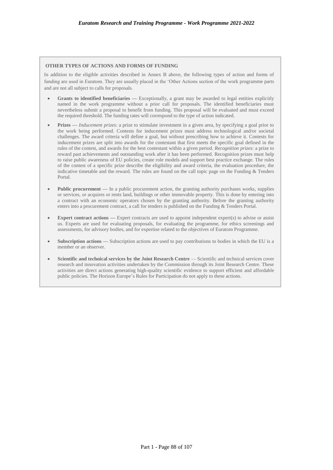#### **OTHER TYPES OF ACTIONS AND FORMS OF FUNDING**

In addition to the eligible activities described in Annex B above, the following types of action and forms of funding are used in Euratom. They are usually placed in the 'Other Actions section of the work programme parts and are not all subject to calls for proposals.

- **Grants to identified beneficiaries —** Exceptionally, a grant may be awarded to legal entities explicitly named in the work programme without a prior call for proposals. The identified beneficiaries must nevertheless submit a proposal to benefit from funding. This proposal will be evaluated and must exceed the required threshold. The funding rates will correspond to the type of action indicated.
- **Prizes** *Inducement prizes*: a prize to stimulate investment in a given area, by specifying a goal prior to the work being performed. Contests for inducement prizes must address technological and/or societal challenges. The award criteria will define a goal, but without prescribing how to achieve it. Contests for inducement prizes are split into awards for the contestant that first meets the specific goal defined in the rules of the contest, and awards for the best contestant within a given period. *Recognition prizes*: a prize to reward past achievements and outstanding work after it has been performed. Recognition prizes must help to raise public awareness of EU policies, create role models and support best practice exchange. The rules of the contest of a specific prize describe the eligibility and award criteria, the evaluation procedure, the indicative timetable and the reward. The rules are found on the call topic page on the Funding & Tenders Portal.
- **Public procurement** In a public procurement action, the granting authority purchases works, supplies or services, or acquires or rents land, buildings or other immovable property. This is done by entering into a contract with an economic operators chosen by the granting authority. Before the granting authority enters into a procurement contract, a call for tenders is published on the Funding & Tenders Portal.
- **Expert contract actions Expert contracts are used to appoint independent expert(s) to advise or assist** us. Experts are used for evaluating proposals, for evaluating the programme, for ethics screenings and assessments, for advisory bodies, and for expertise related to the objectives of Euratom Programme.
- **Subscription actions —** Subscription actions are used to pay contributions to bodies in which the EU is a member or an observer.
- **Scientific and technical services by the Joint Research Centre** Scientific and technical services cover research and innovation activities undertaken by the Commission through its Joint Research Centre. These activities are direct actions generating high-quality scientific evidence to support efficient and affordable public policies. The Horizon Europe's Rules for Participation do not apply to these actions.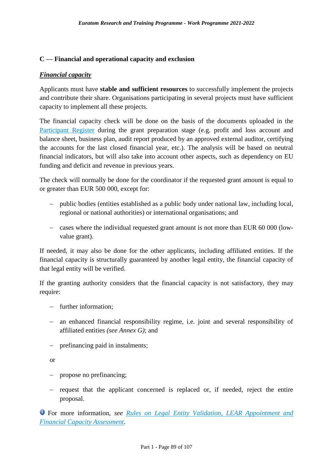### **C — Financial and operational capacity and exclusion**

#### *Financial capacity*

Applicants must have **stable and sufficient resources** to successfully implement the projects and contribute their share. Organisations participating in several projects must have sufficient capacity to implement all these projects.

The financial capacity check will be done on the basis of the documents uploaded in the [Participant Register](https://ec.europa.eu/info/funding-tenders/opportunities/portal/screen/how-to-participate/participant-register) during the grant preparation stage (e.g. profit and loss account and balance sheet, business plan, audit report produced by an approved external auditor, certifying the accounts for the last closed financial year, etc.). The analysis will be based on neutral financial indicators, but will also take into account other aspects, such as dependency on EU funding and deficit and revenue in previous years.

The check will normally be done for the coordinator if the requested grant amount is equal to or greater than EUR 500 000, except for:

- public bodies (entities established as a public body under national law, including local, regional or national authorities) or international organisations; and
- cases where the individual requested grant amount is not more than EUR 60 000 (lowvalue grant).

If needed, it may also be done for the other applicants, including affiliated entities. If the financial capacity is structurally guaranteed by another legal entity, the financial capacity of that legal entity will be verified.

If the granting authority considers that the financial capacity is not satisfactory, they may require:

- further information;
- an enhanced financial responsibility regime, i.e. joint and several responsibility of affiliated entities *(see Annex G)*; and
- prefinancing paid in instalments;

or

- propose no prefinancing;
- request that the applicant concerned is replaced or, if needed, reject the entire proposal.

For more information, *see [Rules on Legal Entity Validation, LEAR Appointment and](https://ec.europa.eu/info/funding-tenders/opportunities/docs/2021-2027/common/guidance/rules-lev-lear-fca_en.pdf)  [Financial Capacity Assessment](https://ec.europa.eu/info/funding-tenders/opportunities/docs/2021-2027/common/guidance/rules-lev-lear-fca_en.pdf)*.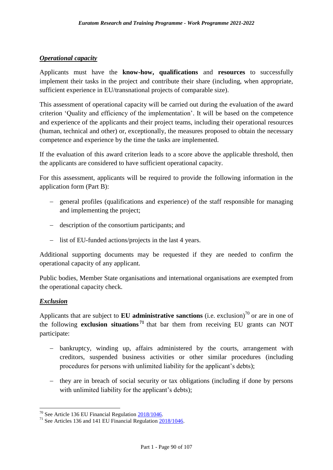#### *Operational capacity*

Applicants must have the **know-how, qualifications** and **resources** to successfully implement their tasks in the project and contribute their share (including, when appropriate, sufficient experience in EU/transnational projects of comparable size).

This assessment of operational capacity will be carried out during the evaluation of the award criterion 'Quality and efficiency of the implementation'. It will be based on the competence and experience of the applicants and their project teams, including their operational resources (human, technical and other) or, exceptionally, the measures proposed to obtain the necessary competence and experience by the time the tasks are implemented.

If the evaluation of this award criterion leads to a score above the applicable threshold, then the applicants are considered to have sufficient operational capacity.

For this assessment, applicants will be required to provide the following information in the application form (Part B):

- general profiles (qualifications and experience) of the staff responsible for managing and implementing the project;
- description of the consortium participants; and
- list of EU-funded actions/projects in the last 4 years.

Additional supporting documents may be requested if they are needed to confirm the operational capacity of any applicant.

Public bodies, Member State organisations and international organisations are exempted from the operational capacity check.

#### *Exclusion*

1

Applicants that are subject to **EU administrative sanctions** (i.e. exclusion)<sup>70</sup> or are in one of the following **exclusion situations <sup>71</sup>** that bar them from receiving EU grants can NOT participate:

- bankruptcy, winding up, affairs administered by the courts, arrangement with creditors, suspended business activities or other similar procedures (including procedures for persons with unlimited liability for the applicant's debts);
- they are in breach of social security or tax obligations (including if done by persons with unlimited liability for the applicant's debts);

<sup>&</sup>lt;sup>70</sup> See Article 136 EU Financial Regulation [2018/1046.](https://eur-lex.europa.eu/legal-content/EN/ALL/?uri=CELEX:32018R1046&qid=1535046024012)

<sup>&</sup>lt;sup>71</sup> See Articles 136 and 141 EU Financial Regulation  $\frac{2018}{1046}$ .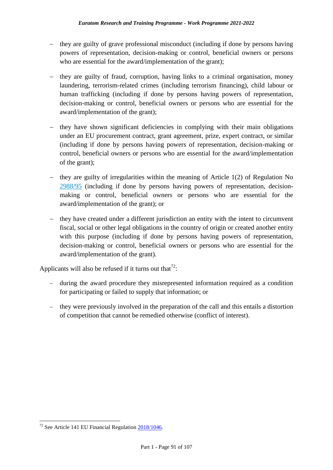- they are guilty of grave professional misconduct (including if done by persons having powers of representation, decision-making or control, beneficial owners or persons who are essential for the award/implementation of the grant);
- $\epsilon$  they are guilty of fraud, corruption, having links to a criminal organisation, money laundering, terrorism-related crimes (including terrorism financing), child labour or human trafficking (including if done by persons having powers of representation, decision-making or control, beneficial owners or persons who are essential for the award/implementation of the grant);
- they have shown significant deficiencies in complying with their main obligations under an EU procurement contract, grant agreement, prize, expert contract, or similar (including if done by persons having powers of representation, decision-making or control, beneficial owners or persons who are essential for the award/implementation of the grant);
- $\sim$  they are guilty of irregularities within the meaning of Article 1(2) of Regulation No [2988/95](http://eur-lex.europa.eu/legal-content/EN/ALL/?uri=CELEX:31995R2988&qid=1501598622514) (including if done by persons having powers of representation, decisionmaking or control, beneficial owners or persons who are essential for the award/implementation of the grant); or
- they have created under a different jurisdiction an entity with the intent to circumvent fiscal, social or other legal obligations in the country of origin or created another entity with this purpose (including if done by persons having powers of representation, decision-making or control, beneficial owners or persons who are essential for the award/implementation of the grant).

Applicants will also be refused if it turns out that<sup>72</sup>:

- during the award procedure they misrepresented information required as a condition for participating or failed to supply that information; or
- they were previously involved in the preparation of the call and this entails a distortion of competition that cannot be remedied otherwise (conflict of interest).

<sup>1</sup>  $72$  See Article 141 EU Financial Regulation  $2018/1046$ .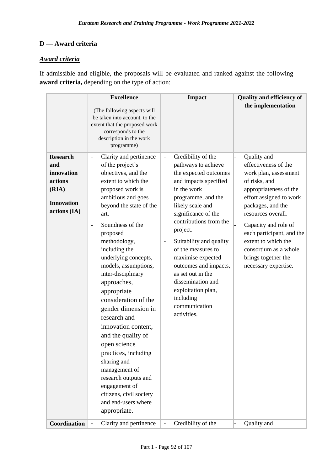### **D — Award criteria**

### *Award criteria*

If admissible and eligible, the proposals will be evaluated and ranked against the following **award criteria,** depending on the type of action:

| <b>Research</b>                                                                            | <b>Excellence</b><br>(The following aspects will<br>be taken into account, to the<br>extent that the proposed work<br>corresponds to the<br>description in the work<br>programme)<br>Clarity and pertinence<br>$\overline{\phantom{a}}$                                                                                                                                                                                                                                                                                                                                                                                                                     | <b>Impact</b><br>Credibility of the<br>$\overline{\phantom{a}}$                                                                                                                                                                                                                                                                                                                                                                                                             | <b>Quality and efficiency of</b><br>the implementation<br>Quality and                                                                                                                                                                                                                                                             |
|--------------------------------------------------------------------------------------------|-------------------------------------------------------------------------------------------------------------------------------------------------------------------------------------------------------------------------------------------------------------------------------------------------------------------------------------------------------------------------------------------------------------------------------------------------------------------------------------------------------------------------------------------------------------------------------------------------------------------------------------------------------------|-----------------------------------------------------------------------------------------------------------------------------------------------------------------------------------------------------------------------------------------------------------------------------------------------------------------------------------------------------------------------------------------------------------------------------------------------------------------------------|-----------------------------------------------------------------------------------------------------------------------------------------------------------------------------------------------------------------------------------------------------------------------------------------------------------------------------------|
| and<br>innovation<br>actions<br>(RIA)<br><b>Innovation</b><br>actions (IA)<br>Coordination | of the project's<br>objectives, and the<br>extent to which the<br>proposed work is<br>ambitious and goes<br>beyond the state of the<br>art.<br>Soundness of the<br>$\overline{a}$<br>proposed<br>methodology,<br>including the<br>underlying concepts,<br>models, assumptions,<br>inter-disciplinary<br>approaches,<br>appropriate<br>consideration of the<br>gender dimension in<br>research and<br>innovation content,<br>and the quality of<br>open science<br>practices, including<br>sharing and<br>management of<br>research outputs and<br>engagement of<br>citizens, civil society<br>and end-users where<br>appropriate.<br>Clarity and pertinence | pathways to achieve<br>the expected outcomes<br>and impacts specified<br>in the work<br>programme, and the<br>likely scale and<br>significance of the<br>contributions from the<br>project.<br>Suitability and quality<br>$\overline{\phantom{a}}$<br>of the measures to<br>maximise expected<br>outcomes and impacts,<br>as set out in the<br>dissemination and<br>exploitation plan,<br>including<br>communication<br>activities.<br>Credibility of the<br>$\blacksquare$ | effectiveness of the<br>work plan, assessment<br>of risks, and<br>appropriateness of the<br>effort assigned to work<br>packages, and the<br>resources overall.<br>Capacity and role of<br>each participant, and the<br>extent to which the<br>consortium as a whole<br>brings together the<br>necessary expertise.<br>Quality and |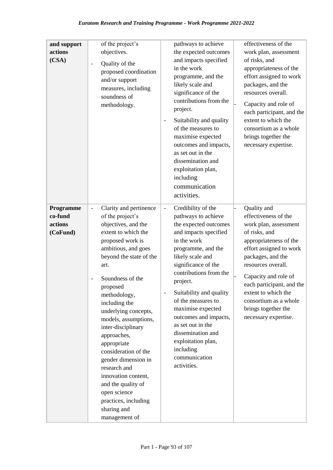| and support<br>actions<br>(CSA)             | of the project's<br>objectives.<br>Quality of the<br>$\overline{a}$<br>proposed coordination<br>and/or support<br>measures, including<br>soundness of<br>methodology.                                                                                                                                                                                                                                                                                                                                                                                | pathways to achieve<br>the expected outcomes<br>and impacts specified<br>in the work<br>programme, and the<br>likely scale and<br>significance of the<br>contributions from the<br>project.<br>Suitability and quality<br>of the measures to<br>maximise expected<br>outcomes and impacts,<br>as set out in the<br>dissemination and<br>exploitation plan,<br>including<br>communication<br>activities.                                         | effectiveness of the<br>work plan, assessment<br>of risks, and<br>appropriateness of the<br>effort assigned to work<br>packages, and the<br>resources overall.<br>Capacity and role of<br>each participant, and the<br>extent to which the<br>consortium as a whole<br>brings together the<br>necessary expertise.                |
|---------------------------------------------|------------------------------------------------------------------------------------------------------------------------------------------------------------------------------------------------------------------------------------------------------------------------------------------------------------------------------------------------------------------------------------------------------------------------------------------------------------------------------------------------------------------------------------------------------|-------------------------------------------------------------------------------------------------------------------------------------------------------------------------------------------------------------------------------------------------------------------------------------------------------------------------------------------------------------------------------------------------------------------------------------------------|-----------------------------------------------------------------------------------------------------------------------------------------------------------------------------------------------------------------------------------------------------------------------------------------------------------------------------------|
| Programme<br>co-fund<br>actions<br>(CoFund) | Clarity and pertinence<br>$\qquad \qquad -$<br>of the project's<br>objectives, and the<br>extent to which the<br>proposed work is<br>ambitious, and goes<br>beyond the state of the<br>art.<br>Soundness of the<br>proposed<br>methodology,<br>including the<br>underlying concepts,<br>models, assumptions,<br>inter-disciplinary<br>approaches,<br>appropriate<br>consideration of the<br>gender dimension in<br>research and<br>innovation content,<br>and the quality of<br>open science<br>practices, including<br>sharing and<br>management of | Credibility of the<br>$\blacksquare$<br>pathways to achieve<br>the expected outcomes<br>and impacts specified<br>in the work<br>programme, and the<br>likely scale and<br>significance of the<br>contributions from the<br>project.<br>Suitability and quality<br>of the measures to<br>maximise expected<br>outcomes and impacts,<br>as set out in the<br>dissemination and<br>exploitation plan,<br>including<br>communication<br>activities. | Quality and<br>effectiveness of the<br>work plan, assessment<br>of risks, and<br>appropriateness of the<br>effort assigned to work<br>packages, and the<br>resources overall.<br>Capacity and role of<br>each participant, and the<br>extent to which the<br>consortium as a whole<br>brings together the<br>necessary expertise. |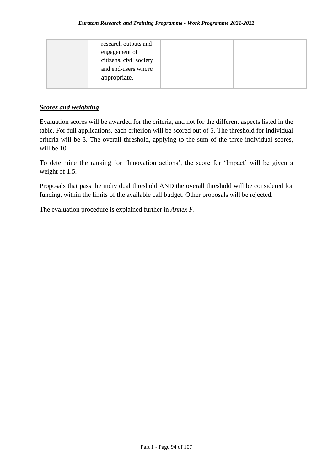| research outputs and<br>engagement of<br>citizens, civil society |  |
|------------------------------------------------------------------|--|
| and end-users where<br>appropriate.                              |  |

### *Scores and weighting*

Evaluation scores will be awarded for the criteria, and not for the different aspects listed in the table. For full applications, each criterion will be scored out of 5. The threshold for individual criteria will be 3. The overall threshold, applying to the sum of the three individual scores, will be 10.

To determine the ranking for 'Innovation actions', the score for 'Impact' will be given a weight of 1.5.

Proposals that pass the individual threshold AND the overall threshold will be considered for funding, within the limits of the available call budget. Other proposals will be rejected.

The evaluation procedure is explained further in *Annex F*.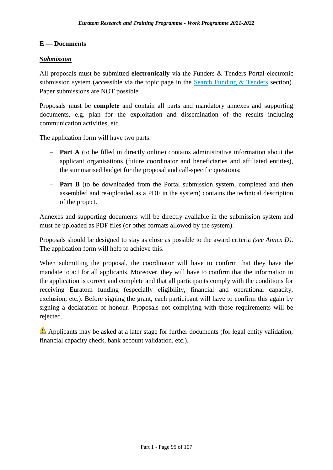### **E — Documents**

#### *Submission*

All proposals must be submitted **electronically** via the Funders & Tenders Portal electronic submission system (accessible via the topic page in the [Search Funding & Tenders](https://ec.europa.eu/info/funding-tenders/opportunities/portal/screen/opportunities/topic-search;freeTextSearchKeyword=;typeCodes=0,1;statusCodes=31094501,31094502,31094503;programCode=null;programDivisionCode=null;focusAreaCode=null;crossCuttingPriorityCode=null;callCode=Default;sortQuery=openingDate;orderBy=asc;onlyTenders=false;topicListKey=topicSearchTablePageState) section). Paper submissions are NOT possible.

Proposals must be **complete** and contain all parts and mandatory annexes and supporting documents, e.g. plan for the exploitation and dissemination of the results including communication activities, etc.

The application form will have two parts:

- **Part A** (to be filled in directly online) contains administrative information about the applicant organisations (future coordinator and beneficiaries and affiliated entities), the summarised budget for the proposal and call-specific questions;
- **Part B** (to be downloaded from the Portal submission system, completed and then assembled and re-uploaded as a PDF in the system) contains the technical description of the project.

Annexes and supporting documents will be directly available in the submission system and must be uploaded as PDF files (or other formats allowed by the system).

Proposals should be designed to stay as close as possible to the award criteria *(see Annex D)*. The application form will help to achieve this.

When submitting the proposal, the coordinator will have to confirm that they have the mandate to act for all applicants. Moreover, they will have to confirm that the information in the application is correct and complete and that all participants comply with the conditions for receiving Euratom funding (especially eligibility, financial and operational capacity, exclusion, etc.). Before signing the grant, each participant will have to confirm this again by signing a declaration of honour. Proposals not complying with these requirements will be rejected.

Applicants may be asked at a later stage for further documents (for legal entity validation, financial capacity check, bank account validation, etc.).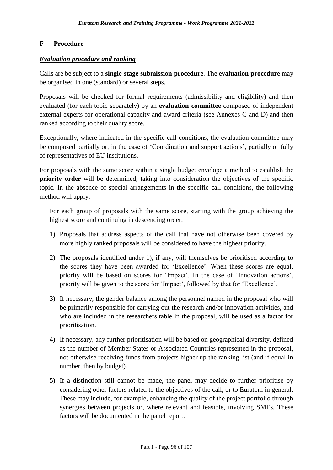### **F — Procedure**

#### *Evaluation procedure and ranking*

Calls are be subject to a **single-stage submission procedure**. The **evaluation procedure** may be organised in one (standard) or several steps.

Proposals will be checked for formal requirements (admissibility and eligibility) and then evaluated (for each topic separately) by an **evaluation committee** composed of independent external experts for operational capacity and award criteria (see Annexes C and D) and then ranked according to their quality score.

Exceptionally, where indicated in the specific call conditions, the evaluation committee may be composed partially or, in the case of 'Coordination and support actions', partially or fully of representatives of EU institutions.

For proposals with the same score within a single budget envelope a method to establish the **priority order** will be determined, taking into consideration the objectives of the specific topic. In the absence of special arrangements in the specific call conditions, the following method will apply:

For each group of proposals with the same score, starting with the group achieving the highest score and continuing in descending order:

- 1) Proposals that address aspects of the call that have not otherwise been covered by more highly ranked proposals will be considered to have the highest priority.
- 2) The proposals identified under 1), if any, will themselves be prioritised according to the scores they have been awarded for 'Excellence'. When these scores are equal, priority will be based on scores for 'Impact'. In the case of 'Innovation actions', priority will be given to the score for 'Impact', followed by that for 'Excellence'.
- 3) If necessary, the gender balance among the personnel named in the proposal who will be primarily responsible for carrying out the research and/or innovation activities, and who are included in the researchers table in the proposal, will be used as a factor for prioritisation.
- 4) If necessary, any further prioritisation will be based on geographical diversity, defined as the number of Member States or Associated Countries represented in the proposal, not otherwise receiving funds from projects higher up the ranking list (and if equal in number, then by budget).
- 5) If a distinction still cannot be made, the panel may decide to further prioritise by considering other factors related to the objectives of the call, or to Euratom in general. These may include, for example, enhancing the quality of the project portfolio through synergies between projects or, where relevant and feasible, involving SMEs. These factors will be documented in the panel report.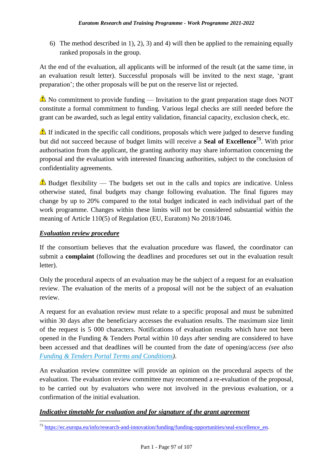6) The method described in 1), 2), 3) and 4) will then be applied to the remaining equally ranked proposals in the group.

At the end of the evaluation, all applicants will be informed of the result (at the same time, in an evaluation result letter). Successful proposals will be invited to the next stage, 'grant preparation'; the other proposals will be put on the reserve list or rejected.

No commitment to provide funding — Invitation to the grant preparation stage does NOT constitute a formal commitment to funding. Various legal checks are still needed before the grant can be awarded, such as legal entity validation, financial capacity, exclusion check, etc.

If indicated in the specific call conditions, proposals which were judged to deserve funding but did not succeed because of budget limits will receive a **Seal of Excellence<sup>73</sup>**. With prior authorisation from the applicant, the granting authority may share information concerning the proposal and the evaluation with interested financing authorities, subject to the conclusion of confidentiality agreements.

Budget flexibility — The budgets set out in the calls and topics are indicative. Unless otherwise stated, final budgets may change following evaluation. The final figures may change by up to 20% compared to the total budget indicated in each individual part of the work programme. Changes within these limits will not be considered substantial within the meaning of Article 110(5) of Regulation (EU, Euratom) No 2018/1046.

### *Evaluation review procedure*

1

If the consortium believes that the evaluation procedure was flawed, the coordinator can submit a **complaint** (following the deadlines and procedures set out in the evaluation result letter).

Only the procedural aspects of an evaluation may be the subject of a request for an evaluation review. The evaluation of the merits of a proposal will not be the subject of an evaluation review.

A request for an evaluation review must relate to a specific proposal and must be submitted within 30 days after the beneficiary accesses the evaluation results. The maximum size limit of the request is 5 000 characters. Notifications of evaluation results which have not been opened in the Funding & Tenders Portal within 10 days after sending are considered to have been accessed and that deadlines will be counted from the date of opening/access *(see also [Funding & Tenders Portal Terms and Conditions\)](https://ec.europa.eu/info/funding-tenders/opportunities/docs/2021-2027/common/ftp/tc_en.pdf)*.

An evaluation review committee will provide an opinion on the procedural aspects of the evaluation. The evaluation review committee may recommend a re-evaluation of the proposal, to be carried out by evaluators who were not involved in the previous evaluation, or a confirmation of the initial evaluation.

### *Indicative timetable for evaluation and for signature of the grant agreement*

<sup>&</sup>lt;sup>73</sup> [https://ec.europa.eu/info/research-and-innovation/funding/funding-opportunities/seal-excellence\\_en.](https://ec.europa.eu/info/research-and-innovation/funding/funding-opportunities/seal-excellence_en)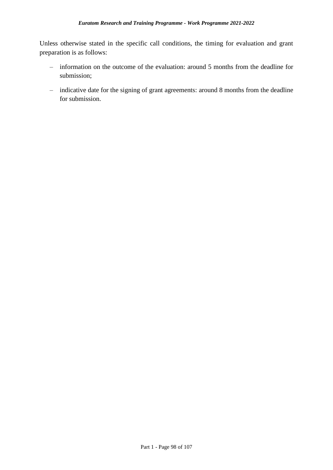Unless otherwise stated in the specific call conditions, the timing for evaluation and grant preparation is as follows:

- information on the outcome of the evaluation: around 5 months from the deadline for submission;
- indicative date for the signing of grant agreements: around 8 months from the deadline for submission.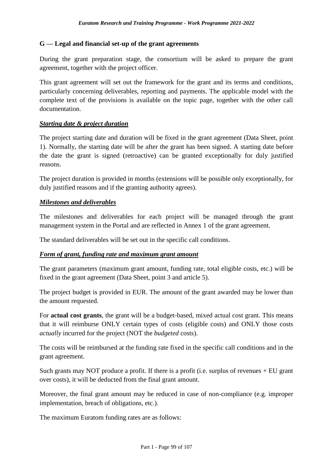### **G — Legal and financial set-up of the grant agreements**

During the grant preparation stage, the consortium will be asked to prepare the grant agreement, together with the project officer.

This grant agreement will set out the framework for the grant and its terms and conditions, particularly concerning deliverables, reporting and payments. The applicable model with the complete text of the provisions is available on the topic page, together with the other call documentation.

### *Starting date & project duration*

The project starting date and duration will be fixed in the grant agreement (Data Sheet, point 1). Normally, the starting date will be after the grant has been signed. A starting date before the date the grant is signed (retroactive) can be granted exceptionally for duly justified reasons.

The project duration is provided in months (extensions will be possible only exceptionally, for duly justified reasons and if the granting authority agrees).

### *Milestones and deliverables*

The milestones and deliverables for each project will be managed through the grant management system in the Portal and are reflected in Annex 1 of the grant agreement.

The standard deliverables will be set out in the specific call conditions.

### *Form of grant, funding rate and maximum grant amount*

The grant parameters (maximum grant amount, funding rate, total eligible costs, etc.) will be fixed in the grant agreement (Data Sheet, point 3 and article 5).

The project budget is provided in EUR. The amount of the grant awarded may be lower than the amount requested.

For **actual cost grants**, the grant will be a budget-based, mixed actual cost grant. This means that it will reimburse ONLY certain types of costs (eligible costs) and ONLY those costs *actually* incurred for the project (NOT the *budgeted* costs).

The costs will be reimbursed at the funding rate fixed in the specific call conditions and in the grant agreement.

Such grants may NOT produce a profit. If there is a profit (i.e. surplus of revenues + EU grant over costs), it will be deducted from the final grant amount.

Moreover, the final grant amount may be reduced in case of non-compliance (e.g. improper implementation, breach of obligations, etc.).

The maximum Euratom funding rates are as follows: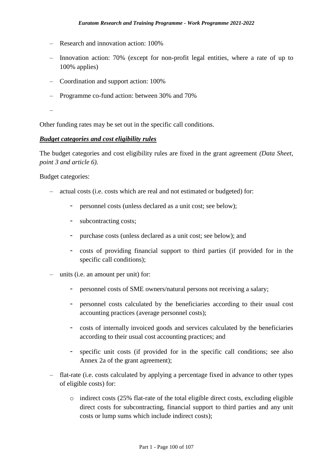- Research and innovation action: 100%
- Innovation action: 70% (except for non-profit legal entities, where a rate of up to 100% applies)
- Coordination and support action: 100%
- Programme co-fund action: between 30% and 70%
- –

Other funding rates may be set out in the specific call conditions.

#### *Budget categories and cost eligibility rules*

The budget categories and cost eligibility rules are fixed in the grant agreement *(Data Sheet, point 3 and article 6).*

Budget categories:

- actual costs (i.e. costs which are real and not estimated or budgeted) for:
	- personnel costs (unless declared as a unit cost; see below);
	- subcontracting costs;
	- purchase costs (unless declared as a unit cost; see below); and
	- costs of providing financial support to third parties (if provided for in the specific call conditions);
- units (i.e. an amount per unit) for:
	- personnel costs of SME owners/natural persons not receiving a salary;
	- personnel costs calculated by the beneficiaries according to their usual cost accounting practices (average personnel costs);
	- costs of internally invoiced goods and services calculated by the beneficiaries according to their usual cost accounting practices; and
	- specific unit costs (if provided for in the specific call conditions; see also Annex 2a of the grant agreement);
- flat-rate (i.e. costs calculated by applying a percentage fixed in advance to other types of eligible costs) for:
	- o indirect costs (25% flat-rate of the total eligible direct costs, excluding eligible direct costs for subcontracting, financial support to third parties and any unit costs or lump sums which include indirect costs);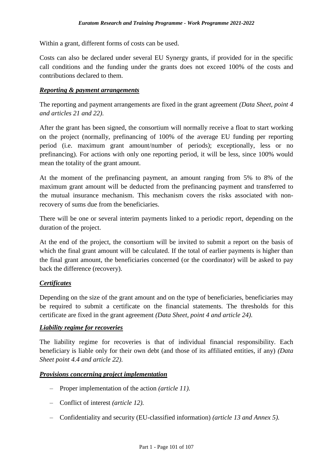Within a grant, different forms of costs can be used.

Costs can also be declared under several EU Synergy grants, if provided for in the specific call conditions and the funding under the grants does not exceed 100% of the costs and contributions declared to them.

#### *Reporting & payment arrangements*

The reporting and payment arrangements are fixed in the grant agreement *(Data Sheet, point 4 and articles 21 and 22)*.

After the grant has been signed, the consortium will normally receive a float to start working on the project (normally, prefinancing of 100% of the average EU funding per reporting period (i.e. maximum grant amount/number of periods); exceptionally, less or no prefinancing). For actions with only one reporting period, it will be less, since 100% would mean the totality of the grant amount.

At the moment of the prefinancing payment, an amount ranging from 5% to 8% of the maximum grant amount will be deducted from the prefinancing payment and transferred to the mutual insurance mechanism. This mechanism covers the risks associated with nonrecovery of sums due from the beneficiaries.

There will be one or several interim payments linked to a periodic report, depending on the duration of the project.

At the end of the project, the consortium will be invited to submit a report on the basis of which the final grant amount will be calculated. If the total of earlier payments is higher than the final grant amount, the beneficiaries concerned (or the coordinator) will be asked to pay back the difference (recovery).

### *Certificates*

Depending on the size of the grant amount and on the type of beneficiaries, beneficiaries may be required to submit a certificate on the financial statements. The thresholds for this certificate are fixed in the grant agreement *(Data Sheet, point 4 and article 24)*.

#### *Liability regime for recoveries*

The liability regime for recoveries is that of individual financial responsibility. Each beneficiary is liable only for their own debt (and those of its affiliated entities, if any) *(Data Sheet point 4.4 and article 22)*.

#### *Provisions concerning project implementation*

- Proper implementation of the action *(article 11).*
- Conflict of interest *(article 12).*
- Confidentiality and security (EU-classified information) *(article 13 and Annex 5).*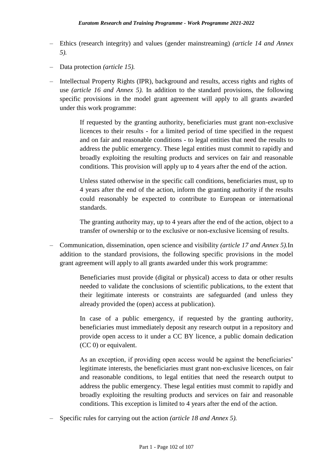- Ethics (research integrity) and values (gender mainstreaming) *(article 14 and Annex 5).*
- Data protection *(article 15).*
- Intellectual Property Rights (IPR), background and results, access rights and rights of use *(article 16 and Annex 5).* In addition to the standard provisions, the following specific provisions in the model grant agreement will apply to all grants awarded under this work programme:

If requested by the granting authority, beneficiaries must grant non-exclusive licences to their results - for a limited period of time specified in the request and on fair and reasonable conditions - to legal entities that need the results to address the public emergency. These legal entities must commit to rapidly and broadly exploiting the resulting products and services on fair and reasonable conditions. This provision will apply up to 4 years after the end of the action.

Unless stated otherwise in the specific call conditions, beneficiaries must, up to 4 years after the end of the action, inform the granting authority if the results could reasonably be expected to contribute to European or international standards.

The granting authority may, up to 4 years after the end of the action, object to a transfer of ownership or to the exclusive or non-exclusive licensing of results.

– Communication, dissemination, open science and visibility *(article 17 and Annex 5).*In addition to the standard provisions, the following specific provisions in the model grant agreement will apply to all grants awarded under this work programme:

> Beneficiaries must provide (digital or physical) access to data or other results needed to validate the conclusions of scientific publications, to the extent that their legitimate interests or constraints are safeguarded (and unless they already provided the (open) access at publication).

> In case of a public emergency, if requested by the granting authority, beneficiaries must immediately deposit any research output in a repository and provide open access to it under a CC BY licence, a public domain dedication (CC 0) or equivalent.

> As an exception, if providing open access would be against the beneficiaries' legitimate interests, the beneficiaries must grant non-exclusive licences, on fair and reasonable conditions, to legal entities that need the research output to address the public emergency. These legal entities must commit to rapidly and broadly exploiting the resulting products and services on fair and reasonable conditions. This exception is limited to 4 years after the end of the action.

– Specific rules for carrying out the action *(article 18 and Annex 5).*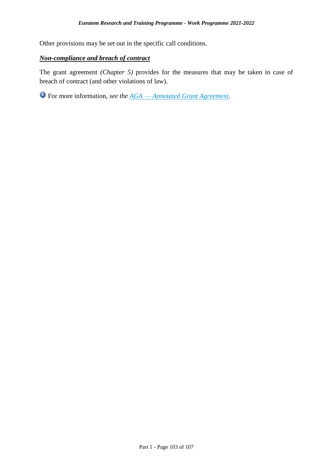Other provisions may be set out in the specific call conditions.

### *Non-compliance and breach of contract*

The grant agreement *(Chapter 5)* provides for the measures that may be taken in case of breach of contract (and other violations of law).

For more information, *see the AGA* — *[Annotated Grant Agreement](https://ec.europa.eu/info/funding-tenders/opportunities/docs/2021-2027/common/guidance/aga_en.pdf)*.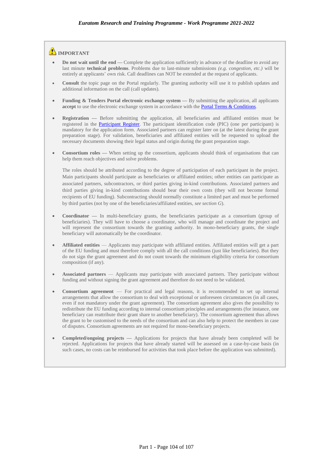#### **IMPORTANT**

- **Do not wait until the end —** Complete the application sufficiently in advance of the deadline to avoid any last minute **technical problems**. Problems due to last-minute submissions *(e.g. congestion, etc.)* will be entirely at applicants' own risk. Call deadlines can NOT be extended at the request of applicants.
- **Consult** the topic page on the Portal regularly. The granting authority will use it to publish updates and additional information on the call (call updates).
- **Funding & Tenders Portal electronic exchange system By submitting the application, all applicants** accept to use the electronic exchange system in accordance with the **Portal Terms & Conditions**.
- **Registration —** Before submitting the application, all beneficiaries and affiliated entities must be registered in the [Participant Register.](https://ec.europa.eu/info/funding-tenders/opportunities/portal/screen/how-to-participate/participant-register) The participant identification code (PIC) (one per participant) is mandatory for the application form. Associated partners can register later on (at the latest during the grant preparation stage). For validation, beneficiaries and affiliated entities will be requested to upload the necessary documents showing their legal status and origin during the grant preparation stage.
- **Consortium roles —** When setting up the consortium, applicants should think of organisations that can help them reach objectives and solve problems.

The roles should be attributed according to the degree of participation of each participant in the project. Main participants should participate as beneficiaries or affiliated entities; other entities can participate as associated partners, subcontractors, or third parties giving in-kind contributions. Associated partners and third parties giving in-kind contributions should bear their own costs (they will not become formal recipients of EU funding). Subcontracting should normally constitute a limited part and must be performed by third parties (not by one of the beneficiaries/affiliated entities, *see section G*).

- **Coordinator —** In multi-beneficiary grants, the beneficiaries participate as a consortium (group of beneficiaries). They will have to choose a coordinator, who will manage and coordinate the project and will represent the consortium towards the granting authority. In mono-beneficiary grants, the single beneficiary will automatically be the coordinator.
- **Affiliated entities** Applicants may participate with affiliated entities. Affiliated entities will get a part of the EU funding and must therefore comply with all the call conditions (just like beneficiaries). But they do not sign the grant agreement and do not count towards the minimum eligibility criteria for consortium composition (if any).
- **Associated partners** Applicants may participate with associated partners. They participate without funding and without signing the grant agreement and therefore do not need to be validated.
- **Consortium agreement**  For practical and legal reasons, it is recommended to set up internal arrangements that allow the consortium to deal with exceptional or unforeseen circumstances (in all cases, even if not mandatory under the grant agreement). The consortium agreement also gives the possibility to redistribute the EU funding according to internal consortium principles and arrangements (for instance, one beneficiary can reattribute their grant share to another beneficiary). The consortium agreement thus allows the grant to be customised to the needs of the consortium and can also help to protect the members in case of disputes. Consortium agreements are not required for mono-beneficiary projects.
- **Completed/ongoing projects —** Applications for projects that have already been completed will be rejected. Applications for projects that have already started will be assessed on a case-by-case basis (in such cases, no costs can be reimbursed for activities that took place before the application was submitted).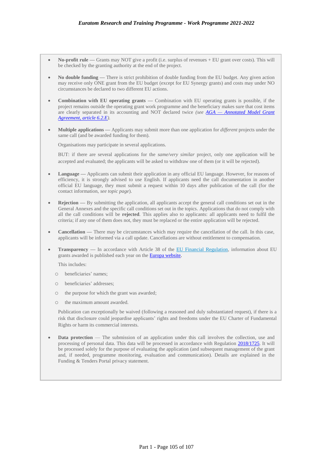- **No-profit rule —** Grants may NOT give a profit (i.e. surplus of revenues + EU grant over costs). This will be checked by the granting authority at the end of the project.
- **No double funding —** There is strict prohibition of double funding from the EU budget. Any given action may receive only ONE grant from the EU budget (except for EU Synergy grants) and costs may under NO circumstances be declared to two different EU actions.
- **Combination with EU operating grants Combination with EU operating grants is possible, if the** project remains outside the operating grant work programme and the beneficiary makes sure that cost items are clearly separated in its accounting and NOT declared twice *(see AGA — [Annotated Model Grant](https://ec.europa.eu/info/funding-tenders/opportunities/docs/2021-2027/common/guidance/aga_en.pdf)  [Agreement, article](https://ec.europa.eu/info/funding-tenders/opportunities/docs/2021-2027/common/guidance/aga_en.pdf) 6.2.E).*
- **Multiple applications —** Applicants may submit more than one application for *different* projects under the same call (and be awarded funding for them).

Organisations may participate in several applications.

BUT: if there are several applications for the *same/very similar* project, only one application will be accepted and evaluated; the applicants will be asked to withdraw one of them (or it will be rejected).

- **Language —** Applicants can submit their application in any official EU language. However, for reasons of efficiency, it is strongly advised to use English. If applicants need the call documentation in another official EU language, they must submit a request within 10 days after publication of the call (for the contact information, *see topic page*).
- **Rejection By submitting the application, all applicants accept the general call conditions set out in the** General Annexes and the specific call conditions set out in the topics. Applications that do not comply with all the call conditions will be **rejected**. This applies also to applicants: all applicants need to fulfil the criteria; if any one of them does not, they must be replaced or the entire application will be rejected.
- **Cancellation There may be circumstances which may require the cancellation of the call. In this case,** applicants will be informed via a call update. Cancellations are without entitlement to compensation.
- **Transparency —** In accordance with Article 38 of the [EU Financial Regulation,](https://eur-lex.europa.eu/legal-content/EN/ALL/?uri=CELEX:32018R1046&qid=1535046024012) information about EU grants awarded is published each year on the [Europa website.](https://ec.europa.eu/budget/fts/index_en.htm)

This includes:

- o beneficiaries' names;
- o beneficiaries' addresses;
- o the purpose for which the grant was awarded;
- o the maximum amount awarded.

Publication can exceptionally be waived (following a reasoned and duly substantiated request), if there is a risk that disclosure could jeopardise applicants' rights and freedoms under the EU Charter of Fundamental Rights or harm its commercial interests.

**Data protection** — The submission of an application under this call involves the collection, use and processing of personal data. This data will be processed in accordance with Regulation [2018/1725.](https://eur-lex.europa.eu/legal-content/EN/ALL/?uri=CELEX:32018R1725&qid=1547993085271) It will be processed solely for the purpose of evaluating the application (and subsequent management of the grant and, if needed, programme monitoring, evaluation and communication). Details are explained in the Funding & Tenders Portal privacy statement.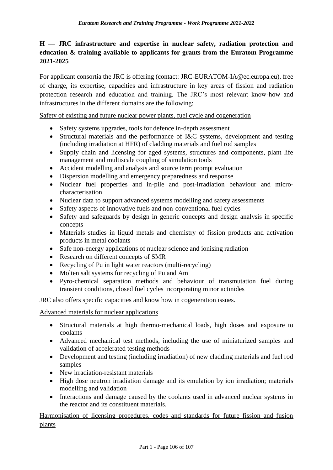## **H — JRC infrastructure and expertise in nuclear safety, radiation protection and education & training available to applicants for grants from the Euratom Programme 2021-2025**

For applicant consortia the JRC is offering (contact: JRC-EURATOM-IA@ec.europa.eu), free of charge, its expertise, capacities and infrastructure in key areas of fission and radiation protection research and education and training. The JRC's most relevant know-how and infrastructures in the different domains are the following:

Safety of existing and future nuclear power plants, fuel cycle and cogeneration

- Safety systems upgrades, tools for defence in-depth assessment
- Structural materials and the performance of I&C systems, development and testing (including irradiation at HFR) of cladding materials and fuel rod samples
- Supply chain and licensing for aged systems, structures and components, plant life management and multiscale coupling of simulation tools
- Accident modelling and analysis and source term prompt evaluation
- Dispersion modelling and emergency preparedness and response
- Nuclear fuel properties and in-pile and post-irradiation behaviour and microcharacterisation
- Nuclear data to support advanced systems modelling and safety assessments
- Safety aspects of innovative fuels and non-conventional fuel cycles
- Safety and safeguards by design in generic concepts and design analysis in specific concepts
- Materials studies in liquid metals and chemistry of fission products and activation products in metal coolants
- Safe non-energy applications of nuclear science and ionising radiation
- Research on different concepts of SMR
- Recycling of Pu in light water reactors (multi-recycling)
- Molten salt systems for recycling of Pu and Am
- Pyro-chemical separation methods and behaviour of transmutation fuel during transient conditions, closed fuel cycles incorporating minor actinides

JRC also offers specific capacities and know how in cogeneration issues.

## Advanced materials for nuclear applications

- Structural materials at high thermo-mechanical loads, high doses and exposure to coolants
- Advanced mechanical test methods, including the use of miniaturized samples and validation of accelerated testing methods
- Development and testing (including irradiation) of new cladding materials and fuel rod samples
- New irradiation-resistant materials
- High dose neutron irradiation damage and its emulation by ion irradiation; materials modelling and validation
- Interactions and damage caused by the coolants used in advanced nuclear systems in the reactor and its constituent materials.

Harmonisation of licensing procedures, codes and standards for future fission and fusion plants